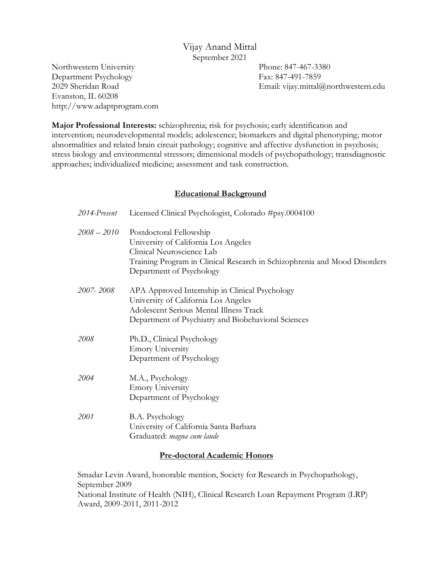# Vijay Anand Mittal September 2021

Northwestern University Department Psychology 2029 Sheridan Road Evanston, IL 60208 http://www.adaptprogram.com Phone: 847-467-3380 Fax: 847-491-7859 Email: vijay.mittal@northwestern.edu

**Major Professional Interests:** schizophrenia; risk for psychosis; early identification and intervention; neurodevelopmental models; adolescence; biomarkers and digital phenotyping; motor abnormalities and related brain circuit pathology; cognitive and affective dysfunction in psychosis; stress biology and environmental stressors; dimensional models of psychopathology; transdiagnostic approaches; individualized medicine; assessment and task construction.

# **Educational Background**

| 2014-Present  | Licensed Clinical Psychologist, Colorado #psy.0004100                                                                                                                                                 |
|---------------|-------------------------------------------------------------------------------------------------------------------------------------------------------------------------------------------------------|
| $2008 - 2010$ | Postdoctoral Fellowship<br>University of California Los Angeles<br>Clinical Neuroscience Lab<br>Training Program in Clinical Research in Schizophrenia and Mood Disorders<br>Department of Psychology |
| 2007-2008     | APA Approved Internship in Clinical Psychology<br>University of California Los Angeles<br><b>Adolescent Serious Mental Illness Track</b><br>Department of Psychiatry and Biobehavioral Sciences       |
| 2008          | Ph.D., Clinical Psychology<br><b>Emory University</b><br>Department of Psychology                                                                                                                     |
| 2004          | M.A., Psychology<br><b>Emory University</b><br>Department of Psychology                                                                                                                               |
| 2001          | B.A. Psychology<br>University of California Santa Barbara<br>Graduated: magna cum laude                                                                                                               |

# **Pre-doctoral Academic Honors**

Smadar Levin Award, honorable mention, Society for Research in Psychopathology, September 2009 National Institute of Health (NIH), Clinical Research Loan Repayment Program (LRP) Award, 2009-2011, 2011-2012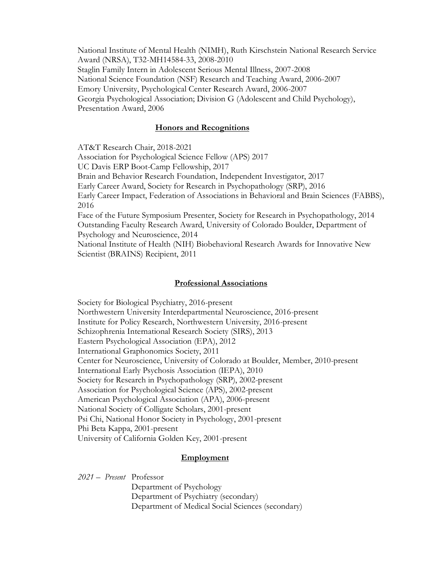National Institute of Mental Health (NIMH), Ruth Kirschstein National Research Service Award (NRSA), T32-MH14584-33, 2008-2010 Staglin Family Intern in Adolescent Serious Mental Illness, 2007-2008 National Science Foundation (NSF) Research and Teaching Award, 2006-2007 Emory University, Psychological Center Research Award, 2006-2007 Georgia Psychological Association; Division G (Adolescent and Child Psychology), Presentation Award, 2006

#### **Honors and Recognitions**

AT&T Research Chair, 2018-2021 Association for Psychological Science Fellow (APS) 2017 UC Davis ERP Boot-Camp Fellowship, 2017 Brain and Behavior Research Foundation, Independent Investigator, 2017 Early Career Award, Society for Research in Psychopathology (SRP), 2016 Early Career Impact, Federation of Associations in Behavioral and Brain Sciences (FABBS), 2016 Face of the Future Symposium Presenter, Society for Research in Psychopathology, 2014 Outstanding Faculty Research Award, University of Colorado Boulder, Department of Psychology and Neuroscience, 2014 National Institute of Health (NIH) Biobehavioral Research Awards for Innovative New Scientist (BRAINS) Recipient, 2011

#### **Professional Associations**

Society for Biological Psychiatry, 2016-present Northwestern University Interdepartmental Neuroscience, 2016-present Institute for Policy Research, Northwestern University, 2016-present Schizophrenia International Research Society (SIRS), 2013 Eastern Psychological Association (EPA), 2012 International Graphonomics Society, 2011 Center for Neuroscience, University of Colorado at Boulder, Member, 2010-present International Early Psychosis Association (IEPA), 2010 Society for Research in Psychopathology (SRP), 2002-present Association for Psychological Science (APS), 2002-present American Psychological Association (APA), 2006-present National Society of Colligate Scholars, 2001-present Psi Chi, National Honor Society in Psychology, 2001-present Phi Beta Kappa, 2001-present University of California Golden Key, 2001-present

#### **Employment**

*2021 – Present* Professor Department of Psychology Department of Psychiatry (secondary) Department of Medical Social Sciences (secondary)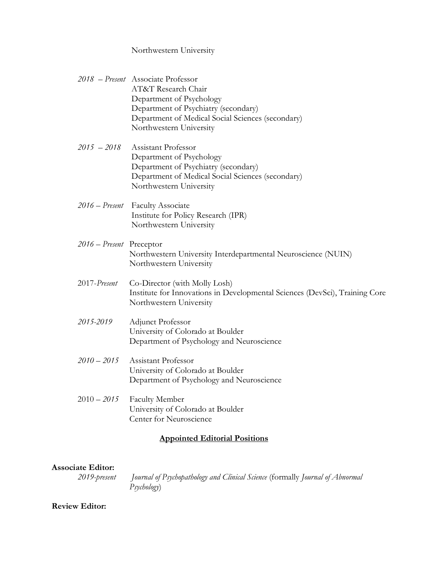# Northwestern University

|                                      | 2018 - Present Associate Professor<br>AT&T Research Chair                   |  |
|--------------------------------------|-----------------------------------------------------------------------------|--|
|                                      | Department of Psychology                                                    |  |
|                                      | Department of Psychiatry (secondary)                                        |  |
|                                      | Department of Medical Social Sciences (secondary)                           |  |
|                                      | Northwestern University                                                     |  |
| $2015 - 2018$                        | Assistant Professor                                                         |  |
|                                      | Department of Psychology                                                    |  |
|                                      | Department of Psychiatry (secondary)                                        |  |
|                                      | Department of Medical Social Sciences (secondary)                           |  |
|                                      | Northwestern University                                                     |  |
|                                      | 2016 - Present Faculty Associate                                            |  |
|                                      | Institute for Policy Research (IPR)                                         |  |
|                                      | Northwestern University                                                     |  |
| 2016 - Present Preceptor             |                                                                             |  |
|                                      | Northwestern University Interdepartmental Neuroscience (NUIN)               |  |
|                                      | Northwestern University                                                     |  |
| 2017-Present                         | Co-Director (with Molly Losh)                                               |  |
|                                      | Institute for Innovations in Developmental Sciences (DevSci), Training Core |  |
|                                      | Northwestern University                                                     |  |
| 2015-2019                            | Adjunct Professor                                                           |  |
|                                      | University of Colorado at Boulder                                           |  |
|                                      | Department of Psychology and Neuroscience                                   |  |
| $2010 - 2015$                        | Assistant Professor                                                         |  |
|                                      | University of Colorado at Boulder                                           |  |
|                                      | Department of Psychology and Neuroscience                                   |  |
| $2010 - 2015$                        | <b>Faculty Member</b>                                                       |  |
|                                      | University of Colorado at Boulder                                           |  |
|                                      | Center for Neuroscience                                                     |  |
| <b>Appointed Editorial Positions</b> |                                                                             |  |

# **Associate Editor:**

*2019-present Journal of Psychopathology and Clinical Science* (formally *Journal of Abnormal Psychology*)

# **Review Editor:**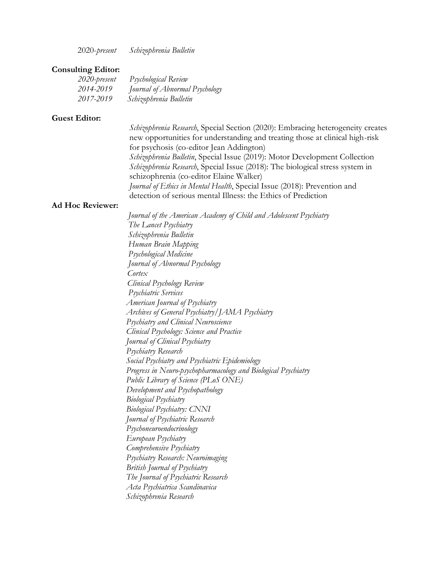2020-*present Schizophrenia Bulletin*

#### **Consulting Editor:**

| 2020-present | Psychological Review           |
|--------------|--------------------------------|
| 2014-2019    | Journal of Abnormal Psychology |
| 2017-2019    | Schizophrenia Bulletin         |

#### **Guest Editor:**

*Schizophrenia Research*, Special Section (2020): Embracing heterogeneity creates new opportunities for understanding and treating those at clinical high-risk for psychosis (co-editor Jean Addington) *Schizophrenia Bulletin*, Special Issue (2019): Motor Development Collection *Schizophrenia Research*, Special Issue (2018): The biological stress system in schizophrenia (co-editor Elaine Walker) *Journal of Ethics in Mental Health*, Special Issue (2018): Prevention and detection of serious mental Illness: the Ethics of Prediction

#### **Ad Hoc Reviewer:**

*Journal of the American Academy of Child and Adolescent Psychiatry The Lancet Psychiatry Schizophrenia Bulletin Human Brain Mapping Psychological Medicine Journal of Abnormal Psychology Cortex Clinical Psychology Review Psychiatric Services American Journal of Psychiatry Archives of General Psychiatry/JAMA Psychiatry Psychiatry and Clinical Neuroscience Clinical Psychology: Science and Practice Journal of Clinical Psychiatry Psychiatry Research Social Psychiatry and Psychiatric Epidemiology Progress in Neuro-psychopharmacology and Biological Psychiatry Public Library of Science (PLoS ONE) Development and Psychopathology Biological Psychiatry Biological Psychiatry: CNNI Journal of Psychiatric Research Psychoneuroendocrinology European Psychiatry Comprehensive Psychiatry Psychiatry Research: Neuroimaging British Journal of Psychiatry The Journal of Psychiatric Research Acta Psychiatrica Scandinavica Schizophrenia Research*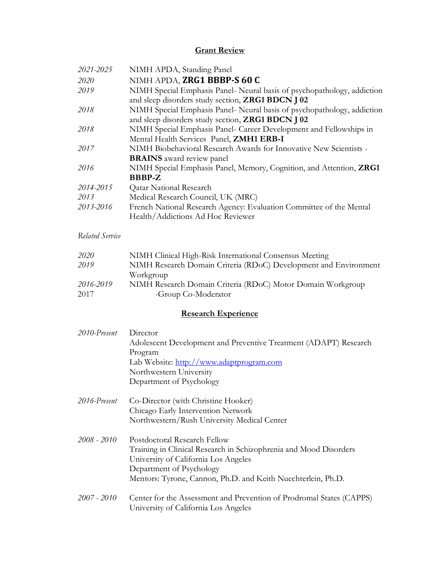# **Grant Review**

| 2021-2025       | NIMH APDA, Standing Panel                                                                                                    |
|-----------------|------------------------------------------------------------------------------------------------------------------------------|
| 2020            | NIMH APDA, ZRG1 BBBP-S 60 C                                                                                                  |
| 2019            | NIMH Special Emphasis Panel- Neural basis of psychopathology, addiction<br>and sleep disorders study section, ZRG1 BDCN J 02 |
| 2018            | NIMH Special Emphasis Panel- Neural basis of psychopathology, addiction<br>and sleep disorders study section, ZRG1 BDCN J 02 |
| 2018            | NIMH Special Emphasis Panel- Career Development and Fellowships in<br>Mental Health Services Panel, ZMH1 ERB-I               |
| 2017            | NIMH Biobehavioral Research Awards for Innovative New Scientists -<br><b>BRAINS</b> award review panel                       |
| 2016            | NIMH Special Emphasis Panel, Memory, Cognition, and Attention, ZRG1<br><b>BBBP-Z</b>                                         |
| 2014-2015       | <b>Qatar National Research</b>                                                                                               |
| 2013            | Medical Research Council, UK (MRC)                                                                                           |
| 2013-2016       | French National Research Agency: Evaluation Committee of the Mental<br>Health/Addictions Ad Hoc Reviewer                     |
| Related Service |                                                                                                                              |
| 2020            | NIMH Clinical High-Risk International Consensus Meeting                                                                      |
| 2019            | NIMH Research Domain Criteria (RDoC) Development and Environment<br>Workgroup                                                |
| 2016-2019       | NIMH Research Domain Criteria (RDoC) Motor Domain Workgroup                                                                  |
| 2017            | -Group Co-Moderator                                                                                                          |
|                 | <b>Research Experience</b>                                                                                                   |
| 2010-Present    | Director                                                                                                                     |
|                 | Adolescent Development and Preventive Treatment (ADAPT) Research<br>Program                                                  |
|                 | Lab Website: http://www.adaptprogram.com                                                                                     |
|                 | Northwestern University                                                                                                      |
|                 | Department of Psychology                                                                                                     |
| 2016-Present    | Co-Director (with Christine Hooker)                                                                                          |
|                 | Chicago Early Intervention Network                                                                                           |
|                 | Northwestern/Rush University Medical Center                                                                                  |
| $2008 - 2010$   | Postdoctoral Research Fellow                                                                                                 |
|                 | Training in Clinical Research in Schizophrenia and Mood Disorders                                                            |
|                 | University of California Los Angeles                                                                                         |
|                 | Department of Psychology                                                                                                     |
|                 | Mentors: Tyrone, Cannon, Ph.D. and Keith Nuechterlein, Ph.D.                                                                 |
| $2007 - 2010$   | Center for the Assessment and Prevention of Prodromal States (CAPPS)<br>University of California Los Angeles                 |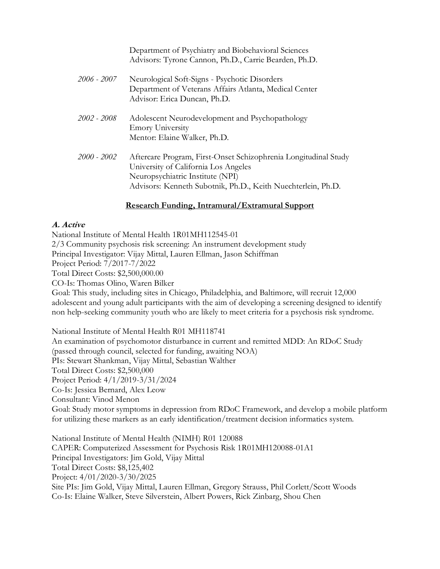|               | Department of Psychiatry and Biobehavioral Sciences<br>Advisors: Tyrone Cannon, Ph.D., Carrie Bearden, Ph.D.                                                                                                |
|---------------|-------------------------------------------------------------------------------------------------------------------------------------------------------------------------------------------------------------|
| 2006 - 2007   | Neurological Soft-Signs - Psychotic Disorders<br>Department of Veterans Affairs Atlanta, Medical Center<br>Advisor: Erica Duncan, Ph.D.                                                                     |
| 2002 - 2008   | Adolescent Neurodevelopment and Psychopathology<br><b>Emory University</b><br>Mentor: Elaine Walker, Ph.D.                                                                                                  |
| $2000 - 2002$ | Aftercare Program, First-Onset Schizophrenia Longitudinal Study<br>University of California Los Angeles<br>Neuropsychiatric Institute (NPI)<br>Advisors: Kenneth Subotnik, Ph.D., Keith Nuechterlein, Ph.D. |

# **Research Funding, Intramural/Extramural Support**

# **A. Active**

National Institute of Mental Health [1R01MH112545-01](https://public.era.nih.gov/grantfolder/piAppDetails/genericStatus.do?encryptedParam=BEJq4kRVMA4.hIrPkJJeyc7LFlvU8Bj2yeVP0MpW05EgcziOPcgUd4E.) 2/3 Community psychosis risk screening: An instrument development study Principal Investigator: Vijay Mittal, Lauren Ellman, Jason Schiffman Project Period: 7/2017-7/2022 Total Direct Costs: \$2,500,000.00 CO-Is: Thomas Olino, Waren Bilker Goal: This study, including sites in Chicago, Philadelphia, and Baltimore, will recruit 12,000 adolescent and young adult participants with the aim of developing a screening designed to identify non help-seeking community youth who are likely to meet criteria for a psychosis risk syndrome.

National Institute of Mental Health R01 MH118741 An examination of psychomotor disturbance in current and remitted MDD: An RDoC Study (passed through council, selected for funding, awaiting NOA) PIs: Stewart Shankman, Vijay Mittal, Sebastian Walther Total Direct Costs: \$2,500,000 Project Period: 4/1/2019-3/31/2024 Co-Is: Jessica Bernard, Alex Leow Consultant: Vinod Menon Goal: Study motor symptoms in depression from RDoC Framework, and develop a mobile platform for utilizing these markers as an early identification/treatment decision informatics system.

National Institute of Mental Health (NIMH) R01 120088 CAPER: Computerized Assessment for Psychosis Risk 1R01MH120088-01A1 Principal Investigators: Jim Gold, Vijay Mittal Total Direct Costs: \$8,125,402 Project: 4/01/2020-3/30/2025 Site PIs: Jim Gold, Vijay Mittal, Lauren Ellman, Gregory Strauss, Phil Corlett/Scott Woods Co-Is: Elaine Walker, Steve Silverstein, Albert Powers, Rick Zinbarg, Shou Chen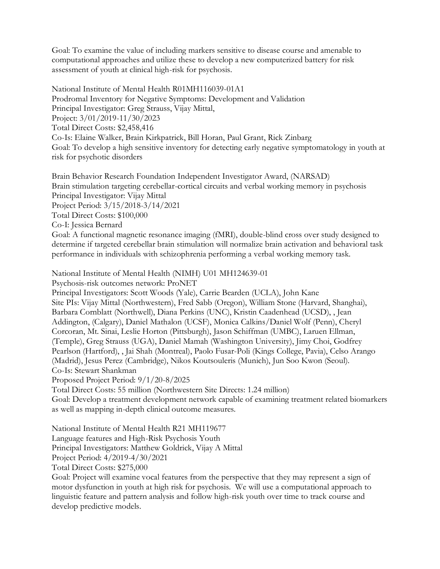Goal: To examine the value of including markers sensitive to disease course and amenable to computational approaches and utilize these to develop a new computerized battery for risk assessment of youth at clinical high-risk for psychosis.

National Institute of Mental Health R01MH116039-01A1 Prodromal Inventory for Negative Symptoms: Development and Validation Principal Investigator: Greg Strauss, Vijay Mittal, Project: 3/01/2019-11/30/2023 Total Direct Costs: \$2,458,416 Co-Is: Elaine Walker, Brain Kirkpatrick, Bill Horan, Paul Grant, Rick Zinbarg Goal: To develop a high sensitive inventory for detecting early negative symptomatology in youth at risk for psychotic disorders

Brain Behavior Research Foundation Independent Investigator Award, (NARSAD) Brain stimulation targeting cerebellar-cortical circuits and verbal working memory in psychosis Principal Investigator: Vijay Mittal Project Period: 3/15/2018-3/14/2021 Total Direct Costs: \$100,000 Co-I: Jessica Bernard Goal: A functional magnetic resonance imaging (fMRI), double-blind cross over study designed to determine if targeted cerebellar brain stimulation will normalize brain activation and behavioral task

performance in individuals with schizophrenia performing a verbal working memory task.

National Institute of Mental Health (NIMH) U01 MH124639-01

Psychosis-risk outcomes network: ProNET

Principal Investigators: Scott Woods (Yale), Carrie Bearden (UCLA), John Kane Site PIs: Vijay Mittal (Northwestern), Fred Sabb (Oregon), William Stone (Harvard, Shanghai), Barbara Cornblatt (Northwell), Diana Perkins (UNC), Kristin Caadenhead (UCSD), , Jean Addington, (Calgary), Daniel Mathalon (UCSF), Monica Calkins/Daniel Wolf (Penn), Cheryl Corcoran, Mt. Sinai, Leslie Horton (Pittsburgh), Jason Schiffman (UMBC), Laruen Ellman, (Temple), Greg Strauss (UGA), Daniel Mamah (Washington University), Jimy Choi, Godfrey Pearlson (Hartford), , Jai Shah (Montreal), Paolo Fusar-Poli (Kings College, Pavia), Celso Arango (Madrid), Jesus Perez (Cambridge), Nikos Koutsouleris (Munich), Jun Soo Kwon (Seoul). Co-Is: Stewart Shankman

Proposed Project Period: 9/1/20-8/2025

Total Direct Costs: 55 million (Northwestern Site Directs: 1.24 million)

Goal: Develop a treatment development network capable of examining treatment related biomarkers as well as mapping in-depth clinical outcome measures.

National Institute of Mental Health R21 MH119677 Language features and High-Risk Psychosis Youth Principal Investigators: Matthew Goldrick, Vijay A Mittal Project Period: 4/2019-4/30/2021 Total Direct Costs: \$275,000

Goal: Project will examine vocal features from the perspective that they may represent a sign of motor dysfunction in youth at high risk for psychosis. We will use a computational approach to linguistic feature and pattern analysis and follow high-risk youth over time to track course and develop predictive models.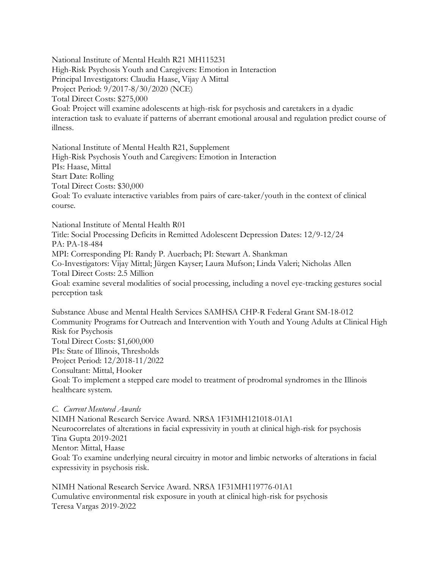National Institute of Mental Health R21 MH115231 High-Risk Psychosis Youth and Caregivers: Emotion in Interaction Principal Investigators: Claudia Haase, Vijay A Mittal Project Period: 9/2017-8/30/2020 (NCE) Total Direct Costs: \$275,000 Goal: Project will examine adolescents at high-risk for psychosis and caretakers in a dyadic interaction task to evaluate if patterns of aberrant emotional arousal and regulation predict course of illness.

National Institute of Mental Health R21, Supplement High-Risk Psychosis Youth and Caregivers: Emotion in Interaction PIs: Haase, Mittal Start Date: Rolling Total Direct Costs: \$30,000 Goal: To evaluate interactive variables from pairs of care-taker/youth in the context of clinical course.

National Institute of Mental Health R01 Title: Social Processing Deficits in Remitted Adolescent Depression Dates: 12/9-12/24 PA: PA-18-484 MPI: Corresponding PI: Randy P. Auerbach; PI: Stewart A. Shankman Co-Investigators: Vijay Mittal; Jürgen Kayser; Laura Mufson; Linda Valeri; Nicholas Allen Total Direct Costs: 2.5 Million Goal: examine several modalities of social processing, including a novel eye-tracking gestures social perception task

Substance Abuse and Mental Health Services SAMHSA CHP-R Federal Grant SM-18-012 Community Programs for Outreach and Intervention with Youth and Young Adults at Clinical High Risk for Psychosis Total Direct Costs: \$1,600,000 PIs: State of Illinois, Thresholds Project Period: 12/2018-11/2022 Consultant: Mittal, Hooker Goal: To implement a stepped care model to treatment of prodromal syndromes in the Illinois healthcare system.

*C. Current Mentored Awards*

NIMH National Research Service Award. NRSA 1F31MH121018-01A1 Neurocorrelates of alterations in facial expressivity in youth at clinical high-risk for psychosis Tina Gupta 2019-2021 Mentor: Mittal, Haase Goal: To examine underlying neural circuitry in motor and limbic networks of alterations in facial expressivity in psychosis risk.

NIMH National Research Service Award. NRSA 1F31MH119776-01A1 Cumulative environmental risk exposure in youth at clinical high-risk for psychosis Teresa Vargas 2019-2022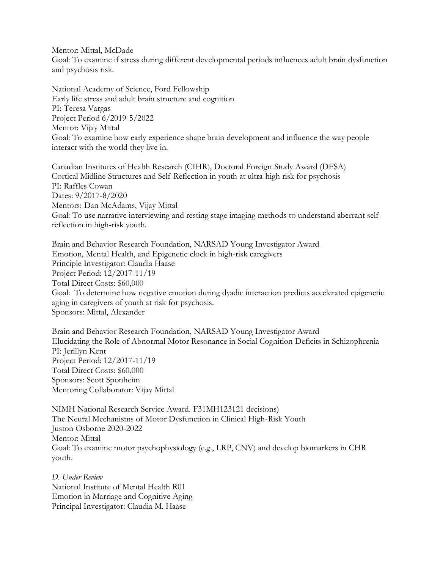Mentor: Mittal, McDade Goal: To examine if stress during different developmental periods influences adult brain dysfunction and psychosis risk.

National Academy of Science, Ford Fellowship Early life stress and adult brain structure and cognition PI: Teresa Vargas Project Period 6/2019-5/2022 Mentor: Vijay Mittal Goal: To examine how early experience shape brain development and influence the way people interact with the world they live in.

Canadian Institutes of Health Research (CIHR), Doctoral Foreign Study Award (DFSA) Cortical Midline Structures and Self-Reflection in youth at ultra-high risk for psychosis PI: Raffles Cowan Dates: 9/2017-8/2020 Mentors: Dan McAdams, Vijay Mittal Goal: To use narrative interviewing and resting stage imaging methods to understand aberrant selfreflection in high-risk youth.

Brain and Behavior Research Foundation, NARSAD Young Investigator Award Emotion, Mental Health, and Epigenetic clock in high-risk caregivers Principle Investigator: Claudia Haase Project Period: 12/2017-11/19 Total Direct Costs: \$60,000 Goal: To determine how negative emotion during dyadic interaction predicts accelerated epigenetic aging in caregivers of youth at risk for psychosis. Sponsors: Mittal, Alexander

Brain and Behavior Research Foundation, NARSAD Young Investigator Award Elucidating the Role of Abnormal Motor Resonance in Social Cognition Deficits in Schizophrenia PI: Jerillyn Kent Project Period: 12/2017-11/19 Total Direct Costs: \$60,000 Sponsors: Scott Sponheim Mentoring Collaborator: Vijay Mittal

NIMH National Research Service Award. F31MH123121 decisions) The Neural Mechanisms of Motor Dysfunction in Clinical High-Risk Youth Juston Osborne 2020-2022 Mentor: Mittal Goal: To examine motor psychophysiology (e.g., LRP, CNV) and develop biomarkers in CHR youth.

*D. Under Review* National Institute of Mental Health R01 Emotion in Marriage and Cognitive Aging Principal Investigator: Claudia M. Haase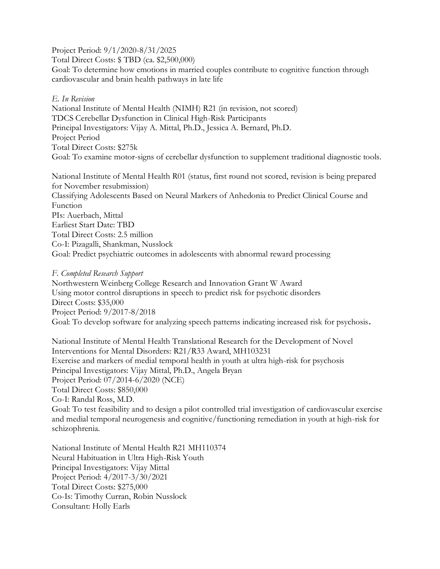Project Period: 9/1/2020-8/31/2025

Total Direct Costs: \$ TBD (ca. \$2,500,000)

Goal: To determine how emotions in married couples contribute to cognitive function through cardiovascular and brain health pathways in late life

# *E. In Revision*

National Institute of Mental Health (NIMH) R21 (in revision, not scored) TDCS Cerebellar Dysfunction in Clinical High-Risk Participants Principal Investigators: Vijay A. Mittal, Ph.D., Jessica A. Bernard, Ph.D. Project Period Total Direct Costs: \$275k Goal: To examine motor-signs of cerebellar dysfunction to supplement traditional diagnostic tools.

National Institute of Mental Health R01 (status, first round not scored, revision is being prepared for November resubmission) Classifying Adolescents Based on Neural Markers of Anhedonia to Predict Clinical Course and Function PIs: Auerbach, Mittal Earliest Start Date: TBD Total Direct Costs: 2.5 million Co-I: Pizagalli, Shankman, Nusslock Goal: Predict psychiatric outcomes in adolescents with abnormal reward processing

# *F. Completed Research Support*

Northwestern Weinberg College Research and Innovation Grant W Award Using motor control disruptions in speech to predict risk for psychotic disorders Direct Costs: \$35,000 Project Period: 9/2017-8/2018 Goal: To develop software for analyzing speech patterns indicating increased risk for psychosis**.**

National Institute of Mental Health Translational Research for the Development of Novel Interventions for Mental Disorders: R21/R33 Award, MH103231 Exercise and markers of medial temporal health in youth at ultra high-risk for psychosis Principal Investigators: Vijay Mittal, Ph.D., Angela Bryan Project Period: 07/2014-6/2020 (NCE) Total Direct Costs: \$850,000 Co-I: Randal Ross, M.D. Goal: To test feasibility and to design a pilot controlled trial investigation of cardiovascular exercise and medial temporal neurogenesis and cognitive/functioning remediation in youth at high-risk for schizophrenia.

National Institute of Mental Health R21 MH110374 Neural Habituation in Ultra High-Risk Youth Principal Investigators: Vijay Mittal Project Period: 4/2017-3/30/2021 Total Direct Costs: \$275,000 Co-Is: Timothy Curran, Robin Nusslock Consultant: Holly Earls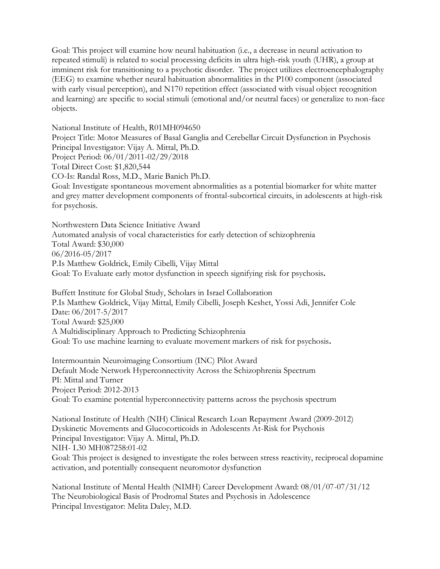Goal: This project will examine how neural habituation (i.e., a decrease in neural activation to repeated stimuli) is related to social processing deficits in ultra high-risk youth (UHR), a group at imminent risk for transitioning to a psychotic disorder. The project utilizes electroencephalography (EEG) to examine whether neural habituation abnormalities in the P100 component (associated with early visual perception), and N170 repetition effect (associated with visual object recognition and learning) are specific to social stimuli (emotional and/or neutral faces) or generalize to non-face objects.

National Institute of Health, R01MH094650 Project Title: Motor Measures of Basal Ganglia and Cerebellar Circuit Dysfunction in Psychosis Principal Investigator: Vijay A. Mittal, Ph.D. Project Period: 06/01/2011-02/29/2018 Total Direct Cost: \$1,820,544 CO-Is: Randal Ross, M.D., Marie Banich Ph.D. Goal: Investigate spontaneous movement abnormalities as a potential biomarker for white matter and grey matter development components of frontal-subcortical circuits, in adolescents at high-risk for psychosis.

Northwestern Data Science Initiative Award Automated analysis of vocal characteristics for early detection of schizophrenia Total Award: \$30,000 06/2016-05/2017 P.Is Matthew Goldrick, Emily Cibelli, Vijay Mittal Goal: To Evaluate early motor dysfunction in speech signifying risk for psychosis**.**

Buffett Institute for Global Study, Scholars in Israel Collaboration P.Is Matthew Goldrick, Vijay Mittal, Emily Cibelli, Joseph Keshet, Yossi Adi, Jennifer Cole Date: 06/2017-5/2017 Total Award: \$25,000 A Multidisciplinary Approach to Predicting Schizophrenia Goal: To use machine learning to evaluate movement markers of risk for psychosis**.**

Intermountain Neuroimaging Consortium (INC) Pilot Award Default Mode Network Hyperconnectivity Across the Schizophrenia Spectrum PI: Mittal and Turner Project Period: 2012-2013 Goal: To examine potential hyperconnectivity patterns across the psychosis spectrum

National Institute of Health (NIH) Clinical Research Loan Repayment Award (2009-2012) Dyskinetic Movements and Glucocorticoids in Adolescents At-Risk for Psychosis Principal Investigator: Vijay A. Mittal, Ph.D. NIH- L30 MH087258:01-02 Goal: This project is designed to investigate the roles between stress reactivity, reciprocal dopamine activation, and potentially consequent neuromotor dysfunction

National Institute of Mental Health (NIMH) Career Development Award: 08/01/07-07/31/12 The Neurobiological Basis of Prodromal States and Psychosis in Adolescence Principal Investigator: Melita Daley, M.D.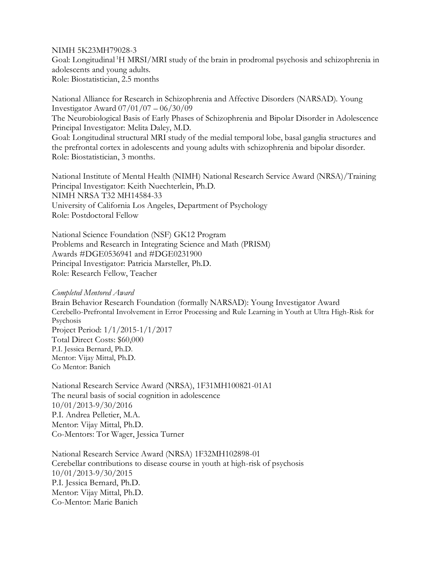NIMH 5K23MH79028-3 Goal: Longitudinal <sup>1</sup>H MRSI/MRI study of the brain in prodromal psychosis and schizophrenia in adolescents and young adults. Role: Biostatistician, 2.5 months

National Alliance for Research in Schizophrenia and Affective Disorders (NARSAD). Young Investigator Award 07/01/07 – 06/30/09 The Neurobiological Basis of Early Phases of Schizophrenia and Bipolar Disorder in Adolescence Principal Investigator: Melita Daley, M.D. Goal: Longitudinal structural MRI study of the medial temporal lobe, basal ganglia structures and the prefrontal cortex in adolescents and young adults with schizophrenia and bipolar disorder. Role: Biostatistician, 3 months.

National Institute of Mental Health (NIMH) National Research Service Award (NRSA)/Training Principal Investigator: Keith Nuechterlein, Ph.D. NIMH NRSA T32 MH14584-33 University of California Los Angeles, Department of Psychology Role: Postdoctoral Fellow

National Science Foundation (NSF) GK12 Program Problems and Research in Integrating Science and Math (PRISM) Awards #DGE0536941 and #DGE0231900 Principal Investigator: Patricia Marsteller, Ph.D. Role: Research Fellow, Teacher

*Completed Mentored Award*

Brain Behavior Research Foundation (formally NARSAD): Young Investigator Award Cerebello-Prefrontal Involvement in Error Processing and Rule Learning in Youth at Ultra High-Risk for Psychosis Project Period: 1/1/2015-1/1/2017 Total Direct Costs: \$60,000 P.I. Jessica Bernard, Ph.D. Mentor: Vijay Mittal, Ph.D. Co Mentor: Banich

National Research Service Award (NRSA), 1F31MH100821-01A1 The neural basis of social cognition in adolescence 10/01/2013-9/30/2016 P.I. Andrea Pelletier, M.A. Mentor: Vijay Mittal, Ph.D. Co-Mentors: Tor Wager, Jessica Turner

National Research Service Award (NRSA) 1F32MH102898-01 Cerebellar contributions to disease course in youth at high-risk of psychosis 10/01/2013-9/30/2015 P.I. Jessica Bernard, Ph.D. Mentor: Vijay Mittal, Ph.D. Co-Mentor: Marie Banich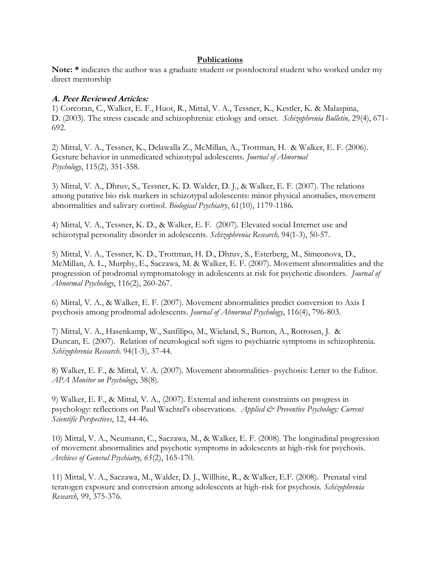#### **Publications**

Note: \* indicates the author was a graduate student or postdoctoral student who worked under my direct mentorship

#### **A. Peer Reviewed Articles:**

1) Corcoran, C., Walker, E. F., Huot, R., Mittal, V. A., Tessner, K., Kestler, K. & Malaspina, D. (2003). The stress cascade and schizophrenia: etiology and onset. *Schizophrenia Bulletin,* 29(4), 671- 692.

2) Mittal, V. A., Tessner, K., Delawalla Z., McMillan, A., Trottman, H. & Walker, E. F. (2006). Gesture behavior in unmedicated schizotypal adolescents. *Journal of Abnormal Psychology*, 115(2), 351-358.

3) Mittal, V. A., Dhruv, S., Tessner, K. D. Walder, D. J., & Walker, E. F. (2007). The relations among putative bio risk markers in schizotypal adolescents: minor physical anomalies, movement abnormalities and salivary cortisol. *Biological Psychiatry*, 61(10), 1179-1186.

4) Mittal, V. A., Tessner, K. D., & Walker, E. F. (2007). Elevated social Internet use and schizotypal personality disorder in adolescents. *Schizophrenia Research,* 94(1-3), 50-57.

5) Mittal, V. A., Tessner, K. D., Trottman, H. D., Dhruv, S., Esterberg, M., Simeonova, D., McMillan, A. L., Murphy, E., Saczawa, M. & Walker, E. F. (2007). Movement abnormalities and the progression of prodromal symptomatology in adolescents at risk for psychotic disorders. *Journal of Abnormal Psychology*, 116(2), 260-267.

6) Mittal, V. A., & Walker, E. F. (2007). Movement abnormalities predict conversion to Axis I psychosis among prodromal adolescents. *Journal of Abnormal Psychology*, 116(4), 796-803.

7) Mittal, V. A., Hasenkamp, W., Sanfilipo, M., Wieland, S., Burton, A., Rotrosen, J. & Duncan, E. (2007). Relation of neurological soft signs to psychiatric symptoms in schizophrenia. *Schizophrenia Research*. 94(1-3), 37-44.

8) Walker, E. F., & Mittal, V. A. (2007). Movement abnormalities- psychosis: Letter to the Editor. *APA Monitor on Psychology*, 38(8).

9) Walker, E. F., & Mittal, V. A., (2007). External and inherent constraints on progress in psychology: reflections on Paul Wachtel's observations. *Applied & Preventive Psychology: Current Scientific Perspectives*, 12, 44-46.

10) Mittal, V. A., Neumann, C., Saczawa, M., & Walker, E. F. (2008). The longitudinal progression of movement abnormalities and psychotic symptoms in adolescents at high-risk for psychosis. *Archives of General Psychiatry, 65*(2), 165-170.

11) Mittal, V. A., Saczawa, M., Walder, D. J., Willhite, R., & Walker, E.F. (2008). Prenatal viral teratogen exposure and conversion among adolescents at high-risk for psychosis. *Schizophrenia Research*, 99, 375-376.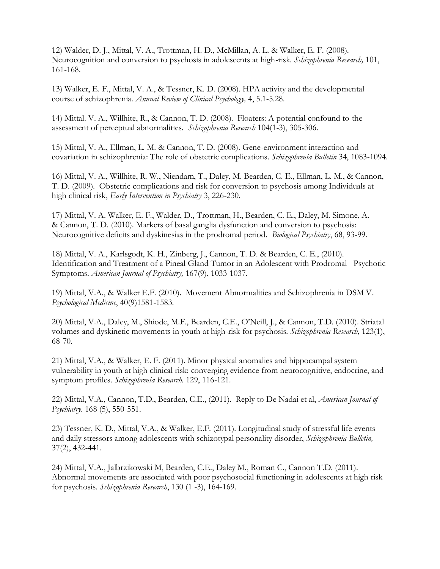12) Walder, D. J., Mittal, V. A., Trottman, H. D., McMillan, A. L. & Walker, E. F. (2008). Neurocognition and conversion to psychosis in adolescents at high-risk. *Schizophrenia Research,* 101, 161-168.

13) Walker, E. F., Mittal, V. A., & Tessner, K. D. (2008). HPA activity and the developmental course of schizophrenia. *Annual Review of Clinical Psychology,* 4, 5.1-5.28.

14) Mittal. V. A., Willhite, R., & Cannon, T. D. (2008). Floaters: A potential confound to the assessment of perceptual abnormalities. *Schizophrenia Research* 104(1-3), 305-306.

15) Mittal, V. A., Ellman, L. M. & Cannon, T. D. (2008). Gene-environment interaction and covariation in schizophrenia: The role of obstetric complications. *Schizophrenia Bulletin* 34, 1083-1094.

16) Mittal, V. A., Willhite, R. W., Niendam, T., Daley, M. Bearden, C. E., Ellman, L. M., & Cannon, T. D. (2009). Obstetric complications and risk for conversion to psychosis among Individuals at high clinical risk, *Early Intervention in Psychiatry* 3, 226-230.

17) Mittal, V. A. Walker, E. F., Walder, D., Trottman, H., Bearden, C. E., Daley, M. Simone, A. & Cannon, T. D. (2010). Markers of basal ganglia dysfunction and conversion to psychosis: Neurocognitive deficits and dyskinesias in the prodromal period. *Biological Psychiatry*, 68, 93-99.

18) Mittal, V. A., Karlsgodt, K. H., Zinberg, J., Cannon, T. D. & Bearden, C. E., (2010). Identification and Treatment of a Pineal Gland Tumor in an Adolescent with Prodromal Psychotic Symptoms. *American Journal of Psychiatry,* 167(9), 1033-1037.

19) Mittal, V.A., & Walker E.F. (2010). Movement Abnormalities and Schizophrenia in DSM V*. Psychological Medicine*, 40(9)1581-1583.

20) Mittal, V.A., Daley, M., Shiode, M.F., Bearden, C.E., O'Neill, J., & Cannon, T.D. (2010). Striatal volumes and dyskinetic movements in youth at high-risk for psychosis. *Schizophrenia Research,* 123(1), 68-70*.*

21) Mittal, V.A., & Walker, E. F. (2011). Minor physical anomalies and hippocampal system vulnerability in youth at high clinical risk: converging evidence from neurocognitive, endocrine, and symptom profiles. *Schizophrenia Research.* 129, 116-121.

22) Mittal, V.A., Cannon, T.D., Bearden, C.E., (2011). Reply to De Nadai et al, *American Journal of Psychiatry*. 168 (5), 550-551.

23) Tessner, K. D., Mittal, V.A., & Walker, E.F. (2011). Longitudinal study of stressful life events and daily stressors among adolescents with schizotypal personality disorder, *Schizophrenia Bulletin,*  37(2), 432-441.

24) Mittal, V.A., Jalbrzikowski M, Bearden, C.E., Daley M., Roman C., Cannon T.D. (2011). Abnormal movements are associated with poor psychosocial functioning in adolescents at high risk for psychosis. *Schizophrenia Research*, 130 (1 -3), 164-169.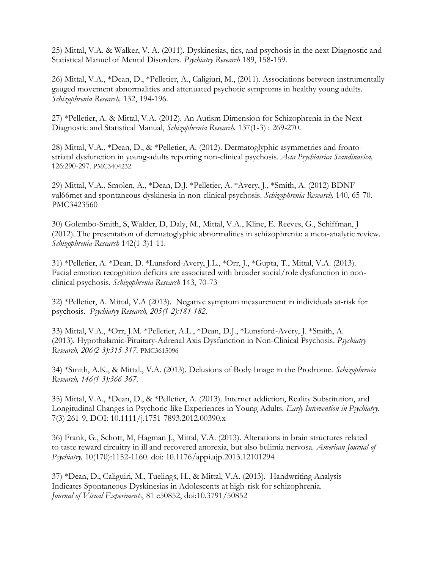25) Mittal, V.A. & Walker, V. A. (2011). Dyskinesias, tics, and psychosis in the next Diagnostic and Statistical Manuel of Mental Disorders. *Psychiatry Research* 189, 158-159*.*

26) Mittal, V.A., \*Dean, D., \*Pelletier, A., Caligiuri, M., (2011). Associations between instrumentally gauged movement abnormalities and attenuated psychotic symptoms in healthy young adults. *Schizophrenia Research,* 132, 194-196*.*

27) \*Pelletier, A. & Mittal, V.A. (2012). An Autism Dimension for Schizophrenia in the Next Diagnostic and Statistical Manual, *Schizophrenia Research.* 137(1-3) : 269-270.

28) Mittal, V.A., \*Dean, D., & \*Pelletier, A. (2012). Dermatoglyphic asymmetries and frontostriatal dysfunction in young-adults reporting non-clinical psychosis. *Acta Psychiatrica Scandinavica,*  126:290-297. PMC3404232

29) Mittal, V.A., Smolen, A., \*Dean, D.J. \*Pelletier, A. \*Avery, J., \*Smith, A. (2012) BDNF val66met and spontaneous dyskinesia in non-clinical psychosis. *Schizophrenia Research,* 140, 65-70. PMC3423560

30) Golembo-Smith, S, Walder, D, Daly, M., Mittal, V.A., Kline, E. Reeves, G., Schiffman, J (2012). The presentation of dermatoglyphic abnormalities in schizophrenia: a meta-analytic review. *Schizophrenia Research* 142(1-3)1-11.

31) \*Pelletier, A. \*Dean, D. \*Lunsford-Avery, J.L., \*Orr, J., \*Gupta, T., Mittal, V.A. (2013). Facial emotion recognition deficits are associated with broader social/role dysfunction in nonclinical psychosis. *Schizophrenia Research* 143, 70-73

32) \*Pelletier, A. Mittal, V.A (2013). Negative symptom measurement in individuals at-risk for psychosis. *Psychiatry Research, 205(1-2):181-182.*

33) Mittal, V.A., \*Orr, J.M. \*Pelletier, A.L., \*Dean, D.J., \*Lunsford-Avery, J. \*Smith, A. (2013). Hypothalamic-Pituitary-Adrenal Axis Dysfunction in Non-Clinical Psychosis. *Psychiatry Research, 206(2-3):315-317.* PMC3615096

34) \*Smith, A.K., & Mittal., V.A. (2013). Delusions of Body Image in the Prodrome. *Schizophrenia Research, 146(1-3):366-367.*

35) Mittal, V.A., \*Dean, D., & \*Pelletier, A. (2013). Internet addiction, Reality Substitution, and Longitudinal Changes in Psychotic-like Experiences in Young Adults. *Early Intervention in Psychiatry.* 7(3) 261-9, DOI: 10.1111/j.1751-7893.2012.00390.x

36) Frank, G., Schott, M, Hagman J., Mittal, V.A. (2013). Alterations in brain structures related to taste reward circuitry in ill and recovered anorexia, but also bulimia nervosa. *American Journal of Psychiatry,* 10(170):1152-1160. doi: 10.1176/appi.ajp.2013.12101294

37) \*Dean, D., Caliguiri, M., Tuelings, H., & Mittal, V.A. (2013). Handwriting Analysis Indicates Spontaneous Dyskinesias in Adolescents at high-risk for schizophrenia. *Journal of Visual Experiments*, 81 e50852, doi:10.3791/50852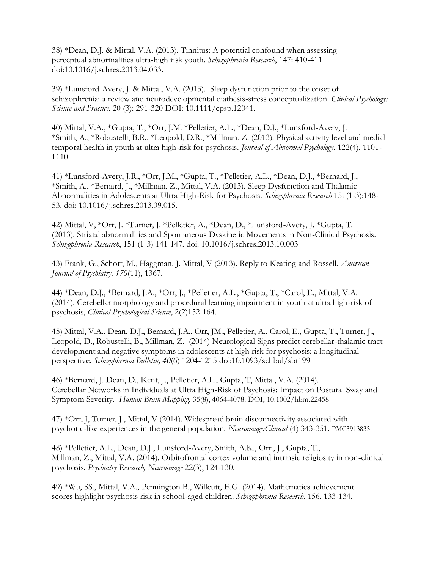38) \*Dean, D.J. & Mittal, V.A. (2013). Tinnitus: A potential confound when assessing perceptual abnormalities ultra-high risk youth. *Schizophrenia Research*, 147: 410-411 doi:10.1016/j.schres.2013.04.033.

39) \*Lunsford-Avery, J. & Mittal, V.A. (2013). Sleep dysfunction prior to the onset of schizophrenia: a review and neurodevelopmental diathesis-stress conceptualization. *Clinical Psychology: Science and Practice*, 20 (3): 291-320 DOI: 10.1111/cpsp.12041.

40) Mittal, V.A., \*Gupta, T., \*Orr, J.M. \*Pelletier, A.L., \*Dean, D.J., \*Lunsford-Avery, J. \*Smith, A., \*Robustelli, B.R., \*Leopold, D.R., \*Millman, Z. (2013). Physical activity level and medial temporal health in youth at ultra high-risk for psychosis. *Journal of Abnormal Psychology*, 122(4), 1101- 1110.

41) \*Lunsford-Avery, J.R., \*Orr, J.M., \*Gupta, T., \*Pelletier, A.L., \*Dean, D.J., \*Bernard, J., \*Smith, A., \*Bernard, J., \*Millman, Z., Mittal, V.A. (2013). Sleep Dysfunction and Thalamic Abnormalities in Adolescents at Ultra High-Risk for Psychosis. *Schizophrenia Research* 151(1-3):148- 53. doi: 10.1016/j.schres.2013.09.015.

42) Mittal, V, \*Orr, J. \*Turner, J. \*Pelletier, A., \*Dean, D., \*Lunsford-Avery, J. \*Gupta, T. (2013). Striatal abnormalities and Spontaneous Dyskinetic Movements in Non-Clinical Psychosis. *Schizophrenia Research*, 151 (1-3) 141-147. doi: 10.1016/j.schres.2013.10.003

43) Frank, G., Schott, M., Haggman, J. Mittal, V (2013). Reply to Keating and Rossell. *American Journal of Psychiatry, 170*(11), 1367.

44) \*Dean, D.J., \*Bernard, J.A., \*Orr, J., \*Pelletier, A.L., \*Gupta, T., \*Carol, E., Mittal, V.A. (2014). Cerebellar morphology and procedural learning impairment in youth at ultra high-risk of psychosis, *Clinical Psychological Science*, 2(2)152-164*.*

45) Mittal, V.A., Dean, D.J., Bernard, J.A., Orr, JM., Pelletier, A., Carol, E., Gupta, T., Turner, J., Leopold, D., Robustelli, B., Millman, Z. (2014) Neurological Signs predict cerebellar-thalamic tract development and negative symptoms in adolescents at high risk for psychosis: a longitudinal perspective. *Schizophrenia Bulletin, 40*(6) 1204-1215 doi:10.1093/schbul/sbt199

46) \*Bernard, J. Dean, D., Kent, J., Pelletier, A.L., Gupta, T, Mittal, V.A. (2014). Cerebellar Networks in Individuals at Ultra High-Risk of Psychosis: Impact on Postural Sway and Symptom Severity. *Human Brain Mapping*. 35(8), 4064-4078. DOI; 10.1002/hbm.22458

47) \*Orr, J, Turner, J., Mittal, V (2014). Widespread brain disconnectivity associated with psychotic-like experiences in the general population. *Neuroimage:Clinical* (4) 343-351. PMC3913833

48) \*Pelletier, A.L., Dean, D.J., Lunsford-Avery, Smith, A.K., Orr., J., Gupta, T., Millman, Z., Mittal, V.A. (2014). Orbitofrontal cortex volume and intrinsic religiosity in non-clinical psychosis. *Psychiatry Research, Neuroimage* 22(3), 124-130.

49) \*Wu, SS., Mittal, V.A., Pennington B., Willcutt, E.G. (2014). Mathematics achievement scores highlight psychosis risk in school-aged children. *Schizophrenia Research*, 156, 133-134.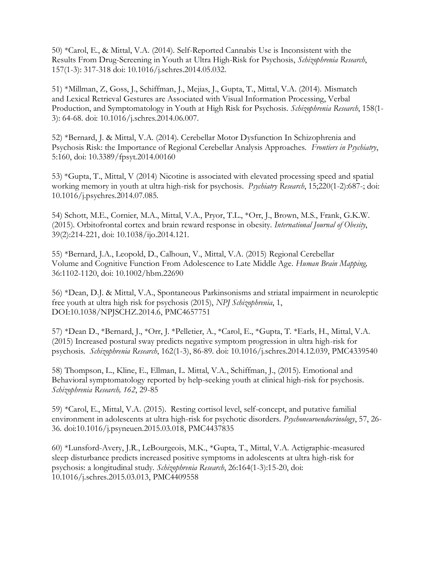50) \*Carol, E., & Mittal, V.A. (2014). Self-Reported Cannabis Use is Inconsistent with the Results From Drug-Screening in Youth at Ultra High-Risk for Psychosis, *Schizophrenia Research*, 157(1-3): 317-318 doi: 10.1016/j.schres.2014.05.032.

51) \*Millman, Z, Goss, J., Schiffman, J., Mejias, J., Gupta, T., Mittal, V.A. (2014). Mismatch and Lexical Retrieval Gestures are Associated with Visual Information Processing, Verbal Production, and Symptomatology in Youth at High Risk for Psychosis. *Schizophrenia Research*, 158(1- 3): 64-68. doi: 10.1016/j.schres.2014.06.007.

52) \*Bernard, J. & Mittal, V.A. (2014). Cerebellar Motor Dysfunction In Schizophrenia and Psychosis Risk: the Importance of Regional Cerebellar Analysis Approaches. *Frontiers in Psychiatry*, 5:160, doi: 10.3389/fpsyt.2014.00160

53) \*Gupta, T., Mittal, V (2014) Nicotine is associated with elevated processing speed and spatial working memory in youth at ultra high-risk for psychosis. *Psychiatry Research*, 15;220(1-2):687-; doi: 10.1016/j.psychres.2014.07.085.

54) Schott, M.E., Cornier, M.A., Mittal, V.A., Pryor, T.L., \*Orr, J., Brown, M.S., Frank, G.K.W. (2015). Orbitofrontal cortex and brain reward response in obesity. *International Journal of Obesity*, 39(2):214-221, doi: 10.1038/ijo.2014.121.

55) \*Bernard, J.A., Leopold, D., Calhoun, V., Mittal, V.A. (2015) Regional Cerebellar Volume and Cognitive Function From Adolescence to Late Middle Age. *Human Brain Mapping,* 36:1102-1120, doi: 10.1002/hbm.22690

56) \*Dean, D.J. & Mittal, V.A., Spontaneous Parkinsonisms and striatal impairment in neuroleptic free youth at ultra high risk for psychosis (2015), *NPJ Schizophrenia*, 1, DOI:10.1038/NPJSCHZ.2014.6, PMC4657751

57) \*Dean D., \*Bernard, J., \*Orr, J. \*Pelletier, A., \*Carol, E., \*Gupta, T. \*Earls, H., Mittal, V.A. (2015) Increased postural sway predicts negative symptom progression in ultra high-risk for psychosis. *Schizophrenia Research*, 162(1-3), 86-89. doi: 10.1016/j.schres.2014.12.039, PMC4339540

58) Thompson, L., Kline, E., Ellman, L. Mittal, V.A., Schiffman, J., (2015). Emotional and Behavioral symptomatology reported by help-seeking youth at clinical high-risk for psychosis. *Schizophrenia Research, 162*, 29-85

59) \*Carol, E., Mittal, V.A. (2015). Resting cortisol level, self-concept, and putative familial environment in adolescents at ultra high-risk for psychotic disorders. *Psychoneuroendocrinology*, 57, 26- 36*.* [doi:10.1016/j.psyneuen.2015.03.018,](http://dx.doi.org/10.1016/j.psyneuen.2015.03.018) PMC4437835

60) \*Lunsford-Avery, J.R., LeBourgeois, M.K., \*Gupta, T., Mittal, V.A. Actigraphic-measured sleep disturbance predicts increased positive symptoms in adolescents at ultra high-risk for psychosis: a longitudinal study. *Schizophrenia Research*, 26:164(1-3):15-20, doi: 10.1016/j.schres.2015.03.013, PMC4409558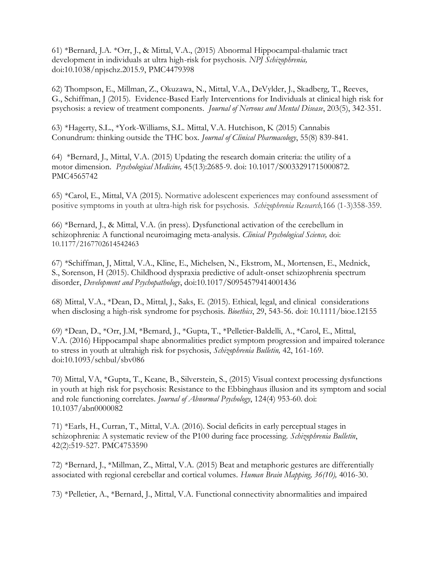61) \*Bernard, J.A. \*Orr, J., & Mittal, V.A., (2015) Abnormal Hippocampal-thalamic tract development in individuals at ultra high-risk for psychosis. *NPJ Schizophrenia,*  doi:10.1038/npjschz.2015.9, [PMC4479398](http://www.ncbi.nlm.nih.gov/pmc/articles/PMC4479398/?tool=mybib)

62) Thompson, E., Millman, Z., Okuzawa, N., Mittal, V.A., DeVylder, J., Skadberg, T., Reeves, G., Schiffman, J (2015). Evidence-Based Early Interventions for Individuals at clinical high risk for psychosis: a review of treatment components. *Journal of Nervous and Mental Disease*, 203(5), 342-351.

63) \*Hagerty, S.L., \*York-Williams, S.L. Mittal, V.A. Hutchison, K (2015) Cannabis Conundrum: thinking outside the THC box. *Journal of Clinical Pharmacology*, 55(8) 839-841.

64) \*Bernard, J., Mittal, V.A. (2015) Updating the research domain criteria: the utility of a motor dimension. *Psychological Medicine,* 45(13):2685-9. doi: 10.1017/S0033291715000872. [PMC4565742](http://www.ncbi.nlm.nih.gov/pmc/articles/PMC4565742/?tool=mybib)

65) \*Carol, E., Mittal, VA (2015). Normative adolescent experiences may confound assessment of positive symptoms in youth at ultra-high risk for psychosis. *Schizophrenia Research,*166 (1-3)358-359.

66) \*Bernard, J., & Mittal, V.A. (in press). Dysfunctional activation of the cerebellum in schizophrenia: A functional neuroimaging meta-analysis. *Clinical Psychological Science,* doi: 10.1177/2167702614542463

67) \*Schiffman, J, Mittal, V.A., Kline, E., Michelsen, N., Ekstrom, M., Mortensen, E., Mednick, S., Sorenson, H (2015). Childhood dyspraxia predictive of adult-onset schizophrenia spectrum disorder, *Development and Psychopathology*, doi:10.1017/S0954579414001436

68) Mittal, V.A., \*Dean, D., Mittal, J., Saks, E. (2015). Ethical, legal, and clinical considerations when disclosing a high-risk syndrome for psychosis. *Bioethics*, 29, 543-56. doi: 10.1111/bioe.12155

69) \*Dean, D., \*Orr, J.M, \*Bernard, J., \*Gupta, T., \*Pelletier-Baldelli, A., \*Carol, E., Mittal, V.A. (2016) Hippocampal shape abnormalities predict symptom progression and impaired tolerance to stress in youth at ultrahigh risk for psychosis, *Schizophrenia Bulletin,* 42, 161-169. doi:10.1093/schbul/sbv086

70) Mittal, VA, \*Gupta, T., Keane, B., Silverstein, S., (2015) Visual context processing dysfunctions in youth at high risk for psychosis: Resistance to the Ebbinghaus illusion and its symptom and social and role functioning correlates. *Journal of Abnormal Psychology*, 124(4) 953-60. doi: 10.1037/abn0000082

71) \*Earls, H., Curran, T., Mittal, V.A. (2016). Social deficits in early perceptual stages in schizophrenia: A systematic review of the P100 during face processing. *Schizophrenia Bulletin*, 42(2):519-527. PMC4753590

72) \*Bernard, J., \*Millman, Z., Mittal, V.A. (2015) Beat and metaphoric gestures are differentially associated with regional cerebellar and cortical volumes. *Human Brain Mapping, 36(10),* 4016-30.

73) \*Pelletier, A., \*Bernard, J., Mittal, V.A. Functional connectivity abnormalities and impaired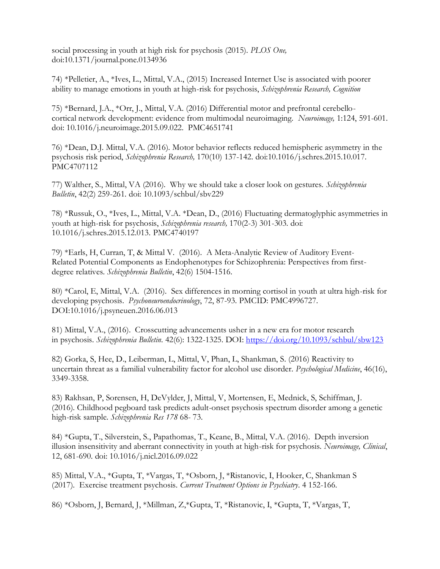social processing in youth at high risk for psychosis (2015). *PLOS One,*  doi:10.1371/journal.pone.0134936

74) \*Pelletier, A., \*Ives, L., Mittal, V.A., (2015) Increased Internet Use is associated with poorer ability to manage emotions in youth at high-risk for psychosis, *Schizophrenia Research, Cognition*

75) \*Bernard, J.A., \*Orr, J., Mittal, V.A. (2016) Differential motor and prefrontal cerebellocortical network development: evidence from multimodal neuroimaging. *Neuroimage,* 1:124, 591-601. doi: 10.1016/j.neuroimage.2015.09.022. [PMC4651741](http://www.ncbi.nlm.nih.gov/pmc/articles/PMC4651741/?tool=mybib)

76) \*Dean, D.J. Mittal, V.A. (2016). Motor behavior reflects reduced hemispheric asymmetry in the psychosis risk period, *Schizophrenia Research,* 170(10) 137-142. doi:10.1016/j.schres.2015.10.017. PMC4707112

77) Walther, S., Mittal, VA (2016). Why we should take a closer look on gestures. *Schizophrenia Bulletin*, 42(2) 259-261*.* doi: 10.1093/schbul/sbv229

78) \*Russuk, O., \*Ives, L., Mittal, V.A. \*Dean, D., (2016) Fluctuating dermatoglyphic asymmetries in youth at high-risk for psychosis, *Schizophrenia research,* 170(2-3) 301-303. doi: 10.1016/j.schres.2015.12.013. [PMC4740197](http://www.ncbi.nlm.nih.gov/pmc/articles/PMC4740197/?tool=mybib)

79) \*Earls, H, Curran, T, & Mittal V. (2016). A Meta-Analytic Review of Auditory Event-Related Potential Components as Endophenotypes for Schizophrenia: Perspectives from firstdegree relatives. *Schizophrenia Bulletin*, 42(6) 1504-1516.

80) \*Carol, E, Mittal, V.A. (2016). Sex differences in morning cortisol in youth at ultra high-risk for developing psychosis. *Psychoneuroendocrinology*, 72, 87-93. PMCID: [PMC4996727.](https://www.ncbi.nlm.nih.gov/pmc/articles/PMC4996727/) DO[I:10.1016/j.psyneuen.2016.06.013](https://dx.doi.org/10.1016/j.psyneuen.2016.06.013)

81) Mittal, V.A., (2016). Crosscutting advancements usher in a new era for motor research in psychosis. *Schizophrenia Bulletin*. 42(6): 1322-1325. DOI:<https://doi.org/10.1093/schbul/sbw123>

82) Gorka, S, Hee, D., Leiberman, L, Mittal, V, Phan, L, Shankman, S. (2016) Reactivity to uncertain threat as a familial vulnerability factor for alcohol use disorder. *Psychological Medicine*, 46(16), 3349-3358.

83) Rakhsan, P, Sorensen, H, DeVylder, J, Mittal, V, Mortensen, E, Mednick, S, Schiffman, J. (2016). Childhood pegboard task predicts adult-onset psychosis spectrum disorder among a genetic high-risk sample. *Schizophrenia Res 178* 68- 73.

84) \*Gupta, T., Silverstein, S., Papathomas, T., Keane, B., Mittal, V.A. (2016). Depth inversion illusion insensitivity and aberrant connectivity in youth at high-risk for psychosis. *Neuroimage, Clinical*, 12, 681-690. doi: [10.1016/j.nicl.2016.09.022](https://dx.doi.org/10.1016%2Fj.nicl.2016.09.022)

85) Mittal, V.A., \*Gupta, T, \*Vargas, T, \*Osborn, J, \*Ristanovic, I, Hooker, C, Shankman S (2017). Exercise treatment psychosis. *Current Treatment Options in Psychiatry*. 4 152-166.

86) \*Osborn, J, Bernard, J, \*Millman, Z,\*Gupta, T, \*Ristanovic, I, \*Gupta, T, \*Vargas, T,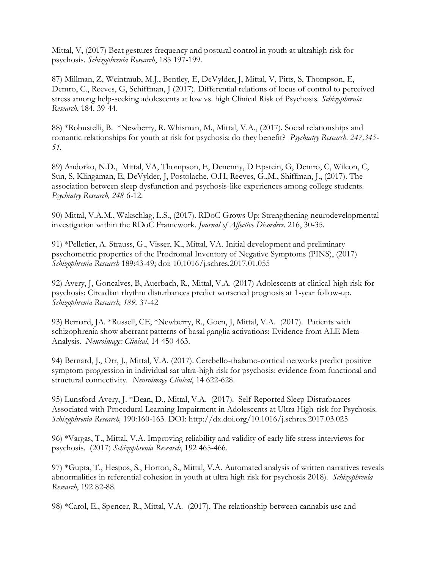Mittal, V, (2017) Beat gestures frequency and postural control in youth at ultrahigh risk for psychosis. *Schizophrenia Research*, 185 197-199.

87) Millman, Z, Weintraub, M.J., Bentley, E, DeVylder, J, Mittal, V, Pitts, S, Thompson, E, Demro, C., Reeves, G, Schiffman, J (2017). Differential relations of locus of control to perceived stress among help-seeking adolescents at low vs. high Clinical Risk of Psychosis. *Schizophrenia Research*, 184. 39-44.

88) \*Robustelli, B. \*Newberry, R. Whisman, M., Mittal, V.A., (2017). Social relationships and romantic relationships for youth at risk for psychosis: do they benefit? *Psychiatry Research, 247,345- 51.*

89) Andorko, N.D., Mittal, VA, Thompson, E, Denenny, D Epstein, G, Demro, C, Wilcon, C, Sun, S, Klingaman, E, DeVylder, J, Postolache, O.H, Reeves, G.,M., Shiffman, J., (2017). The association between sleep dysfunction and psychosis-like experiences among college students. *Psychiatry Research, 248* 6-12.

90) Mittal, V.A.M., Wakschlag, L.S., (2017). RDoC Grows Up: Strengthening neurodevelopmental investigation within the RDoC Framework. *Journal of Affective Disorders.* 216, 30-35.

91) \*Pelletier, A. Strauss, G., Visser, K., Mittal, VA. Initial development and preliminary psychometric properties of the Prodromal Inventory of Negative Symptoms (PINS), (2017) *Schizophrenia Research* 189:43-49; doi: 10.1016/j.schres.2017.01.055

92) Avery, J, Goncalves, B, Auerbach, R., Mittal, V.A. (2017) Adolescents at clinical-high risk for psychosis: Circadian rhythm disturbances predict worsened prognosis at 1-year follow-up. *Schizophrenia Research, 189,* 37-42

93) Bernard, JA. \*Russell, CE, \*Newberry, R., Goen, J, Mittal, V.A. (2017). Patients with schizophrenia show aberrant patterns of basal ganglia activations: Evidence from ALE Meta-Analysis. *Neuroimage: Clinical*, 14 450-463.

94) Bernard, J., Orr, J., Mittal, V.A. (2017). Cerebello-thalamo-cortical networks predict positive symptom progression in individual sat ultra-high risk for psychosis: evidence from functional and structural connectivity. *Neuroimage Clinical*, 14 622-628.

95) Lunsford-Avery, J. \*Dean, D., Mittal, V.A. (2017). Self-Reported Sleep Disturbances Associated with Procedural Learning Impairment in Adolescents at Ultra High-risk for Psychosis. *Schizophrenia Research,* 190:160-163. DOI:<http://dx.doi.org/10.1016/j.schres.2017.03.025>

96) \*Vargas, T., Mittal, V.A. Improving reliability and validity of early life stress interviews for psychosis. (2017) *Schizophrenia Research*, 192 465-466.

97) \*Gupta, T., Hespos, S., Horton, S., Mittal, V.A. Automated analysis of written narratives reveals abnormalities in referential cohesion in youth at ultra high risk for psychosis 2018). *Schizophrenia Research*, 192 82-88.

98) \*Carol, E., Spencer, R., Mittal, V.A. (2017), The relationship between cannabis use and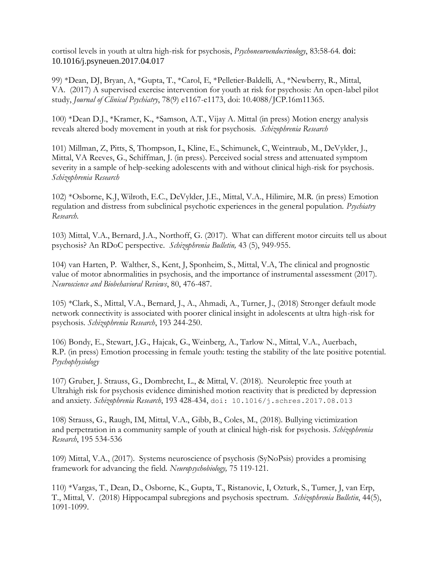cortisol levels in youth at ultra high-risk for psychosis, *Psychoneuroendocrinology*, 83:58-64*.* doi: 10.1016/j.psyneuen.2017.04.017

99) \*Dean, DJ, Bryan, A, \*Gupta, T., \*Carol, E, \*Pelletier-Baldelli, A., \*Newberry, R., Mittal, VA. (2017) A supervised exercise intervention for youth at risk for psychosis: An open-label pilot study, *Journal of Clinical Psychiatry*, 78(9) e1167-e1173, doi: 10.4088/JCP.16m11365.

100) \*Dean D.J., \*Kramer, K., \*Samson, A.T., Vijay A. Mittal (in press) Motion energy analysis reveals altered body movement in youth at risk for psychosis. *Schizophrenia Research*

101) Millman, Z, Pitts, S, Thompson, L, Kline, E., Schimunek, C, Weintraub, M., DeVylder, J., Mittal, VA Reeves, G., Schiffman, J. (in press). Perceived social stress and attenuated symptom severity in a sample of help-seeking adolescents with and without clinical high-risk for psychosis. *Schizophrenia Research*

102) \*Osborne, K.J, Wilroth, E.C., DeVylder, J.E., Mittal, V.A., Hilimire, M.R. (in press) Emotion regulation and distress from subclinical psychotic experiences in the general population. *Psychiatry Research*.

103) Mittal, V.A., Bernard, J.A., Northoff, G. (2017). What can different motor circuits tell us about psychosis? An RDoC perspective. *Schizophrenia Bulletin,* 43 (5), 949-955.

104) van Harten, P. Walther, S., Kent, J, Sponheim, S., Mittal, V.A, The clinical and prognostic value of motor abnormalities in psychosis, and the importance of instrumental assessment (2017). *Neuroscience and Biobehavioral Reviews*, 80, 476-487.

105) \*Clark, S., Mittal, V.A., Bernard, J., A., Ahmadi, A., Turner, J., (2018) Stronger default mode network connectivity is associated with poorer clinical insight in adolescents at ultra high-risk for psychosis. *Schizophrenia Research*, 193 244-250.

106) Bondy, E., Stewart, J.G., Hajcak, G., Weinberg, A., Tarlow N., Mittal, V.A., Auerbach, R.P. (in press) Emotion processing in female youth: testing the stability of the late positive potential. *Psychophysiology*

107) Gruber, J. Strauss, G., Dombrecht, L., & Mittal, V. (2018). Neuroleptic free youth at Ultrahigh risk for psychosis evidence diminished motion reactivity that is predicted by depression and anxiety. *Schizophrenia Research*, 193 428-434, doi: 10.1016/j.schres.2017.08.013

108) Strauss, G., Raugh, IM, Mittal, V.A., Gibb, B., Coles, M., (2018). Bullying victimization and perpetration in a community sample of youth at clinical high-risk for psychosis. *Schizophrenia Research*, 195 534-536

109) Mittal, V.A., (2017). Systems neuroscience of psychosis (SyNoPsis) provides a promising framework for advancing the field. *Neuropsychobiology,* 75 119-121.

110) \*Vargas, T., Dean, D., Osborne, K., Gupta, T., Ristanovic, I, Ozturk, S., Turner, J, van Erp, T., Mittal, V. (2018) Hippocampal subregions and psychosis spectrum. *Schizophrenia Bulletin*, 44(5), 1091-1099.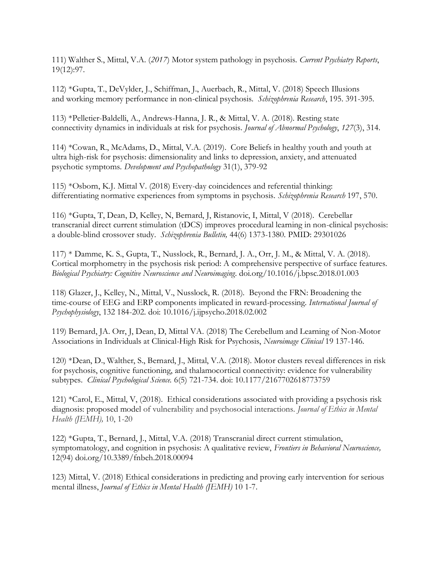111) Walther S., Mittal, V.A. (*2017*) Motor system pathology in psychosis. *Current Psychiatry Reports*, 19(12):97.

112) \*Gupta, T., DeVylder, J., Schiffman, J., Auerbach, R., Mittal, V. (2018) Speech Illusions and working memory performance in non-clinical psychosis. *Schizophrenia Research*, 195. 391-395.

113) \*Pelletier-Baldelli, A., Andrews-Hanna, J. R., & Mittal, V. A. (2018). Resting state connectivity dynamics in individuals at risk for psychosis. *Journal of Abnormal Psychology*, *127*(3), 314.

114) \*Cowan, R., McAdams, D., Mittal, V.A. (2019). Core Beliefs in healthy youth and youth at ultra high-risk for psychosis: dimensionality and links to depression, anxiety, and attenuated psychotic symptoms. *Development and Psychopathology* 31(1), 379-92

115) \*Osborn, K.J. Mittal V. (2018) Every-day coincidences and referential thinking: differentiating normative experiences from symptoms in psychosis. *Schizophrenia Research* 197, 570.

116) \*Gupta, T, Dean, D, Kelley, N, Bernard, J, Ristanovic, I, Mittal, V (2018). Cerebellar transcranial direct current stimulation (tDCS) improves procedural learning in non-clinical psychosis: a double-blind crossover study. *Schizophrenia Bulletin,* 44(6) 1373-1380. PMID: 29301026

117) \* Damme, K. S., Gupta, T., Nusslock, R., Bernard, J. A., Orr, J. M., & Mittal, V. A. (2018). Cortical morphometry in the psychosis risk period: A comprehensive perspective of surface features. *Biological Psychiatry: Cognitive Neuroscience and Neuroimaging*. [doi.org/10.1016/j.bpsc.2018.01.003](https://doi.org/10.1016/j.bpsc.2018.01.003)

118) Glazer, J., Kelley, N., Mittal, V., Nusslock, R. (2018). Beyond the FRN: Broadening the time-course of EEG and ERP components implicated in reward-processing. *International Journal of Psychophysiology*, 132 184-202. doi: 10.1016/j.ijpsycho.2018.02.002

119) Bernard, JA. Orr, J, Dean, D, Mittal VA. (2018) The Cerebellum and Learning of Non-Motor Associations in Individuals at Clinical-High Risk for Psychosis, *Neuroimage Clinical* 19 137-146.

120) \*Dean, D., Walther, S., Bernard, J., Mittal, V.A. (2018). Motor clusters reveal differences in risk for psychosis, cognitive functioning, and thalamocortical connectivity: evidence for vulnerability subtypes. *Clinical Psychological Science.* 6(5) 721-734. doi: 10.1177/2167702618773759

121) \*Carol, E., Mittal, V, (2018). Ethical considerations associated with providing a psychosis risk diagnosis: proposed model of vulnerability and psychosocial interactions. *Journal of Ethics in Mental Health (JEMH),* 10, 1-20

122) \*Gupta, T., Bernard, J., Mittal, V.A. (2018) Transcranial direct current stimulation, symptomatology, and cognition in psychosis: A qualitative review, *Frontiers in Behavioral Neuroscience,*  12(94) [doi.org/10.3389/fnbeh.2018.00094](https://doi.org/10.3389/fnbeh.2018.00094)

123) Mittal, V. (2018) Ethical considerations in predicting and proving early intervention for serious mental illness, *Journal of Ethics in Mental Health (JEMH)* 10 1-7.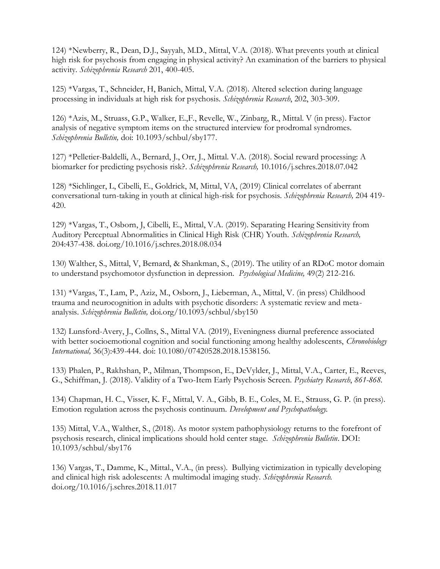124) \*Newberry, R., Dean, D.J., Sayyah, M.D., Mittal, V.A. (2018). What prevents youth at clinical high risk for psychosis from engaging in physical activity? An examination of the barriers to physical activity. *Schizophrenia Research* 201, 400-405.

125) \*Vargas, T., Schneider, H, Banich, Mittal, V.A. (2018). Altered selection during language processing in individuals at high risk for psychosis. *Schizophrenia Research*, 202, 303-309.

126) \*Azis, M., Struass, G.P., Walker, E.,F., Revelle, W., Zinbarg, R., Mittal. V (in press). Factor analysis of negative symptom items on the structured interview for prodromal syndromes. *Schizophrenia Bulletin,* doi: 10.1093/schbul/sby177.

127) \*Pelletier-Baldelli, A., Bernard, J., Orr, J., Mittal. V.A. (2018). Social reward processing: A biomarker for predicting psychosis risk?. *Schizophrenia Research,* [10.1016/j.schres.2018.07.042](https://doi.org/10.1016/j.schres.2018.07.042)

128) \*Sichlinger, L, Cibelli, E., Goldrick, M, Mittal, VA, (2019) Clinical correlates of aberrant conversational turn-taking in youth at clinical high-risk for psychosis. *Schizophrenia Research,* 204 419- 420.

129) \*Vargas, T., Osborn, J, Cibelli, E., Mittal, V.A. (2019). Separating Hearing Sensitivity from Auditory Perceptual Abnormalities in Clinical High Risk (CHR) Youth. *Schizophrenia Research,*  204:437-438. doi.org/10.1016/j.schres.2018.08.034

130) Walther, S., Mittal, V, Bernard, & Shankman, S., (2019). The utility of an RDoC motor domain to understand psychomotor dysfunction in depression. *Psychological Medicine,* 49(2) 212-216.

131) \*Vargas, T., Lam, P., Aziz, M., Osborn, J., Lieberman, A., Mittal, V. (in press) Childhood trauma and neurocognition in adults with psychotic disorders: A systematic review and metaanalysis. *Schizophrenia Bulletin,* [doi.org/10.1093/schbul/sby150](https://doi.org/10.1093/schbul/sby150)

132) Lunsford-Avery, J., Collns, S., Mittal VA. (2019), Eveningness diurnal preference associated with better socioemotional cognition and social functioning among healthy adolescents, *Chronobiology International,* 36(3):439-444. doi: 10.1080/07420528.2018.1538156.

133) Phalen, P., Rakhshan, P., Milman, Thompson, E., DeVylder, J., Mittal, V.A., Carter, E., Reeves, G., Schiffman, J. (2018). Validity of a Two-Item Early Psychosis Screen. *Psychiatry Research*, *861-868.*

134) Chapman, H. C., Visser, K. F., Mittal, V. A., Gibb, B. E., Coles, M. E., Strauss, G. P. (in press). Emotion regulation across the psychosis continuum. *Development and Psychopathology.*

135) Mittal, V.A., Walther, S., (2018). As motor system pathophysiology returns to the forefront of psychosis research, clinical implications should hold center stage. *Schizophrenia Bulletin*. DOI: [10.1093/schbul/sby176](https://doi.org/10.1093/schbul/sby176)

136) Vargas, T., Damme, K., Mittal., V.A., (in press). Bullying victimization in typically developing and clinical high risk adolescents: A multimodal imaging study. *Schizophrenia Research.* doi.org/10.1016/j.schres.2018.11.017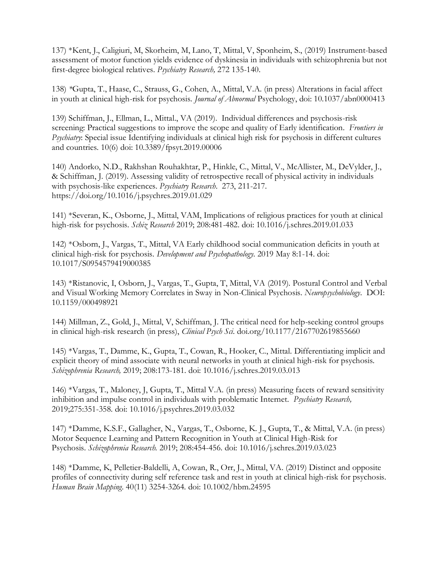137) \*Kent, J., Caligiuri, M, Skorheim, M, Lano, T, Mittal, V, Sponheim, S., (2019) Instrument-based assessment of motor function yields evidence of dyskinesia in individuals with schizophrenia but not first-degree biological relatives. *Psychiatry Research,* 272 135-140.

138) *\**Gupta, T., Haase, C., Strauss, G., Cohen, A., Mittal, V.A. (in press) Alterations in facial affect in youth at clinical high-risk for psychosis. *Journal of Abnormal* Psychology, doi: 10.1037/abn0000413

139) Schiffman, J., Ellman, L., Mittal., VA (2019). Individual differences and psychosis-risk screening: Practical suggestions to improve the scope and quality of Early identification. *Frontiers in Psychiatry*: Special issue Identifying individuals at clinical high risk for psychosis in different cultures and countries. 10(6) doi: 10.3389/fpsyt.2019.00006

140) Andorko, N.D., Rakhshan Rouhakhtar, P., Hinkle, C., Mittal, V., McAllister, M., DeVylder, J., & Schiffman, J. (2019). Assessing validity of retrospective recall of physical activity in individuals with psychosis-like experiences. *Psychiatry Research*. 273, 211-217. https://doi.org/10.1016/j.psychres.2019.01.029

141) \*Severan, K., Osborne, J., Mittal, VAM, Implications of religious practices for youth at clinical high-risk for psychosis. *Schiz Research* 2019; 208:481-482. doi: 10.1016/j.schres.2019.01.033

142) \*Osborn, J., Vargas, T., Mittal, VA Early childhood social communication deficits in youth at clinical high-risk for psychosis. *Development and Psychopathology*. 2019 May 8:1-14. doi: 10.1017/S0954579419000385

143) \*Ristanovic, I, Osborn, J., Vargas, T., Gupta, T, Mittal, VA (2019). Postural Control and Verbal and Visual Working Memory Correlates in Sway in Non-Clinical Psychosis. *Neuropsychobiology*. DOI: 10.1159/000498921

144) Millman, Z., Gold, J., Mittal, V, Schiffman, J. The critical need for help-seeking control groups in clinical high-risk research (in press), *Clinical Psych Sci.* doi.org/10.1177/2167702619855660

145) \*Vargas, T., Damme, K., Gupta, T., Cowan, R., Hooker, C., Mittal. Differentiating implicit and explicit theory of mind associate with neural networks in youth at clinical high-risk for psychosis. *Schizophrenia Research,* 2019; 208:173-181. doi: 10.1016/j.schres.2019.03.013

146) \*Vargas, T., Maloney, J, Gupta, T., Mittal V.A. (in press) Measuring facets of reward sensitivity inhibition and impulse control in individuals with problematic Internet. *Psychiatry Research,*  2019;275:351-358. doi: 10.1016/j.psychres.2019.03.032

147) \*Damme, K.S.F., Gallagher, N., Vargas, T., Osborne, K. J., Gupta, T., & Mittal, V.A. (in press) Motor Sequence Learning and Pattern Recognition in Youth at Clinical High-Risk for Psychosis. *Schizophrenia Research.* 2019; 208:454-456. doi: 10.1016/j.schres.2019.03.023

148) \*Damme, K, Pelletier-Baldelli, A, Cowan, R., Orr, J., Mittal, VA. (2019) Distinct and opposite profiles of connectivity during self reference task and rest in youth at clinical high-risk for psychosis. *Human Brain Mapping*. 40(11) 3254-3264*.* doi: 10.1002/hbm.24595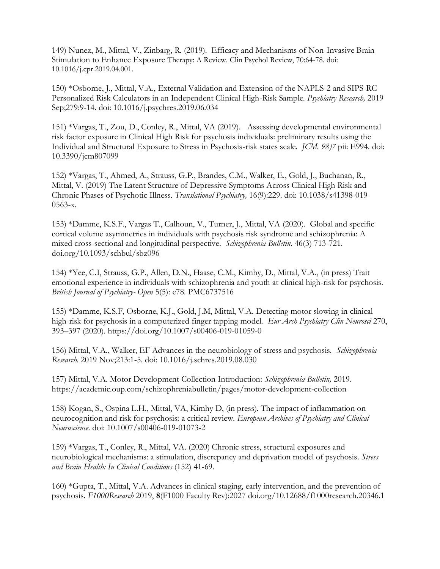149) Nunez, M., Mittal, V., Zinbarg, R. (2019). Efficacy and Mechanisms of Non-Invasive Brain Stimulation to Enhance Exposure Therapy: A Review. Clin Psychol Review, 70:64-78. doi: 10.1016/j.cpr.2019.04.001.

150) \*Osborne, J., Mittal, V.A., External Validation and Extension of the NAPLS-2 and SIPS-RC Personalized Risk Calculators in an Independent Clinical High-Risk Sample. *Psychiatry Research,* 2019 Sep;279:9-14. doi: 10.1016/j.psychres.2019.06.034

151) \*Vargas, T., Zou, D., Conley, R., Mittal, VA (2019). Assessing developmental environmental risk factor exposure in Clinical High Risk for psychosis individuals: preliminary results using the Individual and Structural Exposure to Stress in Psychosis-risk states scale. *JCM. 98)7* pii: E994. doi: 10.3390/jcm807099

152) \*Vargas, T., Ahmed, A., Strauss, G.P., Brandes, C.M., Walker, E., Gold, J., Buchanan, R., Mittal, V. (2019) The Latent Structure of Depressive Symptoms Across Clinical High Risk and Chronic Phases of Psychotic Illness. *Translational Psychiatry,* 16(9):229. doi: 10.1038/s41398-019- 0563-x.

153) \*Damme, K.S.F., Vargas T., Calhoun, V., Turner, J., Mittal, VA (2020). Global and specific cortical volume asymmetries in individuals with psychosis risk syndrome and schizophrenia: A mixed cross-sectional and longitudinal perspective. *Schizophrenia Bulletin*. 46(3) 713-721. [doi.org/10.1093/schbul/sbz096](https://doi.org/10.1093/schbul/sbz096)

154) \*Yee, C.I, Strauss, G.P., Allen, D.N., Haase, C.M., Kimhy, D., Mittal, V.A., (in press) Trait emotional experience in individuals with schizophrenia and youth at clinical high-risk for psychosis. *British Journal of Psychiatry- Open* 5(5): e78. PMC6737516

155) \*Damme, K.S.F, Osborne, K.J., Gold, J.M, Mittal, V.A. Detecting motor slowing in clinical high-risk for psychosis in a computerized finger tapping model. *Eur Arch Psychiatry Clin Neurosci* 270, 393–397 (2020). https://doi.org/10.1007/s00406-019-01059-0

156) Mittal, V.A., Walker, EF Advances in the neurobiology of stress and psychosis. *Schizophrenia Research*. 2019 Nov;213:1-5. doi: 10.1016/j.schres.2019.08.030

157) Mittal, V.A. Motor Development Collection Introduction: *Schizophrenia Bulletin,* 2019. https://academic.oup.com/schizophreniabulletin/pages/motor-development-collection

158) Kogan, S., Ospina L.H., Mittal, VA, Kimhy D, (in press). The impact of inflammation on neurocognition and risk for psychosis: a critical review. *European Archives of Psychiatry and Clinical Neuroscience*. doi: 10.1007/s00406-019-01073-2

159) \*Vargas, T., Conley, R., Mittal, VA. (2020) Chronic stress, structural exposures and neurobiological mechanisms: a stimulation, discrepancy and deprivation model of psychosis. *Stress and Brain Health: In Clinical Conditions* (152) 41-69.

160) \*Gupta, T., Mittal, V.A. Advances in clinical staging, early intervention, and the prevention of psychosis. *F1000Research* 2019, **8**(F1000 Faculty Rev):2027 doi.org/10.12688/f1000research.20346.1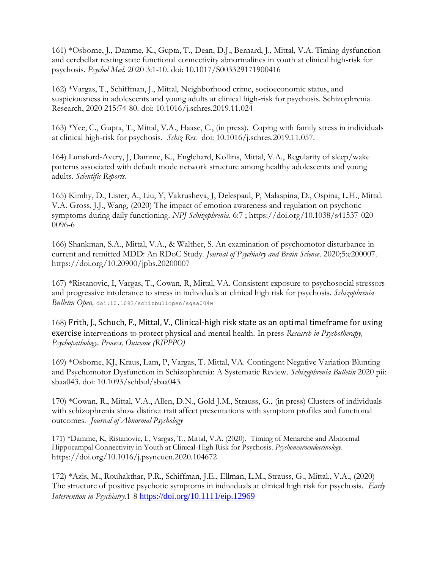161) \*Osborne, J., Damme, K., Gupta, T., Dean, D.J., Bernard, J., Mittal, V.A. Timing dysfunction and cerebellar resting state functional connectivity abnormalities in youth at clinical high-risk for psychosis. *Psychol Med.* 2020 3:1-10. doi: 10.1017/S003329171900416

162) \*Vargas, T., Schiffman, J., Mittal, Neighborhood crime, socioeconomic status, and suspiciousness in adolescents and young adults at clinical high-risk for psychosis. Schizophrenia Research, 2020 215:74-80. doi: 10.1016/j.schres.2019.11.024

163) \*Yee, C., Gupta, T., Mittal, V.A., Haase, C., (in press). Coping with family stress in individuals at clinical high-risk for psychosis. *Schiz Res.* doi: 10.1016/j.schres.2019.11.057.

164) Lunsford-Avery, J, Damme, K., Englehard, Kollins, Mittal, V.A., Regularity of sleep/wake patterns associated with default mode network structure among healthy adolescents and young adults. *Scientific Reports.*

165) Kimhy, D., Lister, A., Liu, Y, Vakrusheva, J, Delespaul, P, Malaspina, D., Ospina, L.H., Mittal. V.A. Gross, J.J., Wang, (2020) The impact of emotion awareness and regulation on psychotic symptoms during daily functioning. *NPJ Schizophrenia*. 6:7 ; https://doi.org/10.1038/s41537-020- 0096-6

166) Shankman, S.A., Mittal, V.A., & Walther, S. An examination of psychomotor disturbance in current and remitted MDD: An RDoC Study. *Journal of Psychiatry and Brain Science*. 2020;5:e200007. https://doi.org/10.20900/jpbs.20200007

167) \*Ristanovic, I, Vargas, T., Cowan, R, Mittal, VA. Consistent exposure to psychosocial stressors and progressive intolerance to stress in individuals at clinical high risk for psychosis. *Schizophrenia Bulletin Open,* doi:10.1093/schizbullopen/sgaa004w

168) Frith, J., Schuch, F., Mittal, V., Clinical-high risk state as an optimal timeframe for using exercise interventions to protect physical and mental health. In press *Research in Psychotherapy, Psychopathology, Process, Outcome (RIPPPO)*

169) \*Osborne, KJ, Kraus, Lam, P, Vargas, T. Mittal, VA. Contingent Negative Variation Blunting and Psychomotor Dysfunction in Schizophrenia: A Systematic Review. *Schizophrenia Bulletin* 2020 pii: sbaa043. doi: 10.1093/schbul/sbaa043.

170) \*Cowan, R., Mittal, V.A., Allen, D.N., Gold J.M., Strauss, G., (in press) Clusters of individuals with schizophrenia show distinct trait affect presentations with symptom profiles and functional outcomes. *Journal of Abnormal Psychology*

171) \*Damme, K, Ristanovic, I., Vargas, T., Mittal, V.A. (2020). Timing of Menarche and Abnormal Hippocampal Connectivity in Youth at Clinical-High Risk for Psychosis. *Psychoneuroendocrinology*. https://doi.org/10.1016/j.psyneuen.2020.104672

172) \*Azis, M., Rouhakthar, P.R., Schiffman, J.E., Ellman, L.M., Strauss, G., Mittal., V.A., (2020) The structure of positive psychotic symptoms in individuals at clinical high risk for psychosis. *Early Intervention in Psychiatry.*1-8 <https://doi.org/10.1111/eip.12969>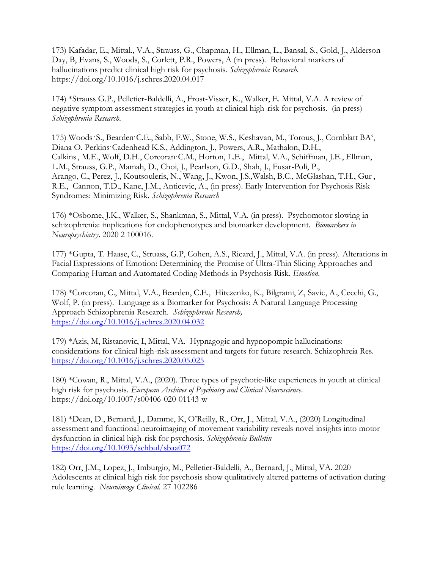173) Kafadar, E., Mittal., V.A., Strauss, G., Chapman, H., Ellman, L., Bansal, S., Gold, J., Alderson-Day, B, Evans, S., Woods, S., Corlett, P.R., Powers, A (in press). Behavioral markers of hallucinations predict clinical high risk for psychosis. *Schizophrenia Research*. https://doi.org/10.1016/j.schres.2020.04.017

174) \*Strauss G.P., Pelletier-Baldelli, A., Frost-Visser, K., Walker, E. Mittal, V.A. A review of negative symptom assessment strategies in youth at clinical high-risk for psychosis. (in press) *Schizophrenia Research*.

175) Woods S., Bearden C.E., Sabb, F.W., Stone, W.S., Keshavan, M., Torous, J., Cornblatt BA<sup>e</sup>, Diana O. Perkins Cadenhead K.S., Addington, J., Powers, A.R., Mathalon, D.H., Calkins, M.E., Wolf, D.H., Corcoran<sup>,</sup> C.M., Horton, L.E., Mittal, V.A., Schiffman, J.E., Ellman, L.M., Strauss, G.P., Mamah, D., Choi, J., Pearlson, G.D., Shah, J., Fusar-Poli, P., Arango, C., Perez, J., Koutsouleris, N., Wang, J., Kwon, J.S.,Walsh, B.C., McGlashan, T.H., Gur , R.E., Cannon, T.D., Kane, J.M., Anticevic, A., (in press). Early Intervention for Psychosis Risk Syndromes: Minimizing Risk. *Schizophrenia Research*

176) \*Osborne, J.K., Walker, S., Shankman, S., Mittal, V.A. (in press). Psychomotor slowing in schizophrenia: implications for endophenotypes and biomarker development. *Biomarkers in Neuropsychiatry*. 2020 2 100016.

177) \*Gupta, T. Haase, C., Struass, G.P, Cohen, A.S., Ricard, J., Mittal, V.A. (in press). Alterations in Facial Expressions of Emotion: Determining the Promise of Ultra-Thin Slicing Approaches and Comparing Human and Automated Coding Methods in Psychosis Risk. *Emotion*.

178) \*Corcoran, C., Mittal, V.A., Bearden, C.E., Hitczenko, K., Bilgrami, Z, Savic, A., Cecchi, G., Wolf, P. (in press). Language as a Biomarker for Psychosis: A Natural Language Processing Approach Schizophrenia Research. *Schizophrenia Research,*  <https://doi.org/10.1016/j.schres.2020.04.032>

179) \*Azis, M, Ristanovic, I, Mittal, VA. Hypnagogic and hypnopompic hallucinations: considerations for clinical high-risk assessment and targets for future research. Schizophreia Res. <https://doi.org/10.1016/j.schres.2020.05.025>

180) \*Cowan, R., Mittal, V.A., (2020). Three types of psychotic-like experiences in youth at clinical high risk for psychosis. *European Archives of Psychiatry and Clinical Neuroscience*. https://doi.org/10.1007/s00406-020-01143-w

181) \*Dean, D., Bernard, J., Damme, K, O'Reilly, R., Orr, J., Mittal, V.A., (2020) Longitudinal assessment and functional neuroimaging of movement variability reveals novel insights into motor dysfunction in clinical high-risk for psychosis. *Schizophrenia Bulletin* <https://doi.org/10.1093/schbul/sbaa072>

182) Orr, J.M., Lopez, J., Imburgio, M., Pelletier-Baldelli, A., Bernard, J., Mittal, VA. 2020 Adolescents at clinical high risk for psychosis show qualitatively altered patterns of activation during rule learning. *Neuroimage Clinical.* 27 102286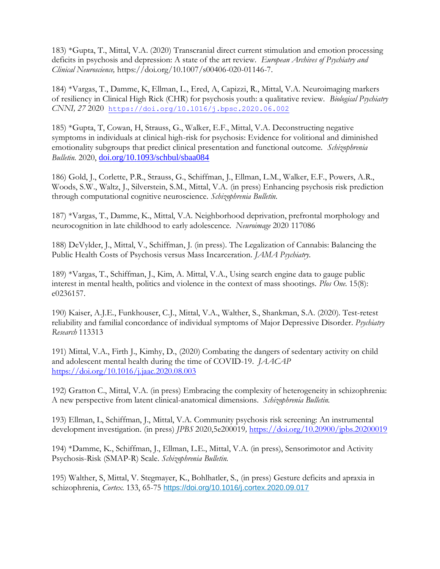183) \*Gupta, T., Mittal, V.A. (2020) Transcranial direct current stimulation and emotion processing deficits in psychosis and depression: A state of the art review. *European Archives of Psychiatry and Clinical Neuroscience,* https://doi.org/10.1007/s00406-020-01146-7.

184) \*Vargas, T., Damme, K, Ellman, L., Ered, A, Capizzi, R., Mittal, V.A. Neuroimaging markers of resiliency in Clinical High Rick (CHR) for psychosis youth: a qualitative review. *Biological Psychiatry CNNI, 27* 2020 <https://doi.org/10.1016/j.bpsc.2020.06.002>

185) \*Gupta, T, Cowan, H, Strauss, G., Walker, E.F., Mittal, V.A. Deconstructing negative symptoms in individuals at clinical high-risk for psychosis: Evidence for volitional and diminished emotionality subgroups that predict clinical presentation and functional outcome. *Schizophrenia Bulletin.* 2020, [doi.org/10.1093/schbul/sbaa084](https://doi.org/10.1093/schbul/sbaa084)

186) Gold, J., Corlette, P.R., Strauss, G., Schiffman, J., Ellman, L.M., Walker, E.F., Powers, A.R., Woods, S.W., Waltz, J., Silverstein, S.M., Mittal, V.A. (in press) Enhancing psychosis risk prediction through computational cognitive neuroscience. *Schizophrenia Bulletin.*

187) \*Vargas, T., Damme, K., Mittal, V.A. Neighborhood deprivation, prefrontal morphology and neurocognition in late childhood to early adolescence. *Neuroimage* 2020 117086

188) DeVylder, J., Mittal, V., Schiffman, J. (in press). The Legalization of Cannabis: Balancing the Public Health Costs of Psychosis versus Mass Incarceration. *JAMA Psychiatry.*

189) \*Vargas, T., Schiffman, J., Kim, A. Mittal, V.A., Using search engine data to gauge public interest in mental health, politics and violence in the context of mass shootings. *Plos One.* 15(8): e0236157.

190) Kaiser, A.J.E., Funkhouser, C.J., Mittal, V.A., Walther, S., Shankman, S.A. (2020). Test-retest reliability and familial concordance of individual symptoms of Major Depressive Disorder. *Psychiatry Research* 113313

191) Mittal, V.A., Firth J., Kimhy, D., (2020) Combating the dangers of sedentary activity on child and adolescent mental health during the time of COVID-19. *JAACAP* <https://doi.org/10.1016/j.jaac.2020.08.003>

192) Gratton C., Mittal, V.A. (in press) Embracing the complexity of heterogeneity in schizophrenia: A new perspective from latent clinical-anatomical dimensions. *Schizophrenia Bulletin.*

193) Ellman, L, Schiffman, J., Mittal, V.A. Community psychosis risk screening: An instrumental development investigation. (in press) *JPBS* 2020,5e200019*,* <https://doi.org/10.20900/jpbs.20200019>

194) \*Damme, K., Schiffman, J., Ellman, L.E., Mittal, V.A. (in press), Sensorimotor and Activity Psychosis-Risk (SMAP-R) Scale. *Schizophrenia Bulletin.*

195) Walther, S, Mittal, V. Stegmayer, K., Bohlhatler, S., (in press) Gesture deficits and apraxia in schizophrenia, *Cortex*. 133, 65-75 <https://doi.org/10.1016/j.cortex.2020.09.017>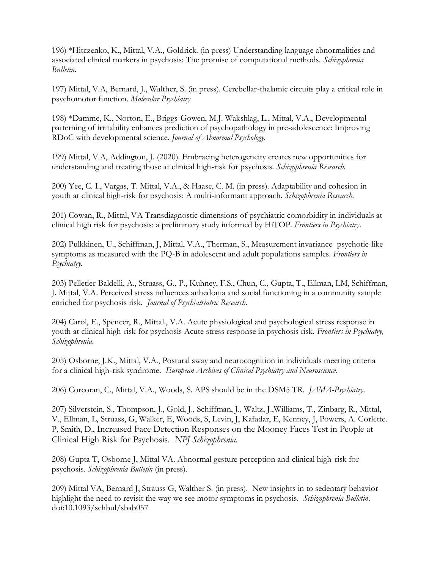196) \*Hitczenko, K., Mittal, V.A., Goldrick. (in press) Understanding language abnormalities and associated clinical markers in psychosis: The promise of computational methods. *Schizophrenia Bulletin*.

197) Mittal, V.A, Bernard, J., Walther, S. (in press). Cerebellar-thalamic circuits play a critical role in psychomotor function. *Molecular Psychiatry*

198) \*Damme, K., Norton, E., Briggs-Gowen, M.J. Wakshlag, L., Mittal, V.A., Developmental patterning of irritability enhances prediction of psychopathology in pre-adolescence: Improving RDoC with developmental science. *Journal of Abnormal Psychology.*

199) Mittal, V.A, Addington, J. (2020). Embracing heterogeneity creates new opportunities for understanding and treating those at clinical high-risk for psychosis. *Schizophrenia Research.*

200) Yee, C. I., Vargas, T. Mittal, V.A., & Haase, C. M. (in press). Adaptability and cohesion in youth at clinical high-risk for psychosis: A multi-informant approach. *Schizophrenia Research*.

201) Cowan, R., Mittal, VA Transdiagnostic dimensions of psychiatric comorbidity in individuals at clinical high risk for psychosis: a preliminary study informed by HiTOP. *Frontiers in Psychiatry*.

202) Pulkkinen, U., Schiffman, J, Mittal, V.A., Therman, S., Measurement invariance psychotic-like symptoms as measured with the PQ-B in adolescent and adult populations samples. *Frontiers in Psychiatry.*

203) Pelletier-Baldelli, A., Struass, G., P., Kuhney, F.S., Chun, C., Gupta, T., Ellman, LM, Schiffman, J. Mittal, V.A. Perceived stress influences anhedonia and social functioning in a community sample enriched for psychosis risk*. Journal of Psychiatriatric Research*.

204) Carol, E., Spencer, R., Mittal., V.A. Acute physiological and psychological stress response in youth at clinical high-risk for psychosis Acute stress response in psychosis risk. *Frontiers in Psychiatry, Schizophrenia*.

205) Osborne, J.K., Mittal, V.A., Postural sway and neurocognition in individuals meeting criteria for a clinical high-risk syndrome. *European Archives of Clinical Psychiatry and Neuroscience*.

206) Corcoran, C., Mittal, V.A., Woods, S. APS should be in the DSM5 TR. *JAMA-Psychiatry*.

207) Silverstein, S., Thompson, J., Gold, J., Schiffman, J., Waltz, J.,Williams, T., Zinbarg, R., Mittal, V., Ellman, L, Struass, G, Walker, E, Woods, S, Levin, J, Kafadar, E, Kenney, J, Powers, A. Corlette. P, Smith, D., Increased Face Detection Responses on the Mooney Faces Test in People at Clinical High Risk for Psychosis. *NPJ Schizophrenia.*

208) Gupta T, Osborne J, Mittal VA. Abnormal gesture perception and clinical high-risk for psychosis. *Schizophrenia Bulletin* (in press).

209) Mittal VA, Bernard J, Strauss G, Walther S. (in press). New insights in to sedentary behavior highlight the need to revisit the way we see motor symptoms in psychosis. *Schizophrenia Bulletin*. doi:10.1093/schbul/sbab057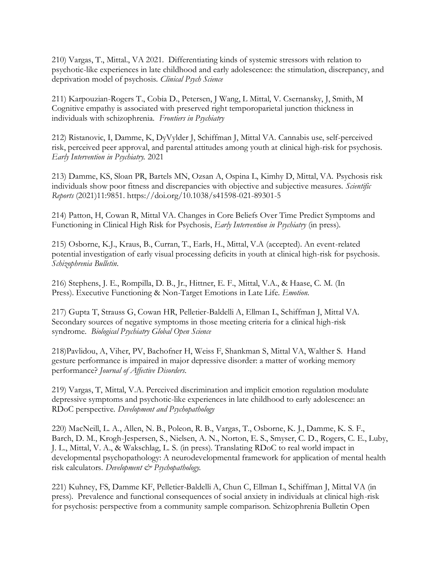210) Vargas, T., Mittal., VA 2021. Differentiating kinds of systemic stressors with relation to psychotic-like experiences in late childhood and early adolescence: the stimulation, discrepancy, and deprivation model of psychosis. *Clinical Psych Science*

211) Karpouzian-Rogers T., Cobia D., Petersen, J Wang, L Mittal, V. Csernansky, J, Smith, M Cognitive empathy is associated with preserved right temporoparietal junction thickness in individuals with schizophrenia. *Frontiers in Psychiatry*

212) Ristanovic, I, Damme, K, DyVylder J, Schiffman J, Mittal VA. Cannabis use, self-perceived risk, perceived peer approval, and parental attitudes among youth at clinical high-risk for psychosis. *Early Intervention in Psychiatry.* 2021

213) Damme, KS, Sloan PR, Bartels MN, Ozsan A, Ospina L, Kimhy D, Mittal, VA. Psychosis risk individuals show poor fitness and discrepancies with objective and subjective measures. *Scientific Reports* (2021)11:9851. https://doi.org/10.1038/s41598-021-89301-5

214) Patton, H, Cowan R, Mittal VA. Changes in Core Beliefs Over Time Predict Symptoms and Functioning in Clinical High Risk for Psychosis, *Early Intervention in Psychiatry* (in press).

215) Osborne, K.J., Kraus, B., Curran, T., Earls, H., Mittal, V.A (accepted). An event-related potential investigation of early visual processing deficits in youth at clinical high-risk for psychosis. *Schizophrenia Bulletin*.

216) Stephens, J. E., Rompilla, D. B., Jr., Hittner, E. F., Mittal, V.A., & Haase, C. M. (In Press). Executive Functioning & Non-Target Emotions in Late Life. *Emotion*.

217) Gupta T, Strauss G, Cowan HR, Pelletier-Baldelli A, Ellman L, Schiffman J, Mittal VA. Secondary sources of negative symptoms in those meeting criteria for a clinical high-risk syndrome. *Biological Psychiatry Global Open Science*

218)Pavlidou, A, Viher, PV, Bachofner H, Weiss F, Shankman S, Mittal VA, Walther S. Hand gesture performance is impaired in major depressive disorder: a matter of working memory performance? *Journal of Affective Disorders*.

219) Vargas, T, Mittal, V.A. Perceived discrimination and implicit emotion regulation modulate depressive symptoms and psychotic-like experiences in late childhood to early adolescence: an RDoC perspective. *Development and Psychopathology*

220) MacNeill, L. A., Allen, N. B., Poleon, R. B., Vargas, T., Osborne, K. J., Damme, K. S. F., Barch, D. M., Krogh-Jespersen, S., Nielsen, A. N., Norton, E. S., Smyser, C. D., Rogers, C. E., Luby, J. L., Mittal, V. A., & Wakschlag, L. S. (in press). Translating RDoC to real world impact in developmental psychopathology: A neurodevelopmental framework for application of mental health risk calculators. *Development & Psychopathology*.

221) Kuhney, FS, Damme KF, Pelletier-Baldelli A, Chun C, Ellman L, Schiffman J, Mittal VA (in press). Prevalence and functional consequences of social anxiety in individuals at clinical high-risk for psychosis: perspective from a community sample comparison. Schizophrenia Bulletin Open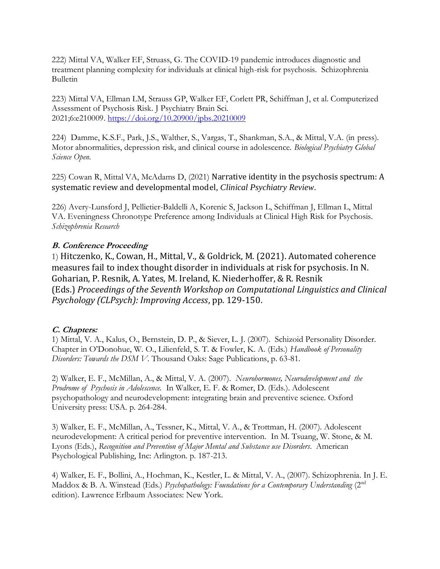222) Mittal VA, Walker EF, Struass, G. The COVID-19 pandemic introduces diagnostic and treatment planning complexity for individuals at clinical high-risk for psychosis. Schizophrenia Bulletin

223) Mittal VA, Ellman LM, Strauss GP, Walker EF, Corlett PR, Schiffman J, et al. Computerized Assessment of Psychosis Risk. J Psychiatry Brain Sci. 2021;6:e210009. <https://doi.org/10.20900/jpbs.20210009>

224) Damme, K.S.F., Park, J.S., Walther, S., Vargas, T., Shankman, S.A., & Mittal, V.A. (in press). Motor abnormalities, depression risk, and clinical course in adolescence. *Biological Psychiatry Global Science Open.*

225) Cowan R, Mittal VA, McAdams D, (2021) Narrative identity in the psychosis spectrum: A systematic review and developmental model, *Clinical Psychiatry Review*.

226) Avery-Lunsford J, Pellietier-Baldelli A, Korenic S, Jackson L, Schiffman J, Ellman L, Mittal VA. Eveningness Chronotype Preference among Individuals at Clinical High Risk for Psychosis. *Schizophrenia Research*

# **B. Conference Proceeding**

1) Hitczenko, K., Cowan, H., Mittal, V., & Goldrick, M. (2021). Automated coherence measures fail to index thought disorder in individuals at risk for psychosis. In N. Goharian, P. Resnik, A. Yates, M. Ireland, K. Niederhoffer, & R. Resnik (Eds.) *Proceedings of the Seventh Workshop on Computational Linguistics and Clinical Psychology (CLPsych): Improving Access*, pp. 129-150.

# **C. Chapters:**

1) Mittal, V. A., Kalus, O., Bernstein, D. P., & Siever, L. J. (2007). Schizoid Personality Disorder. Chapter in O'Donohue, W. O., Lilienfeld, S. T. & Fowler, K. A. (Eds.) *Handbook of Personality Disorders: Towards the DSM V*. Thousand Oaks: Sage Publications, p. 63-81.

2) Walker, E. F., McMillan, A., & Mittal, V. A. (2007). *Neurohormones, Neurodevelopment and the Prodrome of Psychosis in Adolescence.* In Walker, E. F. & Romer, D. (Eds.). Adolescent psychopathology and neurodevelopment: integrating brain and preventive science. Oxford University press: USA. p. 264-284.

3) Walker, E. F., McMillan, A., Tessner, K., Mittal, V. A., & Trottman, H. (2007). Adolescent neurodevelopment: A critical period for preventive intervention. In M. Tsuang, W. Stone, & M. Lyons (Eds.), *Recognition and Prevention of Major Mental and Substance use Disorders*. American Psychological Publishing, Inc: Arlington. p. 187-213.

4) Walker, E. F., Bollini, A., Hochman, K., Kestler, L. & Mittal, V. A., (2007). Schizophrenia. In J. E. Maddox & B. A. Winstead (Eds.) *Psychopathology: Foundations for a Contemporary Understanding* (2nd edition). Lawrence Erlbaum Associates: New York.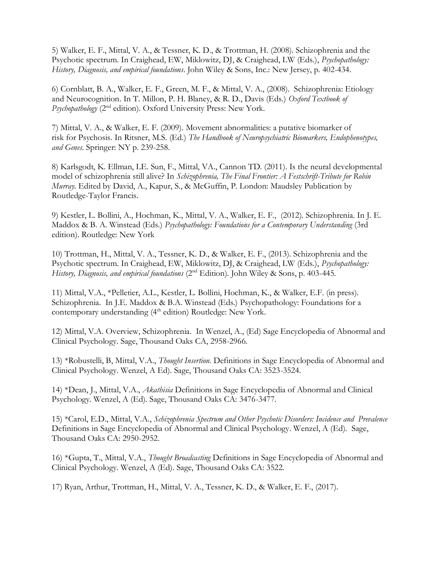5) Walker, E. F., Mittal, V. A., & Tessner, K. D., & Trottman, H. (2008). Schizophrenia and the Psychotic spectrum. In Craighead, EW, Miklowitz, DJ, & Craighead, LW (Eds.), *Psychopathology: History, Diagnosis, and empirical foundations*. John Wiley & Sons, Inc.: New Jersey, p. 402-434.

6) Cornblatt, B. A., Walker, E. F., Green, M. F., & Mittal, V. A., (2008). Schizophrenia: Etiology and Neurocognition. In T. Millon, P. H. Blaney, & R. D., Davis (Eds.) *Oxford Textbook of Psychopathology* (2nd edition). Oxford University Press: New York.

7) Mittal, V. A., & Walker, E. F. (2009). Movement abnormalities: a putative biomarker of risk for Psychosis. In Ritsner, M.S. (Ed.) *The Handbook of Neuropsychiatric Biomarkers, Endophenotypes, and Genes*. Springer: NY p. 239-258.

8) Karlsgodt, K. Ellman, LE. Sun, F., Mittal, VA., Cannon TD. (2011). Is the neural developmental model of schizophrenia still alive? In *Schizophrenia, The Final Frontier: A Festschrift-Tribute for Robin Murray*. Edited by David, A., Kapur, S., & McGuffin, P. London: Maudsley Publication by Routledge-Taylor Francis.

9) Kestler, L. Bollini, A., Hochman, K., Mittal, V. A., Walker, E. F., (2012). Schizophrenia. In J. E. Maddox & B. A. Winstead (Eds.) *Psychopathology: Foundations for a Contemporary Understanding* (3rd edition). Routledge: New York

10) Trottman, H., Mittal, V. A., Tessner, K. D., & Walker, E. F., (2013). Schizophrenia and the Psychotic spectrum. In Craighead, EW, Miklowitz, DJ, & Craighead, LW (Eds.), *Psychopathology: History, Diagnosis, and empirical foundations* (2<sup>nd</sup> Edition). John Wiley & Sons, p. 403-445.

11) Mittal, V.A., \*Pelletier, A.L., Kestler, L. Bollini, Hochman, K., & Walker, E.F. (in press). Schizophrenia. In J.E. Maddox & B.A. Winstead (Eds.) Psychopathology: Foundations for a contemporary understanding  $(4<sup>th</sup>$  edition) Routledge: New York.

12) Mittal, V.A. Overview, Schizophrenia. In Wenzel, A., (Ed) Sage Encyclopedia of Abnormal and Clinical Psychology. Sage, Thousand Oaks CA, 2958-2966.

13) \*Robustelli, B, Mittal, V.A., *Thought Insertion.* Definitions in Sage Encyclopedia of Abnormal and Clinical Psychology. Wenzel, A Ed). Sage, Thousand Oaks CA: 3523-3524.

14) \*Dean, J., Mittal, V.A., *Akathisia* Definitions in Sage Encyclopedia of Abnormal and Clinical Psychology. Wenzel, A (Ed). Sage, Thousand Oaks CA: 3476-3477.

15) \*Carol, E.D., Mittal, V.A., *Schizophrenia Spectrum and Other Psychotic Disorders: Incidence and Prevalence* Definitions in Sage Encyclopedia of Abnormal and Clinical Psychology. Wenzel, A (Ed). Sage, Thousand Oaks CA: 2950-2952.

16) \*Gupta, T., Mittal, V.A., *Thought Broadcasting* Definitions in Sage Encyclopedia of Abnormal and Clinical Psychology. Wenzel, A (Ed). Sage, Thousand Oaks CA: 3522.

17) Ryan, Arthur, Trottman, H., Mittal, V. A., Tessner, K. D., & Walker, E. F., (2017).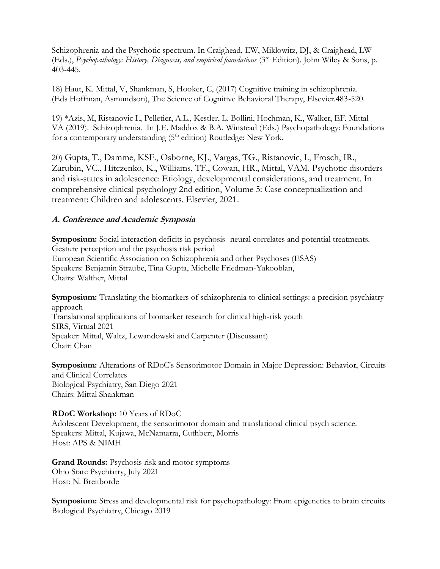Schizophrenia and the Psychotic spectrum. In Craighead, EW, Miklowitz, DJ, & Craighead, LW (Eds.), *Psychopathology: History, Diagnosis, and empirical foundations* (3rd Edition). John Wiley & Sons, p. 403-445.

18) Haut, K. Mittal, V, Shankman, S, Hooker, C, (2017) Cognitive training in schizophrenia. (Eds Hoffman, Asmundson), The Science of Cognitive Behavioral Therapy, Elsevier.483-520.

19) \*Azis, M, Ristanovic I., Pelletier, A.L., Kestler, L. Bollini, Hochman, K., Walker, EF. Mittal VA (2019). Schizophrenia. In J.E. Maddox & B.A. Winstead (Eds.) Psychopathology: Foundations for a contemporary understanding  $(5<sup>th</sup>$  edition) Routledge: New York.

20) Gupta, T., Damme, KSF., Osborne, KJ., Vargas, TG., Ristanovic, I., Frosch, IR., Zarubin, VC., Hitczenko, K., Williams, TF., Cowan, HR., Mittal, VAM. Psychotic disorders and risk-states in adolescence: Etiology, developmental considerations, and treatment. In comprehensive clinical psychology 2nd edition, Volume 5: Case conceptualization and treatment: Children and adolescents. Elsevier, 2021.

# **A. Conference and Academic Symposia**

**Symposium:** Social interaction deficits in psychosis- neural correlates and potential treatments. Gesture perception and the psychosis risk period European Scientific Association on Schizophrenia and other Psychoses (ESAS) Speakers: Benjamin Straube, Tina Gupta, Michelle Friedman-Yakooblan, Chairs: Walther, Mittal

**Symposium:** Translating the biomarkers of schizophrenia to clinical settings: a precision psychiatry approach Translational applications of biomarker research for clinical high-risk youth SIRS, Virtual 2021

Speaker: Mittal, Waltz, Lewandowski and Carpenter (Discussant) Chair: Chan

**Symposium:** Alterations of RDoC's Sensorimotor Domain in Major Depression: Behavior, Circuits and Clinical Correlates Biological Psychiatry, San Diego 2021 Chairs: Mittal Shankman

# **RDoC Workshop:** 10 Years of RDoC

Adolescent Development, the sensorimotor domain and translational clinical psych science. Speakers: Mittal, Kujawa, McNamarra, Cuthbert, Morris Host: APS & NIMH

**Grand Rounds:** Psychosis risk and motor symptoms Ohio State Psychiatry, July 2021 Host: N. Breitborde

**Symposium:** Stress and developmental risk for psychopathology: From epigenetics to brain circuits Biological Psychiatry, Chicago 2019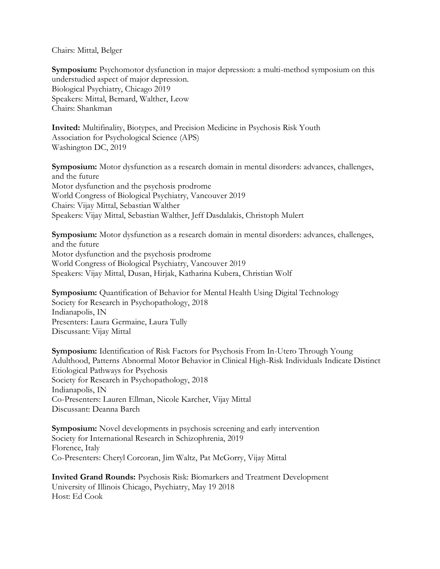Chairs: Mittal, Belger

**Symposium:** Psychomotor dysfunction in major depression: a multi-method symposium on this understudied aspect of major depression. Biological Psychiatry, Chicago 2019 Speakers: Mittal, Bernard, Walther, Leow Chairs: Shankman

**Invited:** Multifinality, Biotypes, and Precision Medicine in Psychosis Risk Youth Association for Psychological Science (APS) Washington DC, 2019

**Symposium:** Motor dysfunction as a research domain in mental disorders: advances, challenges, and the future Motor dysfunction and the psychosis prodrome World Congress of Biological Psychiatry, Vancouver 2019 Chairs: Vijay Mittal, Sebastian Walther Speakers: Vijay Mittal, Sebastian Walther, Jeff Dasdalakis, Christoph Mulert

**Symposium:** Motor dysfunction as a research domain in mental disorders: advances, challenges, and the future Motor dysfunction and the psychosis prodrome World Congress of Biological Psychiatry, Vancouver 2019 Speakers: Vijay Mittal, Dusan, Hirjak, Katharina Kubera, Christian Wolf

**Symposium:** Quantification of Behavior for Mental Health Using Digital Technology Society for Research in Psychopathology, 2018 Indianapolis, IN Presenters: Laura Germaine, Laura Tully Discussant: Vijay Mittal

**Symposium:** Identification of Risk Factors for Psychosis From In-Utero Through Young Adulthood, Patterns Abnormal Motor Behavior in Clinical High-Risk Individuals Indicate Distinct Etiological Pathways for Psychosis Society for Research in Psychopathology, 2018 Indianapolis, IN Co-Presenters: Lauren Ellman, Nicole Karcher, Vijay Mittal Discussant: Deanna Barch

**Symposium:** Novel developments in psychosis screening and early intervention Society for International Research in Schizophrenia, 2019 Florence, Italy Co-Presenters: Cheryl Corcoran, Jim Waltz, Pat McGorry, Vijay Mittal

**Invited Grand Rounds:** Psychosis Risk: Biomarkers and Treatment Development University of Illinois Chicago, Psychiatry, May 19 2018 Host: Ed Cook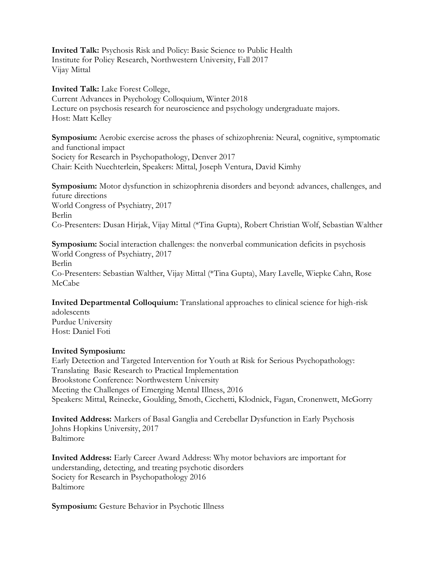**Invited Talk:** Psychosis Risk and Policy: Basic Science to Public Health Institute for Policy Research, Northwestern University, Fall 2017 Vijay Mittal

**Invited Talk:** Lake Forest College, Current Advances in Psychology Colloquium, Winter 2018 Lecture on psychosis research for neuroscience and psychology undergraduate majors. Host: Matt Kelley

**Symposium:** Aerobic exercise across the phases of schizophrenia: Neural, cognitive, symptomatic and functional impact Society for Research in Psychopathology, Denver 2017 Chair: Keith Nuechterlein, Speakers: Mittal, Joseph Ventura, David Kimhy

**Symposium:** Motor dysfunction in schizophrenia disorders and beyond: advances, challenges, and future directions World Congress of Psychiatry, 2017 Berlin Co-Presenters: Dusan Hirjak, Vijay Mittal (\*Tina Gupta), Robert Christian Wolf, Sebastian Walther

**Symposium:** Social interaction challenges: the nonverbal communication deficits in psychosis World Congress of Psychiatry, 2017 Berlin Co-Presenters: Sebastian Walther, Vijay Mittal (\*Tina Gupta), Mary Lavelle, Wiepke Cahn, Rose McCabe

**Invited Departmental Colloquium:** Translational approaches to clinical science for high-risk adolescents Purdue University Host: Daniel Foti

#### **Invited Symposium:**

Early Detection and Targeted Intervention for Youth at Risk for Serious Psychopathology: Translating Basic Research to Practical Implementation Brookstone Conference: Northwestern University Meeting the Challenges of Emerging Mental Illness, 2016 Speakers: Mittal, Reinecke, Goulding, Smoth, Cicchetti, Klodnick, Fagan, Cronenwett, McGorry

**Invited Address:** Markers of Basal Ganglia and Cerebellar Dysfunction in Early Psychosis Johns Hopkins University, 2017 Baltimore

**Invited Address:** Early Career Award Address: Why motor behaviors are important for understanding, detecting, and treating psychotic disorders Society for Research in Psychopathology 2016 Baltimore

**Symposium:** Gesture Behavior in Psychotic Illness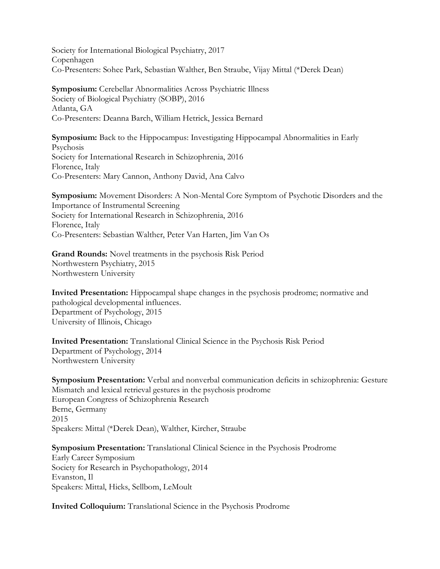Society for International Biological Psychiatry, 2017 Copenhagen Co-Presenters: Sohee Park, Sebastian Walther, Ben Straube, Vijay Mittal (\*Derek Dean)

**Symposium:** Cerebellar Abnormalities Across Psychiatric Illness Society of Biological Psychiatry (SOBP), 2016 Atlanta, GA Co-Presenters: Deanna Barch, William Hetrick, Jessica Bernard

**Symposium:** Back to the Hippocampus: Investigating Hippocampal Abnormalities in Early Psychosis Society for International Research in Schizophrenia, 2016 Florence, Italy Co-Presenters: Mary Cannon, Anthony David, Ana Calvo

**Symposium:** Movement Disorders: A Non-Mental Core Symptom of Psychotic Disorders and the Importance of Instrumental Screening Society for International Research in Schizophrenia, 2016 Florence, Italy Co-Presenters: Sebastian Walther, Peter Van Harten, Jim Van Os

**Grand Rounds:** Novel treatments in the psychosis Risk Period Northwestern Psychiatry, 2015 Northwestern University

**Invited Presentation:** Hippocampal shape changes in the psychosis prodrome; normative and pathological developmental influences. Department of Psychology, 2015 University of Illinois, Chicago

**Invited Presentation:** Translational Clinical Science in the Psychosis Risk Period Department of Psychology, 2014 Northwestern University

**Symposium Presentation:** Verbal and nonverbal communication deficits in schizophrenia: Gesture Mismatch and lexical retrieval gestures in the psychosis prodrome European Congress of Schizophrenia Research Berne, Germany 2015 Speakers: Mittal (\*Derek Dean), Walther, Kircher, Straube

**Symposium Presentation:** Translational Clinical Science in the Psychosis Prodrome Early Career Symposium Society for Research in Psychopathology, 2014 Evanston, Il Speakers: Mittal, Hicks, Sellbom, LeMoult

**Invited Colloquium:** Translational Science in the Psychosis Prodrome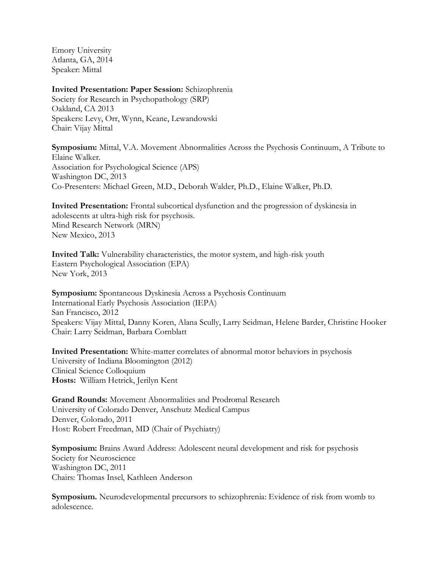Emory University Atlanta, GA, 2014 Speaker: Mittal

#### **Invited Presentation: Paper Session:** Schizophrenia

Society for Research in Psychopathology (SRP) Oakland, CA 2013 Speakers: Levy, Orr, Wynn, Keane, Lewandowski Chair: Vijay Mittal

**Symposium:** Mittal, V.A. Movement Abnormalities Across the Psychosis Continuum, A Tribute to Elaine Walker. Association for Psychological Science (APS) Washington DC, 2013 Co-Presenters: Michael Green, M.D., Deborah Walder, Ph.D., Elaine Walker, Ph.D.

**Invited Presentation:** Frontal subcortical dysfunction and the progression of dyskinesia in adolescents at ultra-high risk for psychosis. Mind Research Network (MRN) New Mexico, 2013

**Invited Talk:** Vulnerability characteristics, the motor system, and high-risk youth Eastern Psychological Association (EPA) New York, 2013

**Symposium:** Spontaneous Dyskinesia Across a Psychosis Continuum International Early Psychosis Association (IEPA) San Francisco, 2012 Speakers: Vijay Mittal, Danny Koren, Alana Scully, Larry Seidman, Helene Barder, Christine Hooker Chair: Larry Seidman, Barbara Cornblatt

**Invited Presentation:** White-matter correlates of abnormal motor behaviors in psychosis University of Indiana Bloomington (2012) Clinical Science Colloquium **Hosts:** William Hetrick, Jerilyn Kent

**Grand Rounds:** Movement Abnormalities and Prodromal Research University of Colorado Denver, Anschutz Medical Campus Denver, Colorado, 2011 Host: Robert Freedman, MD (Chair of Psychiatry)

**Symposium:** Brains Award Address: Adolescent neural development and risk for psychosis Society for Neuroscience Washington DC, 2011 Chairs: Thomas Insel, Kathleen Anderson

**Symposium.** Neurodevelopmental precursors to schizophrenia: Evidence of risk from womb to adolescence.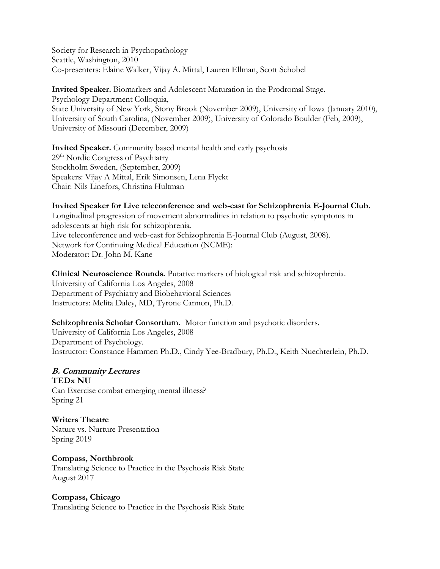Society for Research in Psychopathology Seattle, Washington, 2010 Co-presenters: Elaine Walker, Vijay A. Mittal, Lauren Ellman, Scott Schobel

**Invited Speaker.** Biomarkers and Adolescent Maturation in the Prodromal Stage. Psychology Department Colloquia, State University of New York, Stony Brook (November 2009), University of Iowa (January 2010), University of South Carolina, (November 2009), University of Colorado Boulder (Feb, 2009), University of Missouri (December, 2009)

**Invited Speaker.** Community based mental health and early psychosis 29th Nordic Congress of Psychiatry Stockholm Sweden, (September, 2009) Speakers: Vijay A Mittal, Erik Simonsen, Lena Flyckt Chair: Nils Linefors, Christina Hultman

# **Invited Speaker for Live teleconference and web-cast for Schizophrenia E-Journal Club.**

Longitudinal progression of movement abnormalities in relation to psychotic symptoms in adolescents at high risk for schizophrenia. Live teleconference and web-cast for Schizophrenia E-Journal Club (August, 2008). Network for Continuing Medical Education (NCME): Moderator: Dr. John M. Kane

**Clinical Neuroscience Rounds.** Putative markers of biological risk and schizophrenia. University of California Los Angeles, 2008 Department of Psychiatry and Biobehavioral Sciences Instructors: Melita Daley, MD, Tyrone Cannon, Ph.D.

# **Schizophrenia Scholar Consortium.** Motor function and psychotic disorders.

University of California Los Angeles, 2008 Department of Psychology. Instructor: Constance Hammen Ph.D., Cindy Yee-Bradbury, Ph.D., Keith Nuechterlein, Ph.D.

# **B. Community Lectures**

**TEDx NU** Can Exercise combat emerging mental illness? Spring 21

**Writers Theatre** Nature vs. Nurture Presentation Spring 2019

#### **Compass, Northbrook**

Translating Science to Practice in the Psychosis Risk State August 2017

#### **Compass, Chicago**

Translating Science to Practice in the Psychosis Risk State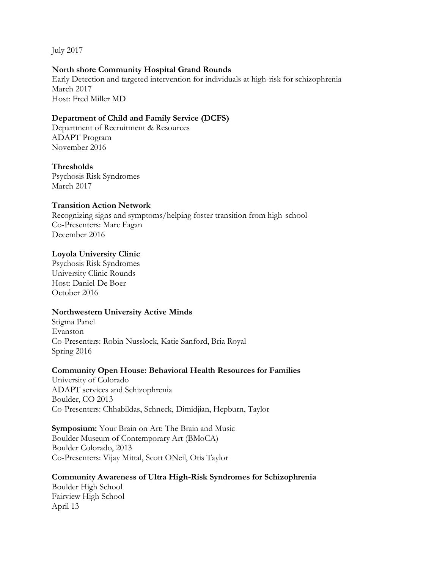July 2017

# **North shore Community Hospital Grand Rounds**

Early Detection and targeted intervention for individuals at high-risk for schizophrenia March 2017 Host: Fred Miller MD

# **Department of Child and Family Service (DCFS)**

Department of Recruitment & Resources ADAPT Program November 2016

# **Thresholds**

Psychosis Risk Syndromes March 2017

# **Transition Action Network**

Recognizing signs and symptoms/helping foster transition from high-school Co-Presenters: Marc Fagan December 2016

# **Loyola University Clinic**

Psychosis Risk Syndromes University Clinic Rounds Host: Daniel-De Boer October 2016

# **Northwestern University Active Minds**

Stigma Panel Evanston Co-Presenters: Robin Nusslock, Katie Sanford, Bria Royal Spring 2016

# **Community Open House: Behavioral Health Resources for Families**

University of Colorado ADAPT services and Schizophrenia Boulder, CO 2013 Co-Presenters: Chhabildas, Schneck, Dimidjian, Hepburn, Taylor

# **Symposium:** Your Brain on Art: The Brain and Music Boulder Museum of Contemporary Art (BMoCA) Boulder Colorado, 2013 Co-Presenters: Vijay Mittal, Scott ONeil, Otis Taylor

**Community Awareness of Ultra High-Risk Syndromes for Schizophrenia** Boulder High School Fairview High School April 13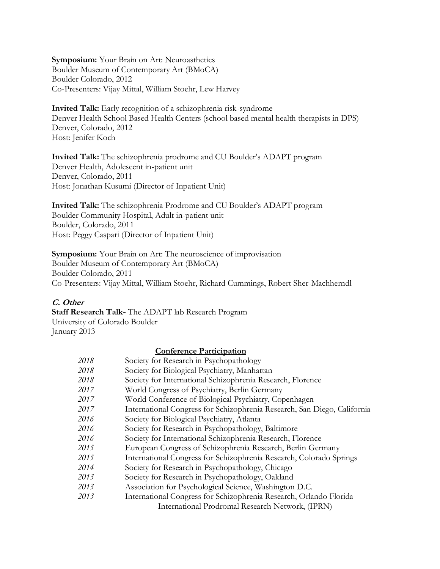**Symposium:** Your Brain on Art: Neuroasthetics Boulder Museum of Contemporary Art (BMoCA) Boulder Colorado, 2012 Co-Presenters: Vijay Mittal, William Stoehr, Lew Harvey

**Invited Talk:** Early recognition of a schizophrenia risk-syndrome Denver Health School Based Health Centers (school based mental health therapists in DPS) Denver, Colorado, 2012 Host: Jenifer Koch

**Invited Talk:** The schizophrenia prodrome and CU Boulder's ADAPT program Denver Health, Adolescent in-patient unit Denver, Colorado, 2011 Host: Jonathan Kusumi (Director of Inpatient Unit)

**Invited Talk:** The schizophrenia Prodrome and CU Boulder's ADAPT program Boulder Community Hospital, Adult in-patient unit Boulder, Colorado, 2011 Host: Peggy Caspari (Director of Inpatient Unit)

# **Symposium:** Your Brain on Art: The neuroscience of improvisation

Boulder Museum of Contemporary Art (BMoCA)

Boulder Colorado, 2011

Co-Presenters: Vijay Mittal, William Stoehr, Richard Cummings, Robert Sher-Machherndl

# **C. Other**

**Staff Research Talk-** The ADAPT lab Research Program University of Colorado Boulder January 2013

#### **Conference Participation**

| 2018 | Society for Research in Psychopathology                                  |
|------|--------------------------------------------------------------------------|
| 2018 | Society for Biological Psychiatry, Manhattan                             |
| 2018 | Society for International Schizophrenia Research, Florence               |
| 2017 | World Congress of Psychiatry, Berlin Germany                             |
| 2017 | World Conference of Biological Psychiatry, Copenhagen                    |
| 2017 | International Congress for Schizophrenia Research, San Diego, California |
| 2016 | Society for Biological Psychiatry, Atlanta                               |
| 2016 | Society for Research in Psychopathology, Baltimore                       |
| 2016 | Society for International Schizophrenia Research, Florence               |
| 2015 | European Congress of Schizophrenia Research, Berlin Germany              |
| 2015 | International Congress for Schizophrenia Research, Colorado Springs      |
| 2014 | Society for Research in Psychopathology, Chicago                         |
| 2013 | Society for Research in Psychopathology, Oakland                         |
| 2013 | Association for Psychological Science, Washington D.C.                   |
| 2013 | International Congress for Schizophrenia Research, Orlando Florida       |
|      | -International Prodromal Research Network, (IPRN)                        |
|      |                                                                          |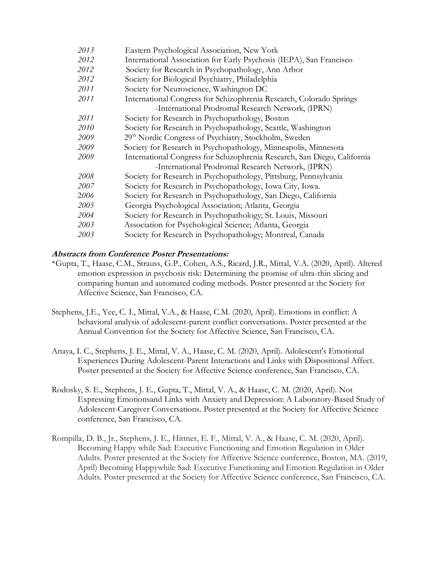| 2013 | Eastern Psychological Association, New York                              |
|------|--------------------------------------------------------------------------|
| 2012 | International Association for Early Psychosis (IEPA), San Francisco      |
| 2012 | Society for Research in Psychopathology, Ann Arbor                       |
| 2012 | Society for Biological Psychiatry, Philadelphia                          |
| 2011 | Society for Neuroscience, Washington DC                                  |
| 2011 | International Congress for Schizophrenia Research, Colorado Springs      |
|      | -International Prodromal Research Network, (IPRN)                        |
| 2011 | Society for Research in Psychopathology, Boston                          |
| 2010 | Society for Research in Psychopathology, Seattle, Washington             |
| 2009 | 29 <sup>th</sup> Nordic Congress of Psychiatry, Stockholm, Sweden        |
| 2009 | Society for Research in Psychopathology, Minneapolis, Minnesota          |
| 2009 | International Congress for Schizophrenia Research, San Diego, California |
|      | -International Prodromal Research Network, (IPRN)                        |
| 2008 | Society for Research in Psychopathology, Pittsburg, Pennsylvania         |
| 2007 | Society for Research in Psychopathology, Iowa City, Iowa.                |
| 2006 | Society for Research in Psychopathology, San Diego, California           |
| 2005 | Georgia Psychological Association; Atlanta, Georgia                      |
| 2004 | Society for Research in Psychopathology, St. Louis, Missouri             |
| 2003 | Association for Psychological Science; Atlanta, Georgia                  |
| 2003 | Society for Research in Psychopathology; Montreal, Canada                |
|      |                                                                          |

# **Abstracts from Conference Poster Presentations:**

- \*Gupta, T., Haase, C.M., Strauss, G.P., Cohen, A.S., Ricard, J.R., Mittal, V.A. (2020, April). Altered emotion expression in psychosis risk: Determining the promise of ultra-thin slicing and comparing human and automated coding methods. Poster presented at the Society for Affective Science, San Francisco, CA.
- Stephens, J.E., Yee, C. I., Mittal, V.A., & Haase, C.M. (2020, April). Emotions in conflict: A behavioral analysis of adolescent-parent conflict conversations. Poster presented at the Annual Convention for the Society for Affective Science, San Francisco, CA.
- Anaya, I. C., Stephens, J. E., Mittal, V. A., Haase, C. M. (2020, April). Adolescent's Emotional Experiences During Adolescent-Parent Interactions and Links with Dispositional Affect. Poster presented at the Society for Affective Science conference, San Francisco, CA.
- Rodosky, S. E., Stephens, J. E., Gupta, T., Mittal, V. A., & Haase, C. M. (2020, April). Not Expressing Emotionsand Links with Anxiety and Depression: A Laboratory-Based Study of Adolescent-Caregiver Conversations. Poster presented at the Society for Affective Science conference, San Francisco, CA.
- Rompilla, D. B., Jr., Stephens, J. E., Hittner, E. F., Mittal, V. A., & Haase, C. M. (2020, April). Becoming Happy while Sad: Executive Functioning and Emotion Regulation in Older Adults. Poster presented at the Society for Affective Science conference, Boston, MA. (2019, April) Becoming Happywhile Sad: Executive Functioning and Emotion Regulation in Older Adults. Poster presented at the Society for Affective Science conference, San Francisco, CA.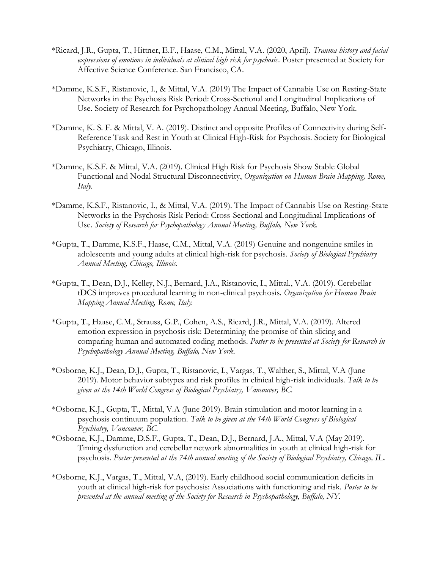- \*Ricard, J.R., Gupta, T., Hittner, E.F., Haase, C.M., Mittal, V.A. (2020, April). *Trauma history and facial expressions of emotions in individuals at clinical high risk for psychosis*. Poster presented at Society for Affective Science Conference. San Francisco, CA.
- \*Damme, K.S.F., Ristanovic, I., & Mittal, V.A. (2019) The Impact of Cannabis Use on Resting-State Networks in the Psychosis Risk Period: Cross-Sectional and Longitudinal Implications of Use. Society of Research for Psychopathology Annual Meeting, Buffalo, New York.
- \*Damme, K. S. F. & Mittal, V. A. (2019). Distinct and opposite Profiles of Connectivity during Self-Reference Task and Rest in Youth at Clinical High-Risk for Psychosis. Society for Biological Psychiatry, Chicago, Illinois.
- \*Damme, K.S.F. & Mittal, V.A. (2019). Clinical High Risk for Psychosis Show Stable Global Functional and Nodal Structural Disconnectivity, *Organization on Human Brain Mapping, Rome, Italy.*
- \*Damme, K.S.F., Ristanovic, I., & Mittal, V.A. (2019). The Impact of Cannabis Use on Resting-State Networks in the Psychosis Risk Period: Cross-Sectional and Longitudinal Implications of Use. *Society of Research for Psychopathology Annual Meeting, Buffalo, New York.*
- \*Gupta, T., Damme, K.S.F., Haase, C.M., Mittal, V.A. (2019) Genuine and nongenuine smiles in adolescents and young adults at clinical high-risk for psychosis. *Society of Biological Psychiatry Annual Meeting, Chicago, Illinois.*
- \*Gupta, T., Dean, D.J., Kelley, N.J., Bernard, J.A., Ristanovic, I., Mittal., V.A. (2019). Cerebellar tDCS improves procedural learning in non-clinical psychosis. *Organization for Human Brain Mapping Annual Meeting, Rome, Italy.*
- \*Gupta, T., Haase, C.M., Strauss, G.P., Cohen, A.S., Ricard, J.R., Mittal, V.A. (2019). Altered emotion expression in psychosis risk: Determining the promise of thin slicing and comparing human and automated coding methods. *Poster to be presented at Society for Research in Psychopathology Annual Meeting, Buffalo, New York.*
- \*Osborne, K.J., Dean, D.J., Gupta, T., Ristanovic, I., Vargas, T., Walther, S., Mittal, V.A (June 2019). Motor behavior subtypes and risk profiles in clinical high-risk individuals. *Talk to be given at the 14th World Congress of Biological Psychiatry, Vancouver, BC.*
- \*Osborne, K.J., Gupta, T., Mittal, V.A (June 2019). Brain stimulation and motor learning in a psychosis continuum population. *Talk to be given at the 14th World Congress of Biological Psychiatry, Vancouver, BC.*
- \*Osborne, K.J., Damme, D.S.F., Gupta, T., Dean, D.J., Bernard, J.A., Mittal, V.A (May 2019). Timing dysfunction and cerebellar network abnormalities in youth at clinical high-risk for psychosis. *Poster presented at the 74th annual meeting of the Society of Biological Psychiatry, Chicago, IL.*
- \*Osborne, K.J., Vargas, T., Mittal, V.A, (2019). Early childhood social communication deficits in youth at clinical high-risk for psychosis: Associations with functioning and risk. *Poster to be presented at the annual meeting of the Society for Research in Psychopathology, Buffalo, NY.*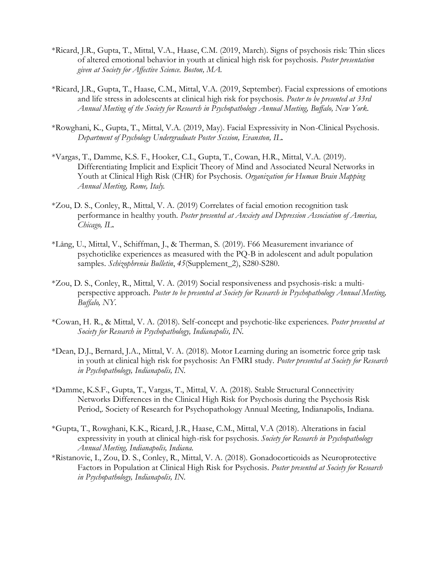- \*Ricard, J.R., Gupta, T., Mittal, V.A., Haase, C.M. (2019, March). Signs of psychosis risk: Thin slices of altered emotional behavior in youth at clinical high risk for psychosis. *Poster presentation given at Society for Affective Science. Boston, MA.*
- \*Ricard, J.R., Gupta, T., Haase, C.M., Mittal, V.A. (2019, September). Facial expressions of emotions and life stress in adolescents at clinical high risk for psychosis. *Poster to be presented at 33rd Annual Meeting of the Society for Research in Psychopathology Annual Meeting, Buffalo, New York.*
- \*Rowghani, K., Gupta, T., Mittal, V.A. (2019, May). Facial Expressivity in Non-Clinical Psychosis. *Department of Psychology Undergraduate Poster Session, Evanston, IL.*
- \*Vargas, T., Damme, K.S. F., Hooker, C.I., Gupta, T., Cowan, H.R., Mittal, V.A. (2019). Differentiating Implicit and Explicit Theory of Mind and Associated Neural Networks in Youth at Clinical High Risk (CHR) for Psychosis. *Organization for Human Brain Mapping Annual Meeting, Rome, Italy.*
- \*Zou, D. S., Conley, R., Mittal, V. A. (2019) Correlates of facial emotion recognition task performance in healthy youth. *Poster presented at Anxiety and Depression Association of America, Chicago, IL.*
- \*Lång, U., Mittal, V., Schiffman, J., & Therman, S. (2019). F66 Measurement invariance of psychoticlike experiences as measured with the PQ-B in adolescent and adult population samples. *Schizophrenia Bulletin*, *45*(Supplement\_2), S280-S280.
- \*Zou, D. S., Conley, R., Mittal, V. A. (2019) Social responsiveness and psychosis-risk: a multiperspective approach. *Poster to be presented at Society for Research in Psychopathology Annual Meeting, Buffalo, NY.*
- \*Cowan, H. R., & Mittal, V. A. (2018). Self-concept and psychotic-like experiences. *Poster presented at Society for Research in Psychopathology, Indianapolis, IN.*
- \*Dean, D.J., Bernard, J.A., Mittal, V. A. (2018). Motor Learning during an isometric force grip task in youth at clinical high risk for psychosis: An FMRI study. *Poster presented at Society for Research in Psychopathology, Indianapolis, IN.*
- \*Damme, K.S.F., Gupta, T., Vargas, T., Mittal, V. A. (2018). Stable Structural Connectivity Networks Differences in the Clinical High Risk for Psychosis during the Psychosis Risk Period,. Society of Research for Psychopathology Annual Meeting, Indianapolis, Indiana.
- \*Gupta, T., Rowghani, K.K., Ricard, J.R., Haase, C.M., Mittal, V.A (2018). Alterations in facial expressivity in youth at clinical high-risk for psychosis. *Society for Research in Psychopathology Annual Meeting, Indianapolis, Indiana.*
- \*Ristanovic, I., Zou, D. S., Conley, R., Mittal, V. A. (2018). Gonadocorticoids as Neuroprotective Factors in Population at Clinical High Risk for Psychosis. *Poster presented at Society for Research in Psychopathology, Indianapolis, IN.*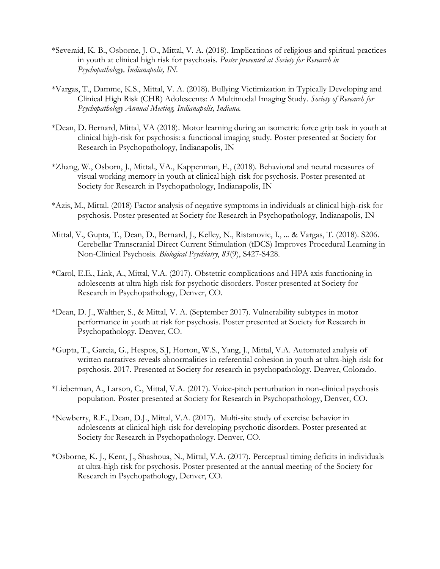- \*Severaid, K. B., Osborne, J. O., Mittal, V. A. (2018). Implications of religious and spiritual practices in youth at clinical high risk for psychosis. *Poster presented at Society for Research in Psychopathology, Indianapolis, IN.*
- \*Vargas, T., Damme, K.S., Mittal, V. A. (2018). Bullying Victimization in Typically Developing and Clinical High Risk (CHR) Adolescents: A Multimodal Imaging Study. *Society of Research for Psychopathology Annual Meeting, Indianapolis, Indiana.*
- \*Dean, D. Bernard, Mittal, VA (2018). Motor learning during an isometric force grip task in youth at clinical high-risk for psychosis: a functional imaging study. Poster presented at Society for Research in Psychopathology, Indianapolis, IN
- \*Zhang, W., Osborn, J., Mittal., VA., Kappenman, E., (2018). Behavioral and neural measures of visual working memory in youth at clinical high-risk for psychosis. Poster presented at Society for Research in Psychopathology, Indianapolis, IN
- \*Azis, M., Mittal. (2018) Factor analysis of negative symptoms in individuals at clinical high-risk for psychosis. Poster presented at Society for Research in Psychopathology, Indianapolis, IN
- Mittal, V., Gupta, T., Dean, D., Bernard, J., Kelley, N., Ristanovic, I., ... & Vargas, T. (2018). S206. Cerebellar Transcranial Direct Current Stimulation (tDCS) Improves Procedural Learning in Non-Clinical Psychosis. *Biological Psychiatry*, *83*(9), S427-S428.
- \*Carol, E.E., Link, A., Mittal, V.A. (2017). Obstetric complications and HPA axis functioning in adolescents at ultra high-risk for psychotic disorders. Poster presented at Society for Research in Psychopathology, Denver, CO.
- \*Dean, D. J., Walther, S., & Mittal, V. A. (September 2017). Vulnerability subtypes in motor performance in youth at risk for psychosis. Poster presented at Society for Research in Psychopathology. Denver, CO.
- \*Gupta, T., Garcia, G., Hespos, S.J, Horton, W.S., Yang, J., Mittal, V.A. Automated analysis of written narratives reveals abnormalities in referential cohesion in youth at ultra-high risk for psychosis. 2017. Presented at Society for research in psychopathology. Denver, Colorado.
- \*Lieberman, A., Larson, C., Mittal, V.A. (2017). Voice-pitch perturbation in non-clinical psychosis population. Poster presented at Society for Research in Psychopathology, Denver, CO.
- \*Newberry, R.E., Dean, D.J., Mittal, V.A. (2017). Multi-site study of exercise behavior in adolescents at clinical high-risk for developing psychotic disorders. Poster presented at Society for Research in Psychopathology. Denver, CO.
- \*Osborne, K. J., Kent, J., Shashoua, N., Mittal, V.A. (2017). Perceptual timing deficits in individuals at ultra-high risk for psychosis. Poster presented at the annual meeting of the Society for Research in Psychopathology, Denver, CO.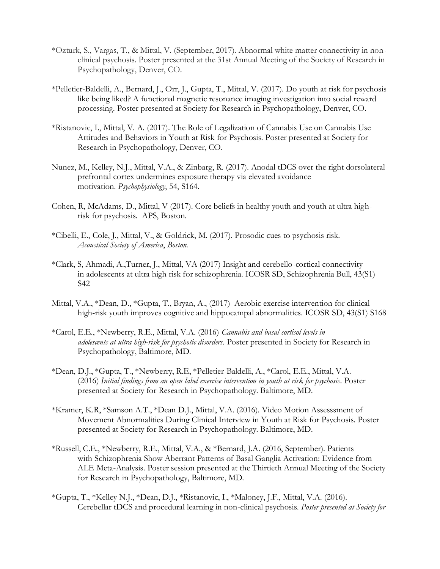- \*Ozturk, S., Vargas, T., & Mittal, V. (September, 2017). Abnormal white matter connectivity in nonclinical psychosis. Poster presented at the 31st Annual Meeting of the Society of Research in Psychopathology, Denver, CO.
- \*Pelletier-Baldelli, A., Bernard, J., Orr, J., Gupta, T., Mittal, V. (2017). Do youth at risk for psychosis like being liked? A functional magnetic resonance imaging investigation into social reward processing. Poster presented at Society for Research in Psychopathology, Denver, CO.
- \*Ristanovic, I., Mittal, V. A. (2017). The Role of Legalization of Cannabis Use on Cannabis Use Attitudes and Behaviors in Youth at Risk for Psychosis. Poster presented at Society for Research in Psychopathology, Denver, CO.
- Nunez, M., Kelley, N.J., Mittal, V.A., & Zinbarg, R. (2017). Anodal tDCS over the right dorsolateral prefrontal cortex undermines exposure therapy via elevated avoidance motivation. *Psychophysiology*, 54, S164.
- Cohen, R, McAdams, D., Mittal, V (2017). Core beliefs in healthy youth and youth at ultra highrisk for psychosis. APS, Boston.
- \*Cibelli, E., Cole, J., Mittal, V., & Goldrick, M. (2017). Prosodic cues to psychosis risk. *Acoustical Society of America*, *Boston.*
- \*Clark, S, Ahmadi, A.,Turner, J., Mittal, VA (2017) Insight and cerebello-cortical connectivity in adolescents at ultra high risk for schizophrenia. ICOSR SD, Schizophrenia Bull, 43(S1) S42
- Mittal, V.A., \*Dean, D., \*Gupta, T., Bryan, A., (2017) Aerobic exercise intervention for clinical high-risk youth improves cognitive and hippocampal abnormalities. ICOSR SD, 43(S1) S168
- \*Carol, E.E., \*Newberry, R.E., Mittal, V.A. (2016) *Cannabis and basal cortisol levels in adolescents at ultra high-risk for psychotic disorders.* Poster presented in Society for Research in Psychopathology, Baltimore, MD.
- \*Dean, D.J., \*Gupta, T., \*Newberry, R.E, \*Pelletier-Baldelli, A., \*Carol, E.E., Mittal, V.A. (2016) *Initial findings from an open label exercise intervention in youth at risk for psychosis*. Poster presented at Society for Research in Psychopathology. Baltimore, MD.
- \*Kramer, K.R, \*Samson A.T., \*Dean D.J., Mittal, V.A. (2016). Video Motion Assesssment of Movement Abnormalities During Clinical Interview in Youth at Risk for Psychosis. Poster presented at Society for Research in Psychopathology. Baltimore, MD.
- \*Russell, C.E., \*Newberry, R.E., Mittal, V.A., & \*Bernard, J.A. (2016, September). Patients with Schizophrenia Show Aberrant Patterns of Basal Ganglia Activation: Evidence from ALE Meta-Analysis. Poster session presented at the Thirtieth Annual Meeting of the Society for Research in Psychopathology, Baltimore, MD.
- \*Gupta, T., \*Kelley N.J., \*Dean, D.J., \*Ristanovic, I., \*Maloney, J.F., Mittal, V.A. (2016). Cerebellar tDCS and procedural learning in non-clinical psychosis. *Poster presented at Society for*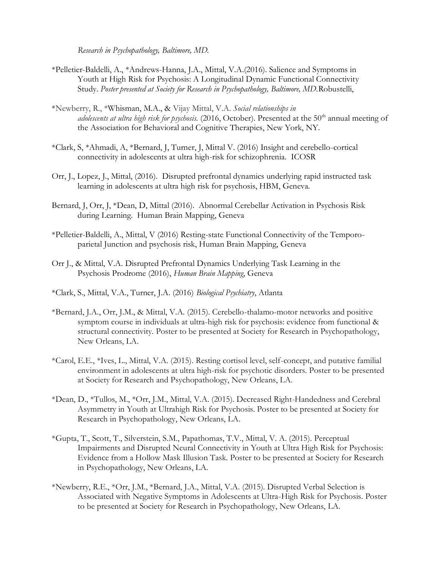*Research in Psychopathology, Baltimore, MD.*

- \*Pelletier-Baldelli, A., \*Andrews-Hanna, J.A., Mittal, V.A.(2016). Salience and Symptoms in Youth at High Risk for Psychosis: A Longitudinal Dynamic Functional Connectivity Study. *Poster presented at Society for Research in Psychopathology, Baltimore, MD.*Robustelli,
- \*Newberry, R., \*Whisman, M.A., & Vijay Mittal, V.A. *Social relationships in*  adolescents at ultra high risk for psychosis. (2016, October). Presented at the 50<sup>th</sup> annual meeting of the Association for Behavioral and Cognitive Therapies, New York, NY.
- \*Clark, S, \*Ahmadi, A, \*Bernard, J, Turner, J, Mittal V. (2016) Insight and cerebello-cortical connectivity in adolescents at ultra high-risk for schizophrenia. ICOSR
- Orr, J., Lopez, J., Mittal, (2016). Disrupted prefrontal dynamics underlying rapid instructed task learning in adolescents at ultra high risk for psychosis, HBM, Geneva.
- Bernard, J, Orr, J, \*Dean, D, Mittal (2016). Abnormal Cerebellar Activation in Psychosis Risk during Learning. Human Brain Mapping, Geneva
- \*Pelletier-Baldelli, A., Mittal, V (2016) Resting-state Functional Connectivity of the Temporoparietal Junction and psychosis risk, Human Brain Mapping, Geneva
- Orr J., & Mittal, V.A. Disrupted Prefrontal Dynamics Underlying Task Learning in the Psychosis Prodrome (2016), *Human Brain Mapping*, Geneva
- \*Clark, S., Mittal, V.A., Turner, J.A. (2016) *Biological Psychiatry*, Atlanta
- \*Bernard, J.A., Orr, J.M., & Mittal, V.A. (2015). Cerebello-thalamo-motor networks and positive symptom course in individuals at ultra-high risk for psychosis: evidence from functional & structural connectivity. Poster to be presented at Society for Research in Psychopathology, New Orleans, LA.
- \*Carol, E.E., \*Ives, L., Mittal, V.A. (2015). Resting cortisol level, self-concept, and putative familial environment in adolescents at ultra high-risk for psychotic disorders. Poster to be presented at Society for Research and Psychopathology, New Orleans, LA.
- \*Dean, D., \*Tullos, M., \*Orr, J.M., Mittal, V.A. (2015). Decreased Right-Handedness and Cerebral Asymmetry in Youth at Ultrahigh Risk for Psychosis. Poster to be presented at Society for Research in Psychopathology, New Orleans, LA.
- \*Gupta, T., Scott, T., Silverstein, S.M., Papathomas, T.V., Mittal, V. A. (2015). Perceptual Impairments and Disrupted Neural Connectivity in Youth at Ultra High Risk for Psychosis: Evidence from a Hollow Mask Illusion Task. Poster to be presented at Society for Research in Psychopathology, New Orleans, LA.
- \*Newberry, R.E., \*Orr, J.M., \*Bernard, J.A., Mittal, V.A. (2015). Disrupted Verbal Selection is Associated with Negative Symptoms in Adolescents at Ultra-High Risk for Psychosis. Poster to be presented at Society for Research in Psychopathology, New Orleans, LA.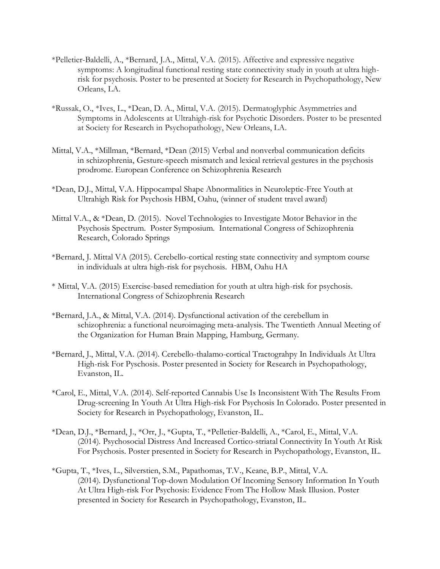- \*Pelletier-Baldelli, A., \*Bernard, J.A., Mittal, V.A. (2015). Affective and expressive negative symptoms: A longitudinal functional resting state connectivity study in youth at ultra highrisk for psychosis. Poster to be presented at Society for Research in Psychopathology, New Orleans, LA.
- \*Russak, O., \*Ives, L., \*Dean, D. A., Mittal, V.A. (2015). Dermatoglyphic Asymmetries and Symptoms in Adolescents at Ultrahigh-risk for Psychotic Disorders. Poster to be presented at Society for Research in Psychopathology, New Orleans, LA.
- Mittal, V.A., \*Millman, \*Bernard, \*Dean (2015) Verbal and nonverbal communication deficits in schizophrenia, Gesture-speech mismatch and lexical retrieval gestures in the psychosis prodrome. European Conference on Schizophrenia Research
- \*Dean, D.J., Mittal, V.A. Hippocampal Shape Abnormalities in Neuroleptic-Free Youth at Ultrahigh Risk for Psychosis HBM, Oahu, (winner of student travel award)
- Mittal V.A., & \*Dean, D. (2015). Novel Technologies to Investigate Motor Behavior in the Psychosis Spectrum. Poster Symposium. International Congress of Schizophrenia Research, Colorado Springs
- \*Bernard, J. Mittal VA (2015). Cerebello-cortical resting state connectivity and symptom course in individuals at ultra high-risk for psychosis. HBM, Oahu HA
- \* Mittal, V.A. (2015) Exercise-based remediation for youth at ultra high-risk for psychosis. International Congress of Schizophrenia Research
- \*Bernard, J.A., & Mittal, V.A. (2014). Dysfunctional activation of the cerebellum in schizophrenia: a functional neuroimaging meta-analysis. The Twentieth Annual Meeting of the Organization for Human Brain Mapping, Hamburg, Germany.
- \*Bernard, J., Mittal, V.A. (2014). [Cerebello-thalamo-cortical Tractograhpy In Individuals At Ultra](http://conference.psychopathology.org/modules/request.php?module=oc_program&action=summary.php&id=54)  [High-risk For Pyschosis.](http://conference.psychopathology.org/modules/request.php?module=oc_program&action=summary.php&id=54) Poster presented in Society for Research in Psychopathology, Evanston, IL.
- \*Carol, E., Mittal, V.A. (2014). [Self-reported Cannabis Use Is Inconsistent With The Results From](http://conference.psychopathology.org/modules/request.php?module=oc_program&action=summary.php&id=46) [Drug-screening In Youth At Ultra High-risk For Psychosis In Colorado.](http://conference.psychopathology.org/modules/request.php?module=oc_program&action=summary.php&id=46) Poster presented in Society for Research in Psychopathology, Evanston, IL.
- \*Dean, D.J., \*Bernard, J., \*Orr, J., \*Gupta, T., \*Pelletier-Baldelli, A., \*Carol, E., Mittal, V.A. (2014). [Psychosocial Distress And Increased Cortico-striatal Connectivity In Youth At Risk](http://conference.psychopathology.org/modules/request.php?module=oc_program&action=summary.php&id=24)  [For Psychosis.](http://conference.psychopathology.org/modules/request.php?module=oc_program&action=summary.php&id=24) Poster presented in Society for Research in Psychopathology, Evanston, IL.
- \*Gupta, T., \*Ives, L., Silverstien, S.M., Papathomas, T.V., Keane, B.P., Mittal, V.A. (2014). [Dysfunctional Top-down Modulation Of Incoming Sensory Information In Youth](http://conference.psychopathology.org/modules/request.php?module=oc_program&action=summary.php&id=72)  [At Ultra High-risk For Psychosis: Evidence From The Hollow Mask Illusion.](http://conference.psychopathology.org/modules/request.php?module=oc_program&action=summary.php&id=72) Poster presented in Society for Research in Psychopathology, Evanston, IL.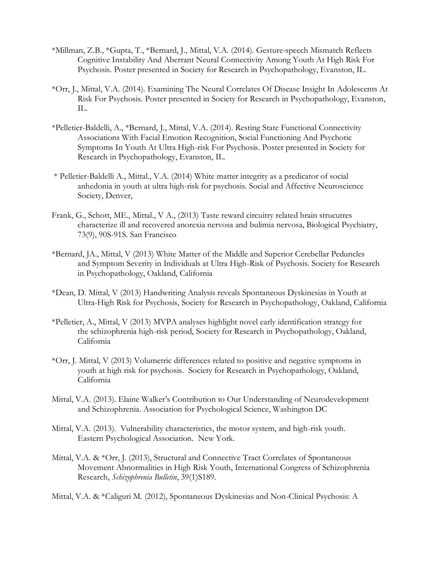- \*Millman, Z.B., \*Gupta, T., \*Bernard, J., Mittal, V.A. (2014). [Gesture-speech Mismatch Reflects](http://conference.psychopathology.org/modules/request.php?module=oc_program&action=summary.php&id=94)  [Cognitive Instability And Aberrant Neural Connectivity Among Youth At High Risk For](http://conference.psychopathology.org/modules/request.php?module=oc_program&action=summary.php&id=94)  [Psychosis.](http://conference.psychopathology.org/modules/request.php?module=oc_program&action=summary.php&id=94) Poster presented in Society for Research in Psychopathology, Evanston, IL.
- \*Orr, J., Mittal, V.A. (2014). Examining The Neural [Correlates Of Disease Insight In Adolescents At](http://conference.psychopathology.org/modules/request.php?module=oc_program&action=summary.php&id=112)  [Risk For Psychosis.](http://conference.psychopathology.org/modules/request.php?module=oc_program&action=summary.php&id=112) Poster presented in Society for Research in Psychopathology, Evanston, IL.
- \*Pelletier-Baldelli, A., \*Bernard, J., Mittal, V.A. (2014). [Resting State Functional Connectivity](http://conference.psychopathology.org/modules/request.php?module=oc_program&action=summary.php&id=69)  [Associations With Facial Emotion Recognition, Social Functioning And Psychotic](http://conference.psychopathology.org/modules/request.php?module=oc_program&action=summary.php&id=69)  [Symptoms In Youth At Ultra High-risk For Psychosis.](http://conference.psychopathology.org/modules/request.php?module=oc_program&action=summary.php&id=69) Poster presented in Society for Research in Psychopathology, Evanston, IL.
- \* Pelletier-Baldelli A., Mittal., V.A. (2014) White matter integrity as a predicator of social anhedonia in youth at ultra high-risk for psychosis. Social and Affective Neuroscience Society, Denver,
- Frank, G., Schott, ME., Mittal., V A., (2013) Taste reward circuitry related brain strucutres characterize ill and recovered anorexia nervosa and bulimia nervosa, Biological Psychiatry, 73(9), 90S-91S. San Francisco
- \*Bernard, JA., Mittal, V (2013) White Matter of the Middle and Superior Cerebellar Peduncles and Symptom Severity in Individuals at Ultra High-Risk of Psychosis. Society for Research in Psychopathology, Oakland, California
- \*Dean, D. Mittal, V (2013) Handwriting Analysis reveals Spontaneous Dyskinesias in Youth at Ultra-High Risk for Psychosis, Society for Research in Psychopathology, Oakland, California
- \*Pelletier, A., Mittal, V (2013) MVPA analyses highlight novel early identification strategy for the schizophrenia high-risk period, Society for Research in Psychopathology, Oakland, California
- \*Orr, J. Mittal, V (2013) Volumetric differences related to positive and negative symptoms in youth at high risk for psychosis. Society for Research in Psychopathology, Oakland, California
- Mittal, V.A. (2013). Elaine Walker's Contribution to Our Understanding of Neurodevelopment and Schizophrenia. Association for Psychological Science, Washington DC
- Mittal, V.A. (2013). Vulnerability characteristics, the motor system, and high-risk youth. Eastern Psychological Association. New York.
- Mittal, V.A. & \*Orr, J. (2013), Structural and Connective Tract Correlates of Spontaneous Movement Abnormalities in High Risk Youth, International Congress of Schizophrenia Research, *Schizophrenia Bulletin*, 39(1)S189.

Mittal, V.A. & \*Caliguri M. (2012), Spontaneous Dyskinesias and Non-Clinical Psychosis: A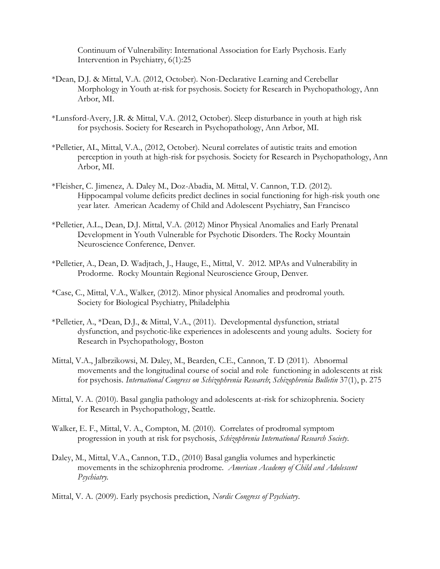Continuum of Vulnerability: International Association for Early Psychosis. Early Intervention in Psychiatry, 6(1):25

- \*Dean, D.J. & Mittal, V.A. (2012, October). Non-Declarative Learning and Cerebellar Morphology in Youth at-risk for psychosis. Society for Research in Psychopathology, Ann Arbor, MI.
- \*Lunsford-Avery, J.R. & Mittal, V.A. (2012, October). Sleep disturbance in youth at high risk for psychosis. Society for Research in Psychopathology, Ann Arbor, MI.
- \*Pelletier, AL, Mittal, V.A., (2012, October). Neural correlates of autistic traits and emotion perception in youth at high-risk for psychosis. Society for Research in Psychopathology, Ann Arbor, MI.
- \*Fleisher, C. Jimenez, A. Daley M., Doz-Abadia, M. Mittal, V. Cannon, T.D. (2012). Hippocampal volume deficits predict declines in social functioning for high-risk youth one year later. American Academy of Child and Adolescent Psychiatry, San Francisco
- \*Pelletier, A.L., Dean, D.J. Mittal, V.A. (2012) Minor Physical Anomalies and Early Prenatal Development in Youth Vulnerable for Psychotic Disorders. The Rocky Mountain Neuroscience Conference, Denver.
- \*Pelletier, A., Dean, D. Wadjtach, J., Hauge, E., Mittal, V. 2012. MPAs and Vulnerability in Prodorme. Rocky Mountain Regional Neuroscience Group, Denver.
- \*Case, C., Mittal, V.A., Walker, (2012). Minor physical Anomalies and prodromal youth. Society for Biological Psychiatry, Philadelphia
- \*Pelletier, A., \*Dean, D.J., & Mittal, V.A., (2011). Developmental dysfunction, striatal dysfunction, and psychotic-like experiences in adolescents and young adults. Society for Research in Psychopathology, Boston
- Mittal, V.A., Jalbrzikowsi, M. Daley, M., Bearden, C.E., Cannon, T. D (2011). Abnormal movements and the longitudinal course of social and role functioning in adolescents at risk for psychosis. *International Congress on Schizophrenia Research*; *Schizophrenia Bulletin* 37(1), p. 275
- Mittal, V. A. (2010). Basal ganglia pathology and adolescents at-risk for schizophrenia. Society for Research in Psychopathology, Seattle.
- Walker, E. F., Mittal, V. A., Compton, M. (2010). Correlates of prodromal symptom progression in youth at risk for psychosis, *Schizophrenia International Research Society*.
- Daley, M., Mittal, V.A., Cannon, T.D., (2010) Basal ganglia volumes and hyperkinetic movements in the schizophrenia prodrome. *American Academy of Child and Adolescent Psychiatry.*
- Mittal, V. A. (2009). Early psychosis prediction, *Nordic Congress of Psychiatry*.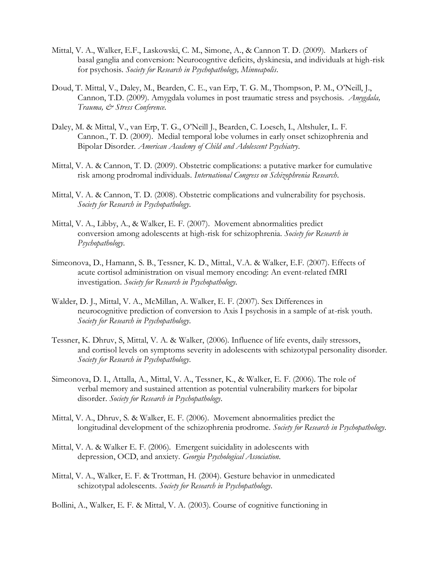- Mittal, V. A., Walker, E.F., Laskowski, C. M., Simone, A., & Cannon T. D. (2009). Markers of basal ganglia and conversion: Neurocogntive deficits, dyskinesia, and individuals at high-risk for psychosis. *Society for Research in Psychopathology, Minneapolis*.
- Doud, T. Mittal, V., Daley, M., Bearden, C. E., van Erp, T. G. M., Thompson, P. M., O'Neill, J., Cannon, T.D. (2009). Amygdala volumes in post traumatic stress and psychosis. *Amygdala, Trauma, & Stress Conference*.
- Daley, M. & Mittal, V., van Erp, T. G., O'Neill J., Bearden, C. Loesch, I., Altshuler, L. F. Cannon., T. D. (2009). Medial temporal lobe volumes in early onset schizophrenia and Bipolar Disorder. *American Academy of Child and Adolescent Psychiatry*.
- Mittal, V. A. & Cannon, T. D. (2009). Obstetric complications: a putative marker for cumulative risk among prodromal individuals. *International Congress on Schizophrenia Research*.
- Mittal, V. A. & Cannon, T. D. (2008). Obstetric complications and vulnerability for psychosis. *Society for Research in Psychopathology*.
- Mittal, V. A., Libby, A., & Walker, E. F. (2007). Movement abnormalities predict conversion among adolescents at high-risk for schizophrenia. *Society for Research in Psychopathology*.
- Simeonova, D., Hamann, S. B., Tessner, K. D., Mittal., V.A. & Walker, E.F. (2007). Effects of acute cortisol administration on visual memory encoding: An event-related fMRI investigation. *Society for Research in Psychopathology*.
- Walder, D. J., Mittal, V. A., McMillan, A. Walker, E. F. (2007). Sex Differences in neurocognitive prediction of conversion to Axis I psychosis in a sample of at-risk youth. *Society for Research in Psychopathology*.
- Tessner, K. Dhruv, S, Mittal, V. A. & Walker, (2006). Influence of life events, daily stressors, and cortisol levels on symptoms severity in adolescents with schizotypal personality disorder. *Society for Research in Psychopathology*.
- Simeonova, D. I., Attalla, A., Mittal, V. A., Tessner, K., & Walker, E. F. (2006). The role of verbal memory and sustained attention as potential vulnerability markers for bipolar disorder. *Society for Research in Psychopathology*.
- Mittal, V. A., Dhruv, S. & Walker, E. F. (2006). Movement abnormalities predict the longitudinal development of the schizophrenia prodrome. *Society for Research in Psychopathology*.
- Mittal, V. A. & Walker E. F. (2006). Emergent suicidality in adolescents with depression, OCD, and anxiety. *Georgia Psychological Association*.
- Mittal, V. A., Walker, E. F. & Trottman, H. (2004). Gesture behavior in unmedicated schizotypal adolescents. *Society for Research in Psychopathology*.

Bollini, A., Walker, E. F. & Mittal, V. A. (2003). Course of cognitive functioning in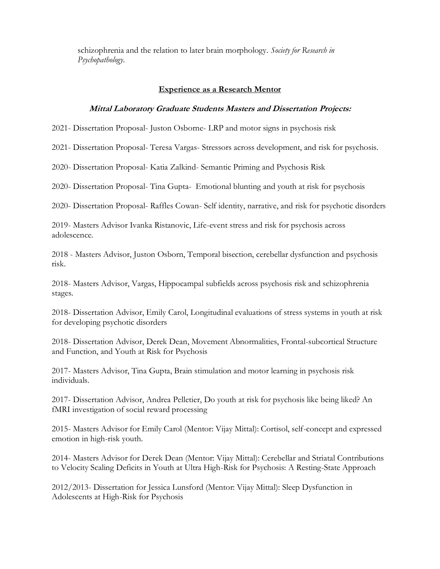schizophrenia and the relation to later brain morphology. *Society for Research in Psychopathology*.

#### **Experience as a Research Mentor**

#### **Mittal Laboratory Graduate Students Masters and Dissertation Projects:**

2021- Dissertation Proposal- Juston Osborne- LRP and motor signs in psychosis risk

2021- Dissertation Proposal- Teresa Vargas- Stressors across development, and risk for psychosis.

2020- Dissertation Proposal- Katia Zalkind- Semantic Priming and Psychosis Risk

2020- Dissertation Proposal- Tina Gupta- Emotional blunting and youth at risk for psychosis

2020- Dissertation Proposal- Raffles Cowan- Self identity, narrative, and risk for psychotic disorders

2019- Masters Advisor Ivanka Ristanovic, Life-event stress and risk for psychosis across adolescence.

2018 - Masters Advisor, Juston Osborn, Temporal bisection, cerebellar dysfunction and psychosis risk.

2018- Masters Advisor, Vargas, Hippocampal subfields across psychosis risk and schizophrenia stages.

2018- Dissertation Advisor, Emily Carol, Longitudinal evaluations of stress systems in youth at risk for developing psychotic disorders

2018- Dissertation Advisor, Derek Dean, Movement Abnormalities, Frontal-subcortical Structure and Function, and Youth at Risk for Psychosis

2017- Masters Advisor, Tina Gupta, Brain stimulation and motor learning in psychosis risk individuals.

2017- Dissertation Advisor, Andrea Pelletier, Do youth at risk for psychosis like being liked? An fMRI investigation of social reward processing

2015- Masters Advisor for Emily Carol (Mentor: Vijay Mittal): Cortisol, self-concept and expressed emotion in high-risk youth.

2014- Masters Advisor for Derek Dean (Mentor: Vijay Mittal): Cerebellar and Striatal Contributions to Velocity Scaling Deficits in Youth at Ultra High-Risk for Psychosis: A Resting-State Approach

2012/2013- Dissertation for Jessica Lunsford (Mentor: Vijay Mittal): Sleep Dysfunction in Adolescents at High-Risk for Psychosis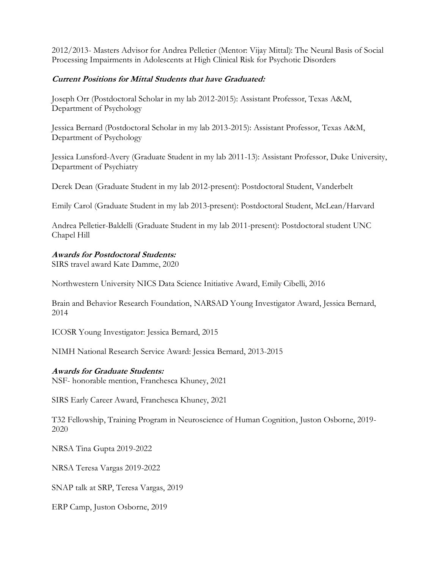2012/2013- Masters Advisor for Andrea Pelletier (Mentor: Vijay Mittal): The Neural Basis of Social Processing Impairments in Adolescents at High Clinical Risk for Psychotic Disorders

# **Current Positions for Mittal Students that have Graduated:**

Joseph Orr (Postdoctoral Scholar in my lab 2012-2015): Assistant Professor, Texas A&M, Department of Psychology

Jessica Bernard (Postdoctoral Scholar in my lab 2013-2015): Assistant Professor, Texas A&M, Department of Psychology

Jessica Lunsford-Avery (Graduate Student in my lab 2011-13): Assistant Professor, Duke University, Department of Psychiatry

Derek Dean (Graduate Student in my lab 2012-present): Postdoctoral Student, Vanderbelt

Emily Carol (Graduate Student in my lab 2013-present): Postdoctoral Student, McLean/Harvard

Andrea Pelletier-Baldelli (Graduate Student in my lab 2011-present): Postdoctoral student UNC Chapel Hill

# **Awards for Postdoctoral Students:**

SIRS travel award Kate Damme, 2020

Northwestern University NICS Data Science Initiative Award, Emily Cibelli, 2016

Brain and Behavior Research Foundation, NARSAD Young Investigator Award, Jessica Bernard, 2014

ICOSR Young Investigator: Jessica Bernard, 2015

NIMH National Research Service Award: Jessica Bernard, 2013-2015

# **Awards for Graduate Students:**

NSF- honorable mention, Franchesca Khuney, 2021

SIRS Early Career Award, Franchesca Khuney, 2021

T32 Fellowship, Training Program in Neuroscience of Human Cognition, Juston Osborne, 2019- 2020

NRSA Tina Gupta 2019-2022

NRSA Teresa Vargas 2019-2022

SNAP talk at SRP, Teresa Vargas, 2019

ERP Camp, Juston Osborne, 2019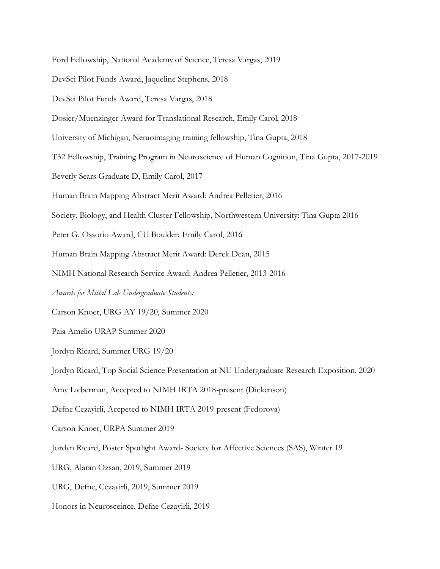Ford Fellowship, National Academy of Science, Teresa Vargas, 2019

DevSci Pilot Funds Award, Jaqueline Stephens, 2018

DevSci Pilot Funds Award, Teresa Vargas, 2018

Dosier/Muenzinger Award for Translational Research, Emily Carol, 2018

University of Michigan, Neruoimaging training fellowship, Tina Gupta, 2018

T32 Fellowship, Training Program in Neuroscience of Human Cognition, Tina Gupta, 2017-2019

Beverly Sears Graduate D, Emily Carol, 2017

Human Brain Mapping Abstract Merit Award: Andrea Pelletier, 2016

Society, Biology, and Health Cluster Fellowship, Northwestern University: Tina Gupta 2016

Peter G. Ossorio Award, CU Boulder: Emily Carol, 2016

Human Brain Mapping Abstract Merit Award: Derek Dean, 2015

NIMH National Research Service Award: Andrea Pelletier, 2013-2016

*Awards for Mittal Lab Undergraduate Students:*

Carson Knoer, URG AY 19/20, Summer 2020

Paia Amelio URAP Summer 2020

Jordyn Ricard, Summer URG 19/20

Jordyn Ricard, Top Social Science Presentation at NU Undergraduate Research Exposition, 2020

Amy Lieberman, Accepted to NIMH IRTA 2018-present (Dickenson)

Defne Cezayirli, Accpeted to NIMH IRTA 2019-present (Fedorova)

Carson Knoer, URPA Summer 2019

Jordyn Ricard, Poster Spotlight Award- Society for Affective Sciences (SAS), Winter 19

URG, Alaran Ozsan, 2019, Summer 2019

URG, Defne, Cezayirli, 2019, Summer 2019

Honors in Neurosceince, Defne Cezayirli, 2019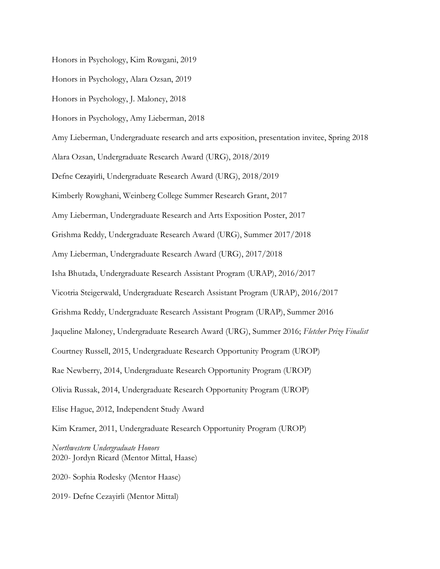Honors in Psychology, Kim Rowgani, 2019

Honors in Psychology, Alara Ozsan, 2019

Honors in Psychology, J. Maloney, 2018

Honors in Psychology, Amy Lieberman, 2018

Amy Lieberman, Undergraduate research and arts exposition, presentation invitee, Spring 2018

Alara Ozsan, Undergraduate Research Award (URG), 2018/2019

Defne Cezayirli, Undergraduate Research Award (URG), 2018/2019

Kimberly Rowghani, Weinberg College Summer Research Grant, 2017

Amy Lieberman, Undergraduate Research and Arts Exposition Poster, 2017

Grishma Reddy, Undergraduate Research Award (URG), Summer 2017/2018

Amy Lieberman, Undergraduate Research Award (URG), 2017/2018

Isha Bhutada, Undergraduate Research Assistant Program (URAP), 2016/2017

Vicotria Steigerwald, Undergraduate Research Assistant Program (URAP), 2016/2017

Grishma Reddy, Undergraduate Research Assistant Program (URAP), Summer 2016

Jaqueline Maloney, Undergraduate Research Award (URG), Summer 2016; *Fletcher Prize Finalist*

Courtney Russell, 2015, Undergraduate Research Opportunity Program (UROP)

Rae Newberry, 2014, Undergraduate Research Opportunity Program (UROP)

Olivia Russak, 2014, Undergraduate Research Opportunity Program (UROP)

Elise Hague, 2012, Independent Study Award

Kim Kramer, 2011, Undergraduate Research Opportunity Program (UROP)

*Northwestern Undergraduate Honors*  2020- Jordyn Ricard (Mentor Mittal, Haase)

2020- Sophia Rodesky (Mentor Haase)

2019- Defne Cezayirli (Mentor Mittal)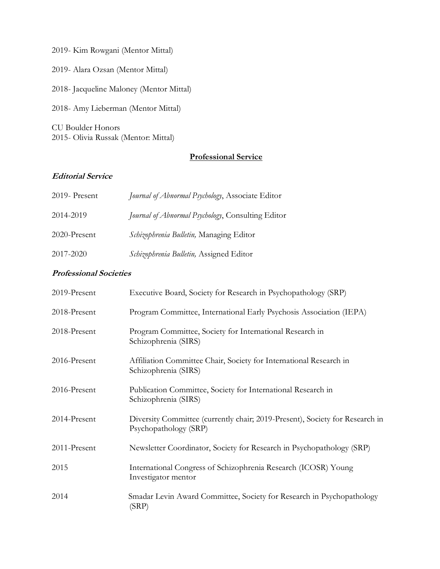2019- Kim Rowgani (Mentor Mittal) 2019- Alara Ozsan (Mentor Mittal)

2018- Jacqueline Maloney (Mentor Mittal)

2018- Amy Lieberman (Mentor Mittal)

CU Boulder Honors 2015- Olivia Russak (Mentor: Mittal)

# **Professional Service**

# **Editorial Service**

| 2019- Present | Journal of Abnormal Psychology, Associate Editor  |
|---------------|---------------------------------------------------|
| 2014-2019     | Journal of Abnormal Psychology, Consulting Editor |
| 2020-Present  | Schizophrenia Bulletin, Managing Editor           |
| 2017-2020     | Schizophrenia Bulletin, Assigned Editor           |

# **Professional Societies**

| 2019-Present | Executive Board, Society for Research in Psychopathology (SRP)                                        |
|--------------|-------------------------------------------------------------------------------------------------------|
| 2018-Present | Program Committee, International Early Psychosis Association (IEPA)                                   |
| 2018-Present | Program Committee, Society for International Research in<br>Schizophrenia (SIRS)                      |
| 2016-Present | Affiliation Committee Chair, Society for International Research in<br>Schizophrenia (SIRS)            |
| 2016-Present | Publication Committee, Society for International Research in<br>Schizophrenia (SIRS)                  |
| 2014-Present | Diversity Committee (currently chair; 2019-Present), Society for Research in<br>Psychopathology (SRP) |
| 2011-Present | Newsletter Coordinator, Society for Research in Psychopathology (SRP)                                 |
| 2015         | International Congress of Schizophrenia Research (ICOSR) Young<br>Investigator mentor                 |
| 2014         | Smadar Levin Award Committee, Society for Research in Psychopathology<br>(SRP)                        |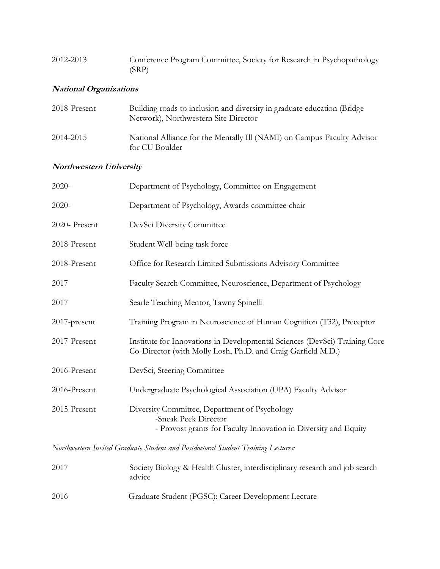| 2012-2013 | Conference Program Committee, Society for Research in Psychopathology |
|-----------|-----------------------------------------------------------------------|
|           | (SRP)                                                                 |

# **National Organizations**

| 2018-Present | Building roads to inclusion and diversity in graduate education (Bridge)<br>Network), Northwestern Site Director |
|--------------|------------------------------------------------------------------------------------------------------------------|
| 2014-2015    | National Alliance for the Mentally Ill (NAMI) on Campus Faculty Advisor<br>for CU Boulder                        |

# **Northwestern University**

| $2020 -$      | Department of Psychology, Committee on Engagement                                                                                          |
|---------------|--------------------------------------------------------------------------------------------------------------------------------------------|
| $2020-$       | Department of Psychology, Awards committee chair                                                                                           |
| 2020- Present | DevSci Diversity Committee                                                                                                                 |
| 2018-Present  | Student Well-being task force                                                                                                              |
| 2018-Present  | Office for Research Limited Submissions Advisory Committee                                                                                 |
| 2017          | Faculty Search Committee, Neuroscience, Department of Psychology                                                                           |
| 2017          | Searle Teaching Mentor, Tawny Spinelli                                                                                                     |
| 2017-present  | Training Program in Neuroscience of Human Cognition (T32), Preceptor                                                                       |
| 2017-Present  | Institute for Innovations in Developmental Sciences (DevSci) Training Core<br>Co-Director (with Molly Losh, Ph.D. and Craig Garfield M.D.) |
| 2016-Present  | DevSci, Steering Committee                                                                                                                 |
| 2016-Present  | Undergraduate Psychological Association (UPA) Faculty Advisor                                                                              |
| 2015-Present  | Diversity Committee, Department of Psychology<br>-Sneak Peek Director<br>- Provost grants for Faculty Innovation in Diversity and Equity   |

*Northwestern Invited Graduate Student and Postdoctoral Student Training Lectures:*

| 2017 | Society Biology & Health Cluster, interdisciplinary research and job search<br>advice |
|------|---------------------------------------------------------------------------------------|
| 2016 | Graduate Student (PGSC): Career Development Lecture                                   |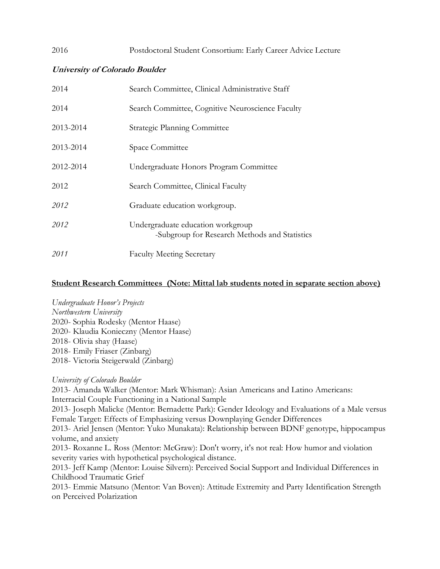# 2016 Postdoctoral Student Consortium: Early Career Advice Lecture

# **University of Colorado Boulder**

| 2014      | Search Committee, Clinical Administrative Staff                                    |
|-----------|------------------------------------------------------------------------------------|
| 2014      | Search Committee, Cognitive Neuroscience Faculty                                   |
| 2013-2014 | <b>Strategic Planning Committee</b>                                                |
| 2013-2014 | Space Committee                                                                    |
| 2012-2014 | Undergraduate Honors Program Committee                                             |
| 2012      | Search Committee, Clinical Faculty                                                 |
| 2012      | Graduate education workgroup.                                                      |
| 2012      | Undergraduate education workgroup<br>-Subgroup for Research Methods and Statistics |
| 2011      | <b>Faculty Meeting Secretary</b>                                                   |

# **Student Research Committees (Note: Mittal lab students noted in separate section above)**

#### *Undergraduate Honor's Projects*

*Northwestern University* 2020- Sophia Rodesky (Mentor Haase) 2020- Klaudia Konieczny (Mentor Haase) 2018- Olivia shay (Haase) 2018- Emily Friaser (Zinbarg) 2018- Victoria Steigerwald (Zinbarg)

# *University of Colorado Boulder*

2013- Amanda Walker (Mentor: Mark Whisman): Asian Americans and Latino Americans: Interracial Couple Functioning in a National Sample

2013- Joseph Malicke (Mentor: Bernadette Park): Gender Ideology and Evaluations of a Male versus Female Target: Effects of Emphasizing versus Downplaying Gender Differences

2013- Ariel Jensen (Mentor: Yuko Munakata): Relationship between BDNF genotype, hippocampus volume, and anxiety

2013- Roxanne L. Ross (Mentor: McGraw): Don't worry, it's not real: How humor and violation severity varies with hypothetical psychological distance.

2013- Jeff Kamp (Mentor: Louise Silvern): Perceived Social Support and Individual Differences in Childhood Traumatic Grief

2013- Emmie Matsuno (Mentor: Van Boven): Attitude Extremity and Party Identification Strength on Perceived Polarization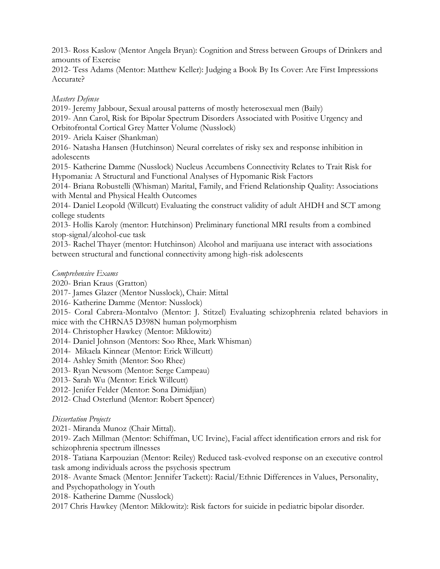2013- Ross Kaslow (Mentor Angela Bryan): Cognition and Stress between Groups of Drinkers and amounts of Exercise

2012- Tess Adams (Mentor: Matthew Keller): Judging a Book By Its Cover: Are First Impressions Accurate?

# *Masters Defense*

2019- Jeremy Jabbour, Sexual arousal patterns of mostly heterosexual men (Baily) 2019- Ann Carol, Risk for Bipolar Spectrum Disorders Associated with Positive Urgency and Orbitofrontal Cortical Grey Matter Volume (Nusslock) 2019- Ariela Kaiser (Shankman) 2016- Natasha Hansen (Hutchinson) Neural correlates of risky sex and response inhibition in adolescents 2015- Katherine Damme (Nusslock) Nucleus Accumbens Connectivity Relates to Trait Risk for Hypomania: A Structural and Functional Analyses of Hypomanic Risk Factors 2014- Briana Robustelli (Whisman) Marital, Family, and Friend Relationship Quality: Associations with Mental and Physical Health Outcomes 2014- Daniel Leopold (Willcutt) Evaluating the construct validity of adult AHDH and SCT among college students 2013- Hollis Karoly (mentor: Hutchinson) Preliminary functional MRI results from a combined stop-signal/alcohol-cue task 2013- Rachel Thayer (mentor: Hutchinson) Alcohol and marijuana use interact with associations

between structural and functional connectivity among high-risk adolescents

# *Comprehensive Exams*

2020- Brian Kraus (Gratton)

2017- James Glazer (Mentor Nusslock), Chair: Mittal

2016- Katherine Damme (Mentor: Nusslock)

2015- Coral Cabrera-Montalvo (Mentor: J. Stitzel) Evaluating schizophrenia related behaviors in mice with the CHRNA5 D398N human polymorphism

2014- Christopher Hawkey (Mentor: Miklowitz)

- 2014- Daniel Johnson (Mentors: Soo Rhee, Mark Whisman)
- 2014- Mikaela Kinnear (Mentor: Erick Willcutt)
- 2014- Ashley Smith (Mentor: Soo Rhee)
- 2013- Ryan Newsom (Mentor: Serge Campeau)
- 2013- Sarah Wu (Mentor: Erick Willcutt)
- 2012- Jenifer Felder (Mentor: Sona Dimidjian)
- 2012- Chad Osterlund (Mentor: Robert Spencer)

# *Dissertation Projects*

2021- Miranda Munoz (Chair Mittal).

2019- Zach Millman (Mentor: Schiffman, UC Irvine), Facial affect identification errors and risk for schizophrenia spectrum illnesses

2018- Tatiana Karpouzian (Mentor: Reiley) Reduced task-evolved response on an executive control task among individuals across the psychosis spectrum

2018- Avante Smack (Mentor: Jennifer Tackett): Racial/Ethnic Differences in Values, Personality, and Psychopathology in Youth

2018- Katherine Damme (Nusslock)

2017 Chris Hawkey (Mentor: Miklowitz): Risk factors for suicide in pediatric bipolar disorder.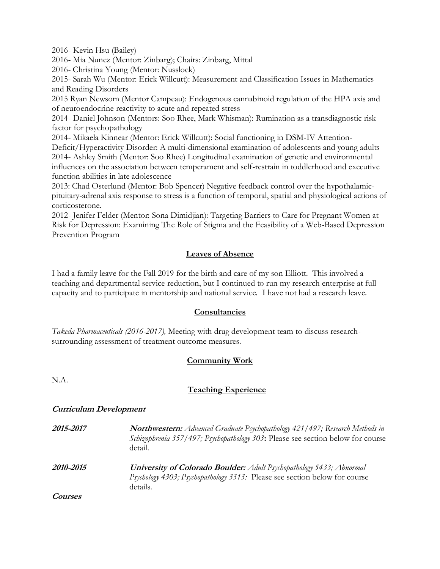2016- Kevin Hsu (Bailey)

2016- Mia Nunez (Mentor: Zinbarg); Chairs: Zinbarg, Mittal

2016- Christina Young (Mentor: Nusslock)

2015- Sarah Wu (Mentor: Erick Willcutt): Measurement and Classification Issues in Mathematics and Reading Disorders

2015 Ryan Newsom (Mentor Campeau): Endogenous cannabinoid regulation of the HPA axis and of neuroendocrine reactivity to acute and repeated stress

2014- Daniel Johnson (Mentors: Soo Rhee, Mark Whisman): Rumination as a transdiagnostic risk factor for psychopathology

2014- Mikaela Kinnear (Mentor: Erick Willcutt): Social functioning in DSM-IV Attention-

Deficit/Hyperactivity Disorder: A multi-dimensional examination of adolescents and young adults 2014- Ashley Smith (Mentor: Soo Rhee) Longitudinal examination of genetic and environmental influences on the association between temperament and self-restrain in toddlerhood and executive function abilities in late adolescence

2013: Chad Osterlund (Mentor: Bob Spencer) Negative feedback control over the hypothalamicpituitary-adrenal axis response to stress is a function of temporal, spatial and physiological actions of corticosterone.

2012- Jenifer Felder (Mentor: Sona Dimidjian): Targeting Barriers to Care for Pregnant Women at Risk for Depression: Examining The Role of Stigma and the Feasibility of a Web-Based Depression Prevention Program

# **Leaves of Absence**

I had a family leave for the Fall 2019 for the birth and care of my son Elliott. This involved a teaching and departmental service reduction, but I continued to run my research enterprise at full capacity and to participate in mentorship and national service. I have not had a research leave.

# **Consultancies**

*Takeda Pharmaceuticals (2016-2017),* Meeting with drug development team to discuss researchsurrounding assessment of treatment outcome measures.

# **Community Work**

N.A.

# **Teaching Experience**

# **Curriculum Development**

**2015-2017 Northwestern:** *Advanced Graduate Psychopathology 421/497; Research Methods in Schizophrenia 357/497; Psychopathology 303***:** Please see section below for course detail.

**2010-2015 University of Colorado Boulder:** *Adult Psychopathology 5433; Abnormal Psychology 4303; Psychopathology 3313:* Please see section below for course details.

**Courses**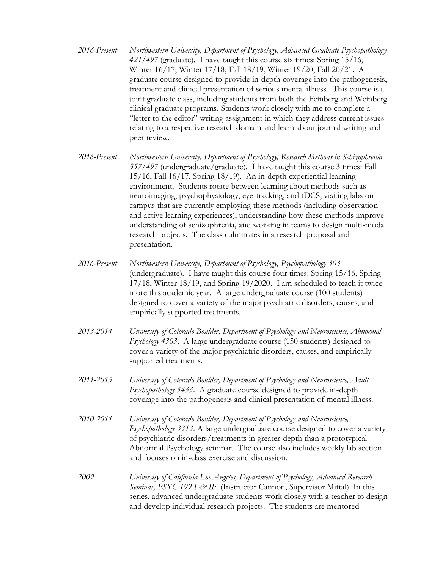- *2016-Present Northwestern University, Department of Psychology, Advanced Graduate Psychopathology 421/497* (graduate). I have taught this course six times: Spring 15/16, Winter 16/17, Winter 17/18, Fall 18/19, Winter 19/20, Fall 20/21. A graduate course designed to provide in-depth coverage into the pathogenesis, treatment and clinical presentation of serious mental illness. This course is a joint graduate class, including students from both the Feinberg and Weinberg clinical graduate programs. Students work closely with me to complete a "letter to the editor" writing assignment in which they address current issues relating to a respective research domain and learn about journal writing and peer review.
- *2016-Present Northwestern University, Department of Psychology, Research Methods in Schizophrenia 357/497* (undergraduate/graduate). I have taught this course 3 times: Fall 15/16, Fall 16/17, Spring 18/19). An in-depth experiential learning environment. Students rotate between learning about methods such as neuroimaging, psychophysiology, eye-tracking, and tDCS, visiting labs on campus that are currently employing these methods (including observation and active learning experiences), understanding how these methods improve understanding of schizophrenia, and working in teams to design multi-modal research projects. The class culminates in a research proposal and presentation.
- *2016-Present Northwestern University, Department of Psychology, Psychopathology 303*  (undergraduate). I have taught this course four times: Spring 15/16, Spring 17/18, Winter 18/19, and Spring 19/2020. I am scheduled to teach it twice more this academic year. A large undergraduate course (100 students) designed to cover a variety of the major psychiatric disorders, causes, and empirically supported treatments.
- *2013-2014 University of Colorado Boulder, Department of Psychology and Neuroscience, Abnormal Psychology 4303*. A large undergraduate course (150 students) designed to cover a variety of the major psychiatric disorders, causes, and empirically supported treatments.
- *2011-2015 University of Colorado Boulder, Department of Psychology and Neuroscience, Adult Psychopathology 5433*. A graduate course designed to provide in-depth coverage into the pathogenesis and clinical presentation of mental illness.
- *2010-2011 University of Colorado Boulder, Department of Psychology and Neuroscience, Psychopathology 3313*. A large undergraduate course designed to cover a variety of psychiatric disorders/treatments in greater-depth than a prototypical Abnormal Psychology seminar. The course also includes weekly lab section and focuses on in-class exercise and discussion.
- *2009 University of California Los Angeles, Department of Psychology, Advanced Research Seminar, PSYC 199 I & II:* (Instructor Cannon, Supervisor Mittal). In this series, advanced undergraduate students work closely with a teacher to design and develop individual research projects. The students are mentored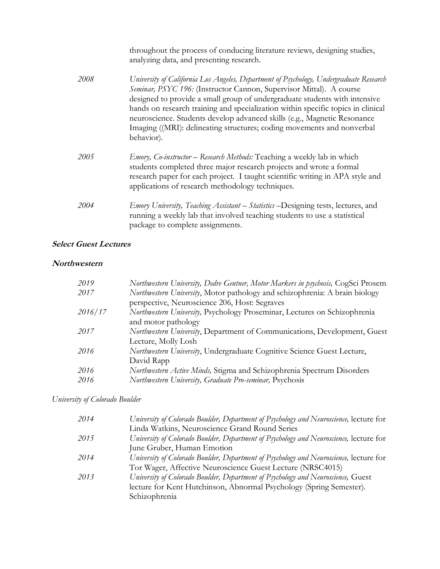|      | throughout the process of conducing literature reviews, designing studies,<br>analyzing data, and presenting research.                                                                                                                                                                                                                                                                                                                                                                              |
|------|-----------------------------------------------------------------------------------------------------------------------------------------------------------------------------------------------------------------------------------------------------------------------------------------------------------------------------------------------------------------------------------------------------------------------------------------------------------------------------------------------------|
| 2008 | University of California Los Angeles, Department of Psychology, Undergraduate Research<br>Seminar, PSYC 196: (Instructor Cannon, Supervisor Mittal). A course<br>designed to provide a small group of undergraduate students with intensive<br>hands on research training and specialization within specific topics in clinical<br>neuroscience. Students develop advanced skills (e.g., Magnetic Resonance<br>Imaging ((MRI): delineating structures; coding movements and nonverbal<br>behavior). |
| 2005 | <i>Emory, Co-instructor</i> – Research Methods: Teaching a weekly lab in which<br>students completed three major research projects and wrote a formal<br>research paper for each project. I taught scientific writing in APA style and<br>applications of research methodology techniques.                                                                                                                                                                                                          |
| 2004 | <i>Emory University, Teaching Assistant – Statistics –Designing tests, lectures, and</i><br>running a weekly lab that involved teaching students to use a statistical<br>package to complete assignments.                                                                                                                                                                                                                                                                                           |

# **Select Guest Lectures**

#### **Northwestern**

| 2019    | Northwestern University, Dedre Gentner, Motor Markers in psychosis, CogSci Prosem |
|---------|-----------------------------------------------------------------------------------|
| 2017    | Northwestern University, Motor pathology and schizophrenia: A brain biology       |
|         | perspective, Neuroscience 206, Host: Segraves                                     |
| 2016/17 | Northwestern University, Psychology Proseminar, Lectures on Schizophrenia         |
|         | and motor pathology                                                               |
| 2017    | Northwestern University, Department of Communications, Development, Guest         |
|         | Lecture, Molly Losh                                                               |
| 2016    | Northwestern University, Undergraduate Cognitive Science Guest Lecture,           |
|         | David Rapp                                                                        |
| 2016    | Northwestern Active Minds, Stigma and Schizophrenia Spectrum Disorders            |
| 2016    | Northwestern University, Graduate Pro-seminar, Psychosis                          |
|         |                                                                                   |

# *University of Colorado Boulder*

| 2014 | University of Colorado Boulder, Department of Psychology and Neuroscience, lecture for |
|------|----------------------------------------------------------------------------------------|
|      | Linda Watkins, Neuroscience Grand Round Series                                         |
| 2015 | University of Colorado Boulder, Department of Psychology and Neuroscience, lecture for |
|      | June Gruber, Human Emotion                                                             |
| 2014 | University of Colorado Boulder, Department of Psychology and Neuroscience, lecture for |
|      | Tor Wager, Affective Neuroscience Guest Lecture (NRSC4015)                             |
| 2013 | University of Colorado Boulder, Department of Psychology and Neuroscience, Guest       |
|      | lecture for Kent Hutchinson, Abnormal Psychology (Spring Semester).                    |
|      | Schizophrenia                                                                          |
|      |                                                                                        |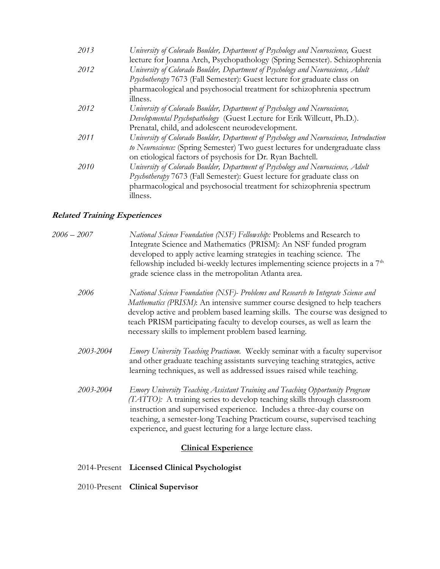| 2013 | University of Colorado Boulder, Department of Psychology and Neuroscience, Guest        |
|------|-----------------------------------------------------------------------------------------|
|      | lecture for Joanna Arch, Psychopathology (Spring Semester). Schizophrenia               |
| 2012 | University of Colorado Boulder, Department of Psychology and Neuroscience, Adult        |
|      | Psychotherapy 7673 (Fall Semester): Guest lecture for graduate class on                 |
|      | pharmacological and psychosocial treatment for schizophrenia spectrum                   |
|      | illness.                                                                                |
| 2012 | University of Colorado Boulder, Department of Psychology and Neuroscience,              |
|      | Developmental Psychopathology (Guest Lecture for Erik Willcutt, Ph.D.).                 |
|      | Prenatal, child, and adolescent neurodevelopment.                                       |
| 2011 | University of Colorado Boulder, Department of Psychology and Neuroscience, Introduction |
|      | to Neuroscience: (Spring Semester) Two guest lectures for undergraduate class           |
|      | on etiological factors of psychosis for Dr. Ryan Bachtell.                              |
| 2010 | University of Colorado Boulder, Department of Psychology and Neuroscience, Adult        |
|      | Psychotherapy 7673 (Fall Semester): Guest lecture for graduate class on                 |
|      | pharmacological and psychosocial treatment for schizophrenia spectrum                   |
|      | illness.                                                                                |

# **Related Training Experiences**

| 2006 – 2007 | National Science Foundation (NSF) Fellowship: Problems and Research to          |
|-------------|---------------------------------------------------------------------------------|
|             | Integrate Science and Mathematics (PRISM): An NSF funded program                |
|             | developed to apply active learning strategies in teaching science. The          |
|             | fellowship included bi-weekly lectures implementing science projects in a $7th$ |
|             | grade science class in the metropolitan Atlanta area.                           |
|             |                                                                                 |

*2006 National Science Foundation (NSF)- Problems and Research to Integrate Science and Mathematics (PRISM)*: An intensive summer course designed to help teachers develop active and problem based learning skills. The course was designed to teach PRISM participating faculty to develop courses, as well as learn the necessary skills to implement problem based learning.

- *2003-2004 Emory University Teaching Practicum.* Weekly seminar with a faculty supervisor and other graduate teaching assistants surveying teaching strategies, active learning techniques, as well as addressed issues raised while teaching.
- *2003-2004 Emory University Teaching Assistant Training and Teaching Opportunity Program (TATTO):* A training series to develop teaching skills through classroom instruction and supervised experience. Includes a three-day course on teaching, a semester-long Teaching Practicum course, supervised teaching experience, and guest lecturing for a large lecture class.

# **Clinical Experience**

- 2014-Present **Licensed Clinical Psychologist**
- 2010-Present **Clinical Supervisor**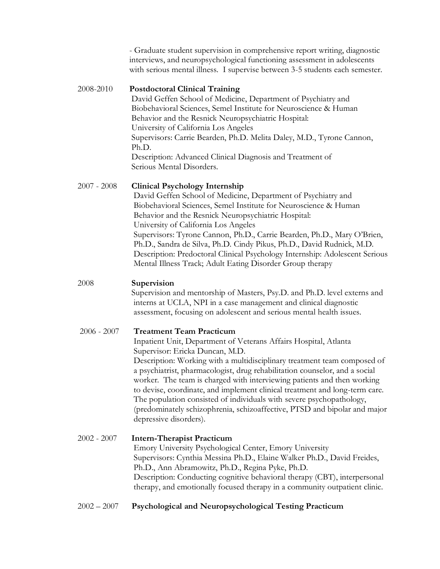- Graduate student supervision in comprehensive report writing, diagnostic interviews, and neuropsychological functioning assessment in adolescents with serious mental illness. I supervise between 3-5 students each semester.

# 2008-2010 **Postdoctoral Clinical Training**

David Geffen School of Medicine, Department of Psychiatry and Biobehavioral Sciences, Semel Institute for Neuroscience & Human Behavior and the Resnick Neuropsychiatric Hospital: University of California Los Angeles Supervisors: Carrie Bearden, Ph.D. Melita Daley, M.D., Tyrone Cannon, Ph.D. Description: Advanced Clinical Diagnosis and Treatment of Serious Mental Disorders.

# 2007 - 2008 **Clinical Psychology Internship**

David Geffen School of Medicine, Department of Psychiatry and Biobehavioral Sciences, Semel Institute for Neuroscience & Human Behavior and the Resnick Neuropsychiatric Hospital: University of California Los Angeles Supervisors: Tyrone Cannon, Ph.D., Carrie Bearden, Ph.D., Mary O'Brien, Ph.D., Sandra de Silva, Ph.D. Cindy Pikus, Ph.D., David Rudnick, M.D. Description: Predoctoral Clinical Psychology Internship: Adolescent Serious Mental Illness Track; Adult Eating Disorder Group therapy

# 2008 **Supervision**

Supervision and mentorship of Masters, Psy.D. and Ph.D. level externs and interns at UCLA, NPI in a case management and clinical diagnostic assessment, focusing on adolescent and serious mental health issues.

# 2006 - 2007 **Treatment Team Practicum**

 Inpatient Unit, Department of Veterans Affairs Hospital, Atlanta Supervisor: Ericka Duncan, M.D.

Description: Working with a multidisciplinary treatment team composed of a psychiatrist, pharmacologist, drug rehabilitation counselor, and a social worker. The team is charged with interviewing patients and then working to devise, coordinate, and implement clinical treatment and long-term care. The population consisted of individuals with severe psychopathology, (predominately schizophrenia, schizoaffective, PTSD and bipolar and major depressive disorders).

### 2002 - 2007 **Intern-Therapist Practicum** Emory University Psychological Center, Emory University Supervisors: Cynthia Messina Ph.D., Elaine Walker Ph.D., David Freides, Ph.D., Ann Abramowitz, Ph.D., Regina Pyke, Ph.D. Description: Conducting cognitive behavioral therapy (CBT), interpersonal therapy, and emotionally focused therapy in a community outpatient clinic.

# 2002 – 2007**Psychological and Neuropsychological Testing Practicum**